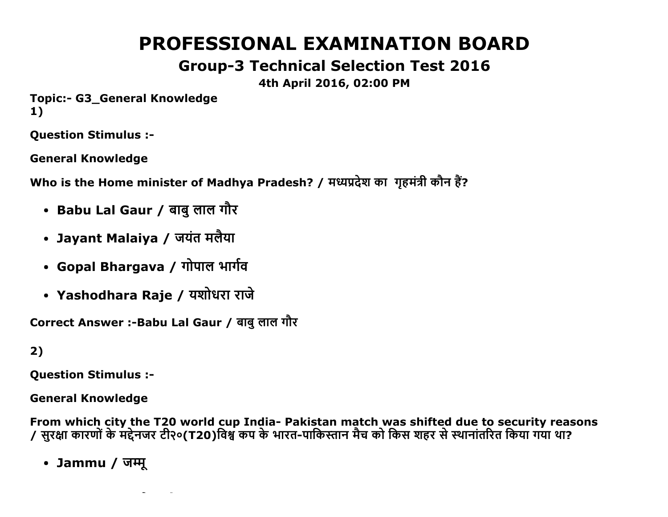# **PROFESSIONAL EXAMINATION BOARD**

## **Group-3 Technical Selection Test 2016**

### 4th April 2016, 02:00 PM

**Topic:- G3 General Knowledge**  $1)$ 

**Question Stimulus :-**

**General Knowledge** 

Who is the Home minister of Madhya Pradesh? / मध्यप्रदेश का गृहमंत्री कौन हैं?

- Babu Lal Gaur / बाबु लाल गौर
- Jayant Malaiya / जयंत मलैया
- Gopal Bhargava / गोपाल भार्गव
- Yashodhara Raje / यशोधरा राजे

Correct Answer :- Babu Lal Gaur / बाबु लाल गौर

 $2)$ 

**Question Stimulus :-**

**General Knowledge** 

From which city the T20 world cup India- Pakistan match was shifted due to security reasons 7 सुरक्षा कारणों के मद्देनजर टी२०(T20)विश्व कप के भारत-पाकिस्तान मैच को किस शहर से स्थानांतरित किया गया था?

• Jammu / जम्मू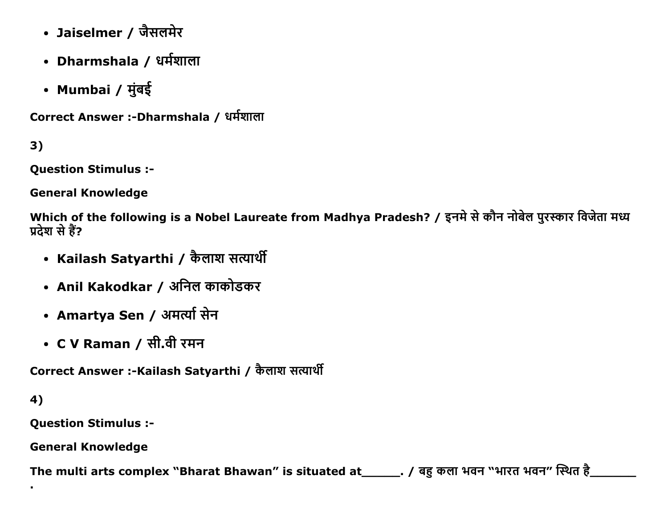- Jaiselmer / जैसलमेर
- Dharmshala / धर्मशाला
- Mumbai / मुंबई

Correct Answer :-Dharmshala / धर्मशाला

 $3)$ 

**Question Stimulus :-**

**General Knowledge** 

Which of the following is a Nobel Laureate from Madhya Pradesh? / इनमे से कौन नोबेल पुरस्कार विजेता मध्य प्रदेश से हैं?

- Kailash Satyarthi / कैलाश सत्यार्थी
- Anil Kakodkar / अनिल काकोडकर
- Amartya Sen / अमर्त्या सेन
- C V Raman / सी.वी रमन

Correct Answer :-Kailash Satyarthi / कैलाश सत्यार्थी

4)

**Question Stimulus :-**

**General Knowledge** 

The multi arts complex "Bharat Bhawan" is situated at \_\_\_\_\_\_\_. / बहु कला भवन "भारत भवन" स्थित है\_\_\_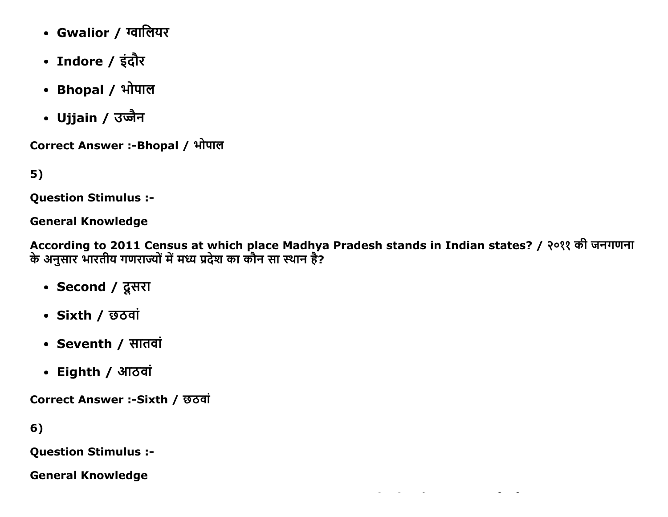- Gwalior / ग्वालियर
- Indore / इंदौर
- Bhopal / भोपाल
- Ujjain / उज्जैन

Correct Answer :- Bhopal / भोपाल

5)

Question Stimulus :

General Knowledge

According to 2011 Census at which place Madhya Pradesh stands in Indian states? / २०११ की जनगणना के अनुसार भारतीय गणराज्यों में मध्य प्रदेश का कौन सा स्थान है?

- Second / दूसरा
- $\cdot$  Sixth / छ $\sigma$ वां
- Seventh / सातवां
- Eighth / आठवां

Correct Answer :-Sixth / छठवां

6)

Question Stimulus :

General Knowledge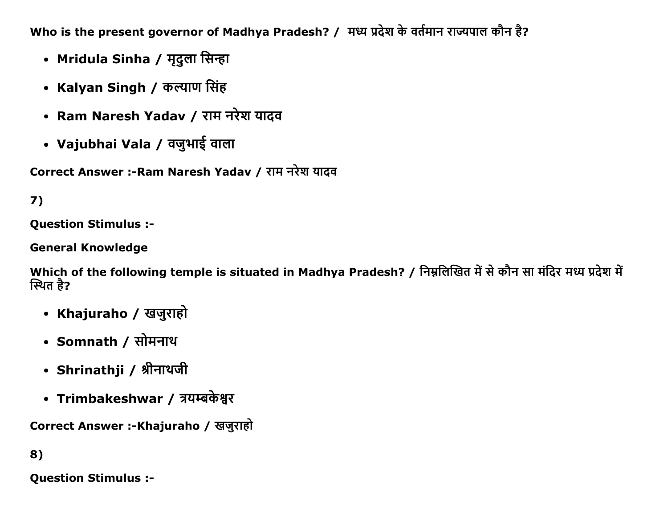Who is the present governor of Madhya Pradesh? / मध्य प्रदेश के वर्तमान राज्यपाल कौन है?

- Mridula Sinha / मृदुला सिन्हा
- Kalyan Singh / कल्याण सिंह
- Ram Naresh Yadav / राम नरेश यादव
- Vajubhai Vala / वजुभाई वाला

Correct Answer :-Ram Naresh Yadav / राम नरेश यादव

## 7)

**Question Stimulus :-**

**General Knowledge** 

Which of the following temple is situated in Madhya Pradesh? / निम्नलिखित में से कौन सा मंदिर मध्य प्रदेश में स्थित है?

- Khajuraho / खजुराहो
- Somnath / सोमनाथ
- Shrinathji / श्रीनाथजी
- Trimbakeshwar / त्रयम्बकेश्वर

Correct Answer :-Khajuraho / खजुराहो

8)

**Question Stimulus :-**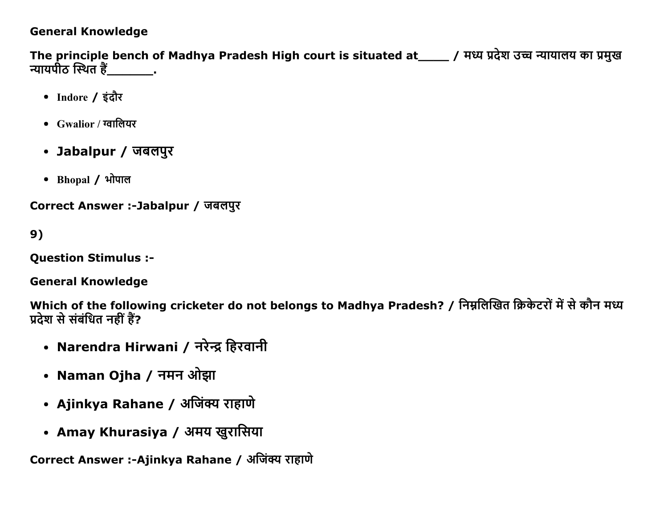#### **General Knowledge**

The principle bench of Madhya Pradesh High court is situated at\_\_\_\_ / मध्य प्रदेश उच्च न्यायालय का प्रमुख न्यायपीठ स्थित है<u>ं \_\_\_\_\_\_\_\_</u>.

- Indore / इंदौर
- $Gwalior / \tau q \tau \theta$ यर
- Jabalpur / जबलपुर
- Bhopal / भोपाल

Correct Answer :-Jabalpur / जबलपुर

 $9)$ 

**Ouestion Stimulus :-**

**General Knowledge** 

Which of the following cricketer do not belongs to Madhya Pradesh? / निम्नलिखित क्रिकेटरों में से कौन मध्य प्रदेश से संबंधित नहीं हैं?

- Narendra Hirwani / नरेन्द्र हिरवानी
- Naman Ojha / नमन ओझा
- Ajinkya Rahane / अजिंक्य राहाणे
- Amay Khurasiya / अमय खुरासिया

Correct Answer :-Ajinkya Rahane / अजिंक्य राहाणे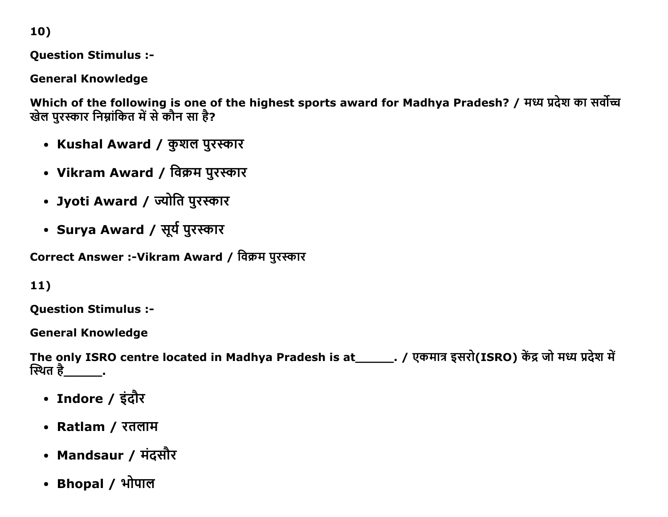10)

**Question Stimulus :-**

**General Knowledge** 

Which of the following is one of the highest sports award for Madhya Pradesh? / मध्य प्रदेश का सर्वोच्च खेल पुरस्कार निम्नांकित में से कौन सा है?

- Kushal Award / कुशल पुरस्कार
- Vikram Award / विक्रम पुरस्कार
- Jyoti Award / ज्योति पुरस्कार
- Surya Award / सूर्य पुरस्कार

Correct Answer :- Vikram Award / विक्रम पुरस्कार

 $11)$ 

**Question Stimulus :-**

**General Knowledge** 

The only ISRO centre located in Madhya Pradesh is at\_\_\_\_\_\_. / एकमात्र इसरो(ISRO) केंद्र जो मध्य प्रदेश में स्थित है\_\_\_\_\_\_\_\_.

- Indore / इंदौर
- Ratlam / रतलाम
- Mandsaur / मंदसौर
- Bhopal / भोपाल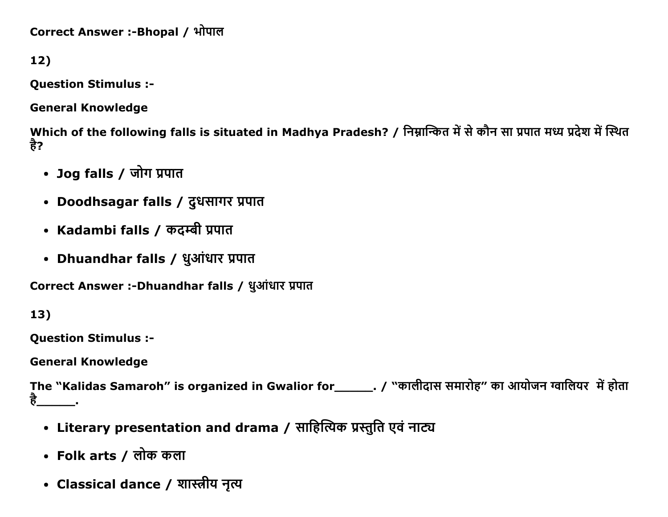Correct Answer :-Bhopal / भोपाल

12)

Question Stimulus :

General Knowledge

Which of the following falls is situated in Madhya Pradesh? / निम्नान्कित में से कौन सा प्रपात मध्य प्रदेश में स्थित है?

- Jog falls / जोग प्रपात
- Doodhsagar falls / दूधसागर प्रपात
- Kadambi falls / कदम्बी प्रपात
- Dhuandhar falls / धुआंधार प्रपात

Correct Answer :-Dhuandhar falls / धुआंधार प्रपात

13)

Question Stimulus :

General Knowledge

The "Kalidas Samaroh" is organized in Gwalior for\_\_\_\_\_\_\_. / "कालीदास समारोह" का आयोजन ग्वालियर में होता<br>है  $\mathcal{L}=\mathcal{L}$ 

- Literary presentation and drama / साहित्यिक प्रस्तुति एवं नाट्य
- Folk arts / लोक कला
- Classical dance / शास्त्रीय नृत्य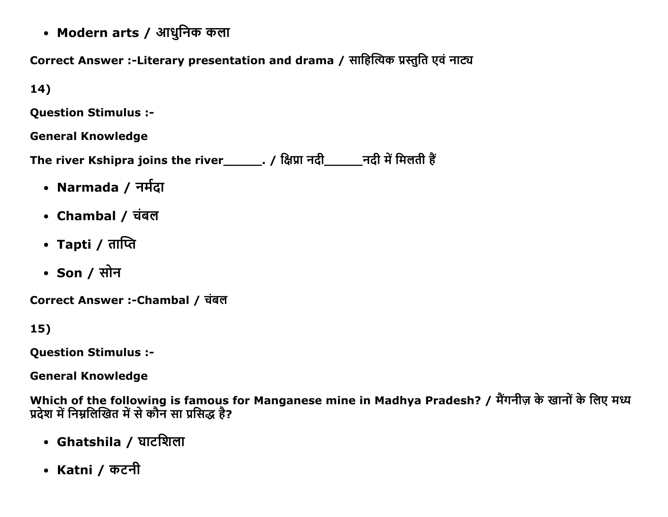• Modern arts / आधुनिक कला

Correct Answer :-Literary presentation and drama / साहित्यिक प्रस्तुति एवं नाट्य

 $14)$ 

**Question Stimulus :-**

**General Knowledge** 

The river Kshipra joins the river\_\_\_\_\_\_\_. / क्षिप्रा नदी\_\_\_\_\_\_\_\_\_नदी में मिलती हैं

- Narmada / नर्मदा
- Chambal / चंबल
- Tapti / ताप्ति
- Son / सोन

Correct Answer :-Chambal / चंबल

 $15)$ 

**Question Stimulus :-**

**General Knowledge** 

Which of the following is famous for Manganese mine in Madhya Pradesh? / मैंगनीज़ के खानों के लिए मध्य प्रदेश में निम्नलिखित में से कौन सा प्रसिद्ध है?

- Ghatshila / घाटशिला
- Katni / कटनी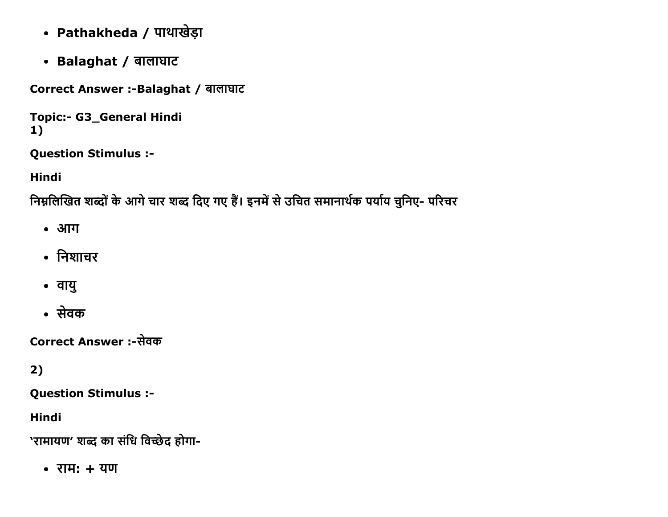- Pathakheda / पाथाखेड़ा
- Balaghat / बालाघाट

Correct Answer :- Balaghat / बालाघाट

```
Topic:- G3_General Hindi
1)
```
**Question Stimulus :-**

**Hindi** 

निम्नलिखित शब्दों के आगे चार शब्द दिए गए हैं। इनमें से उचित समानार्थक पर्याय चुनिए- परिचर

- आग
- निशाचर
- वायु
- सेवक

Correct Answer :-सेवक

## $2)$

**Question Stimulus :-**

**Hindi** 

'रामायण' शब्द का संधि विच्छेद होगा-

 $\bullet$  राम: + यण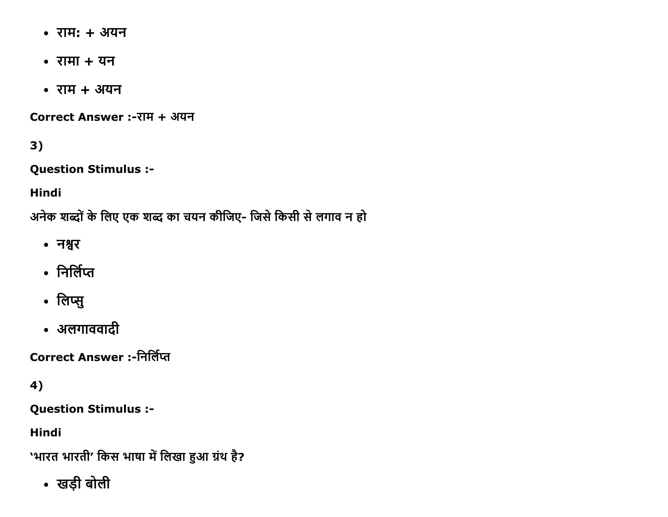- $\overline{3} + 3\overline{4}$
- $\bullet$  रामा + यन
- $\bullet$  राम + अयन

Correct Answer :-राम + अयन

 $3)$ 

**Question Stimulus :-**

**Hindi** 

अनेक शब्दों के लिए एक शब्द का चयन कीजिए- जिसे किसी से लगाव न हो

- नश्वर
- निर्लिप्त
- लिप्सु
- अलगाववादी

**Correct Answer :-निर्लिप्त** 

4)

**Question Stimulus :-**

**Hindi** 

'भारत भारती' किस भाषा में लिखा हुआ ग्रंथ है?

• खड़ी बोली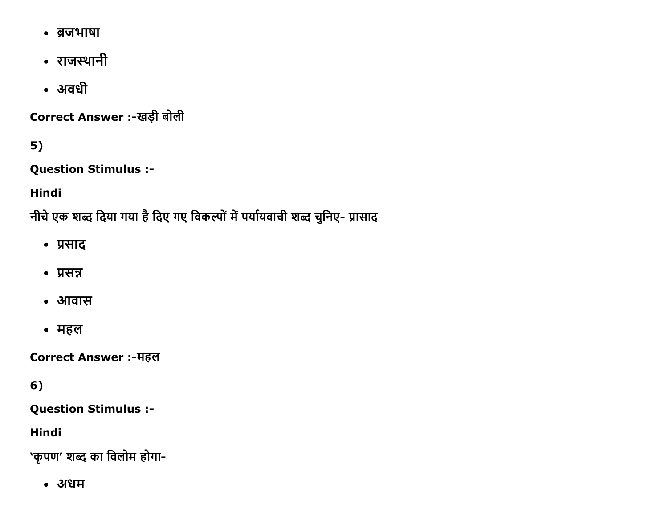- ब्रजभाषा
- राजस्थानी
- अवधी

Correct Answer :-खड़ी बोली

 $5)$ 

**Question Stimulus :-**

**Hindi** 

नीचे एक शब्द दिया गया है दिए गए विकल्पों में पर्यायवाची शब्द चुनिए- प्रासाद

- प्रसाद
- $\cdot$  प्रसन्न
- आवास
- महल

**Correct Answer:-महल** 

 $6)$ 

**Question Stimulus :-**

**Hindi** 

'कृपण' शब्द का विलोम होगा-

• अधम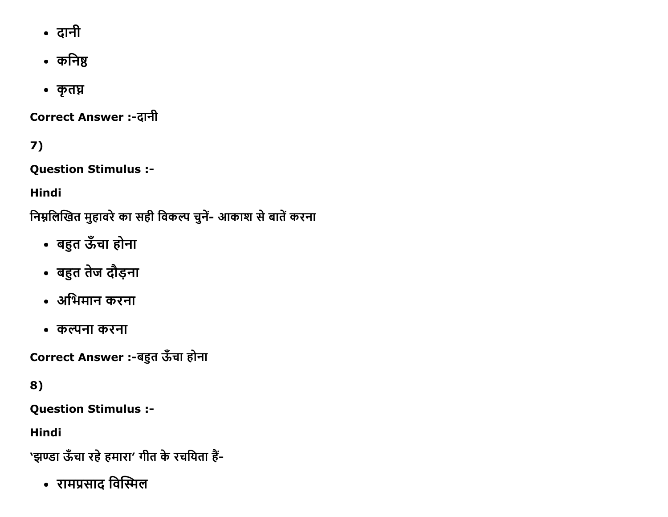- दानी
- कनिष्ठ
- कृतघ्न

Correct Answer :-दानी

7)

Question Stimulus :

Hindi

निम्नलिखित मुहावरे का सही विकल्प चुनें- आकाश से बातें करना

- बहुत ऊँचा होना
- बहुत तेज दौड़ना
- अभिमान करना
- कल्पना करना

Correct Answer :-बहुत ऊँचा होना

8)

Question Stimulus :

Hindi

'झण्डा ऊँचा रहे हमारा' गीत के रचयिता हैं-

• रामप्रसाद विस्मिल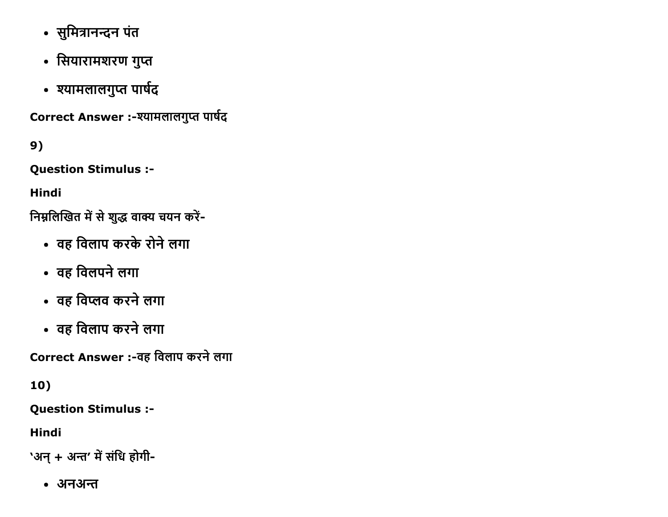- सुमित्रानन्दन पंत
- सियारामशरण गुप्त
- श्यामलालगुप्त पार्षद

Correct Answer :- श्यामलालगुप्त पार्षद

9)

Question Stimulus :

Hindi

निम्नलिखित में से शुद्ध वाक्य चयन करें-

- वह विलाप करके रोने लगा
- वह विलपने लगा
- वह विप्लव करने लगा
- वह विलाप करने लगा

Correct Answer :-वह विलाप करने लगा

10)

Question Stimulus :

Hindi

'अन् + अन्त' में संधि होगी-

• अनअन्त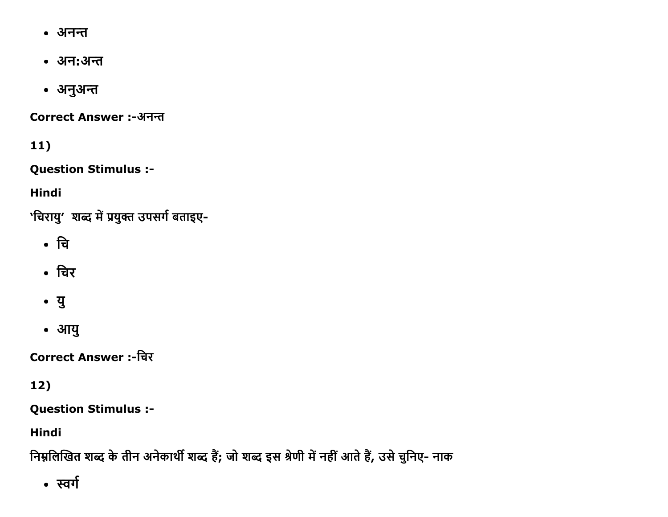- अनन्त
- अन:अन्त
- अनुअन्त

**Correct Answer:-अनन्त** 

 $11)$ 

**Question Stimulus :-**

**Hindi** 

'चिरायु' शब्द में प्रयुक्त उपसर्ग बताइए-

- चि
- चिर
- यु
- आयु

**Correct Answer:-चिर** 

## 12)

**Question Stimulus :-**

**Hindi** 

निम्नलिखित शब्द के तीन अनेकार्थी शब्द हैं; जो शब्द इस श्रेणी में नहीं आते हैं, उसे चुनिए- नाक

• स्वर्ग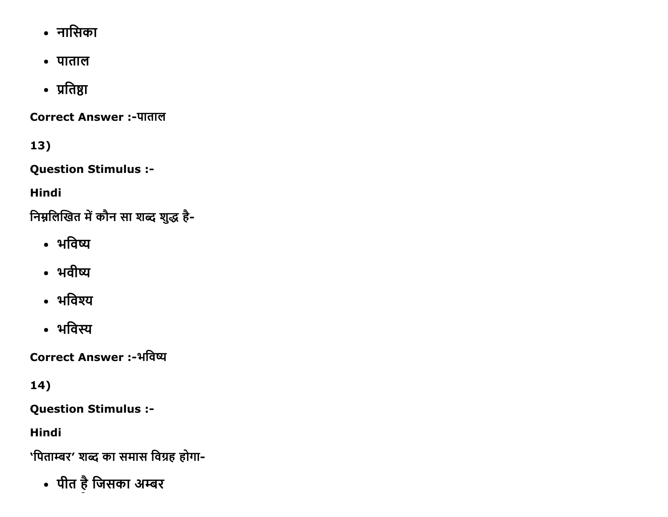- नासिका
- पाताल
- प्रतिष्ठा

**Correct Answer:-पाताल** 

 $13)$ 

**Question Stimulus :-**

**Hindi** 

निम्नलिखित में कौन सा शब्द शुद्ध है-

- भविष्य
- भवीष्य
- भविश्य
- भविस्य

**Correct Answer :-भविष्य** 

14)

**Question Stimulus :-**

**Hindi** 

'पिताम्बर' शब्द का समास विग्रह होगा-

• पीत है जिसका अम्बर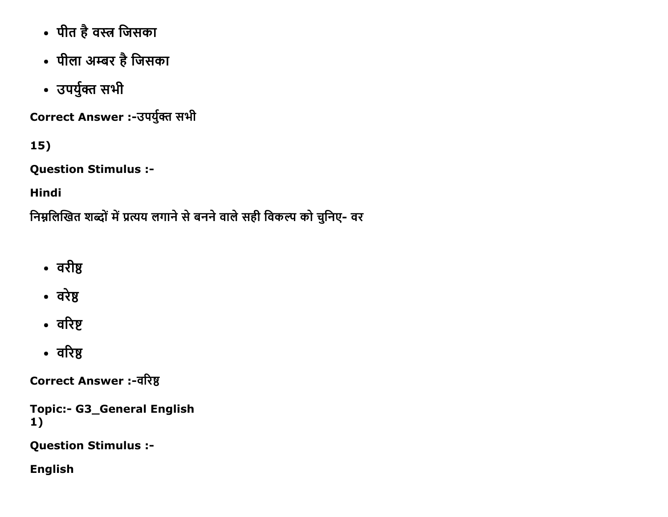- पीत है वस्त्र जिसका
- पीला अम्बर है जिसका
- उपर्युक्त सभी

Correct Answer :-उपर्युक्त सभी

 $15)$ 

**Question Stimulus :-**

**Hindi** 

निम्नलिखित शब्दों में प्रत्यय लगाने से बनने वाले सही विकल्प को चुनिए- वर

- वरीष्ठ
- वरेष्ठ
- वरिष्ट
- वरिष्ठ

**Correct Answer:-वरिष्ठ** 

**Topic:- G3\_General English**  $1)$ 

**Question Stimulus :-**

**English**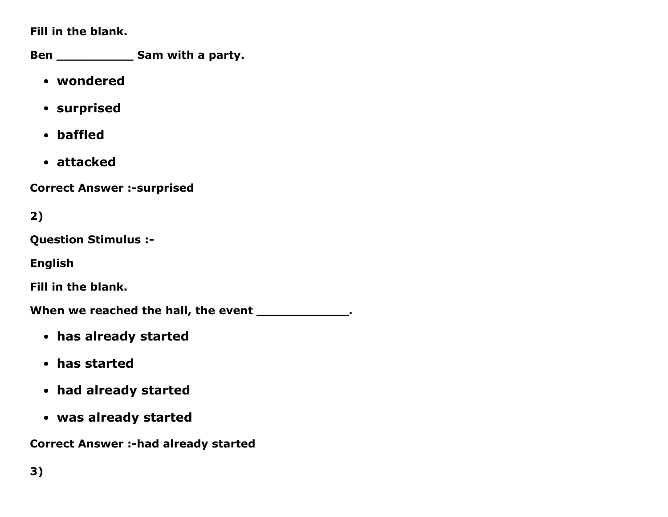Fill in the blank.

Ben \_\_\_\_\_\_\_\_\_\_\_\_\_\_\_ Sam with a party.

- wondered
- surprised
- baffled
- attacked

**Correct Answer :-surprised** 

2)

Question Stimulus :

English

Fill in the blank.

When we reached the hall, the event \_\_\_\_\_\_\_\_\_\_\_\_\_.

- has already started
- has started
- had already started
- was already started

Correct Answer :- had already started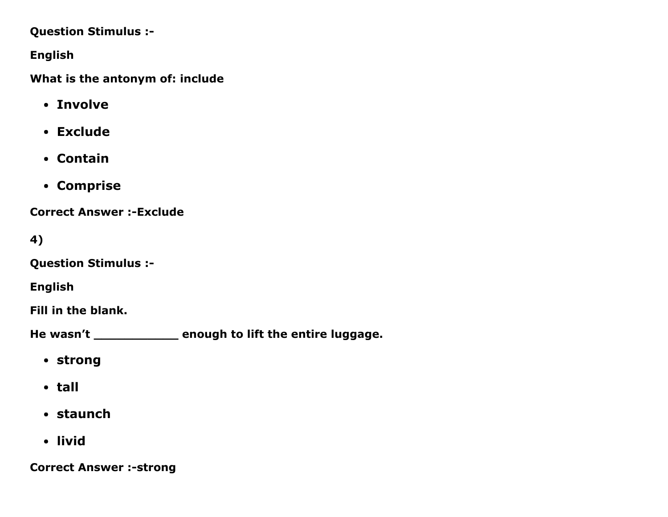#### Question Stimulus :

English

What is the antonym of: include

- Involve
- Exclude
- Contain
- Comprise

**Correct Answer :-Exclude** 

4)

Question Stimulus :

English

Fill in the blank.

He wasn't \_\_\_\_\_\_\_\_\_\_\_\_\_\_ enough to lift the entire luggage.

- strong
- tall
- staunch
- livid

**Correct Answer :-strong**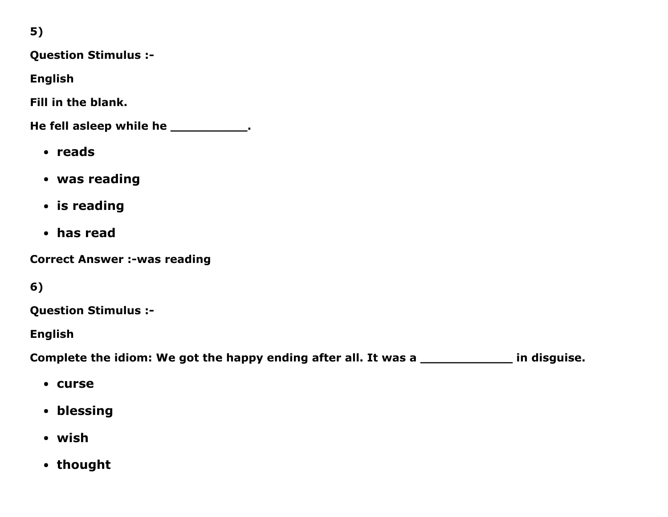5)

Question Stimulus :

English

Fill in the blank.

He fell asleep while he \_\_\_\_\_\_\_\_\_\_\_\_.

- reads
- was reading
- is reading
- has read

**Correct Answer :-was reading** 

6)

Question Stimulus :

English

Complete the idiom: We got the happy ending after all. It was a \_\_\_\_\_\_\_\_\_\_\_\_\_\_\_\_\_ in disguise.

- curse
- blessing
- wish
- thought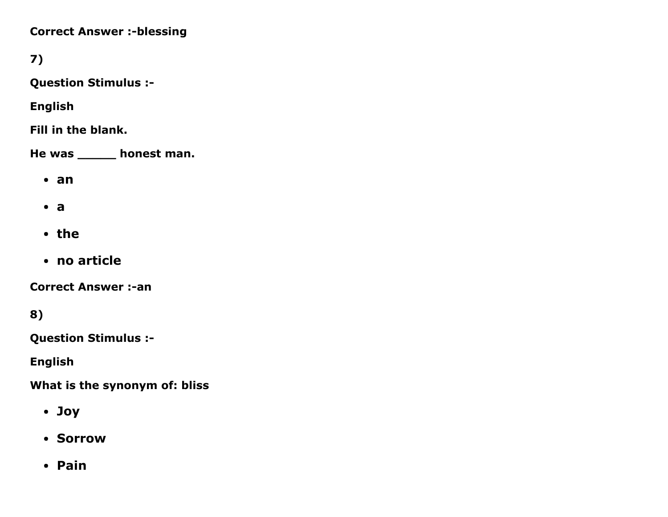**Correct Answer :-blessing** 

7)

Question Stimulus :

English

Fill in the blank.

He was \_\_\_\_\_ honest man.

- an
- $\bullet$  a
- the
- no article

**Correct Answer :-an** 

8)

Question Stimulus :

English

What is the synonym of: bliss

- Joy
- Sorrow
- Pain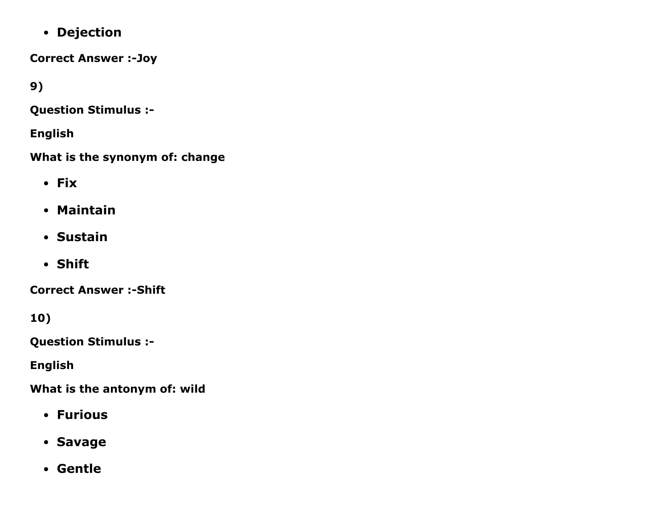Dejection

**Correct Answer :- Joy** 

9)

Question Stimulus :

English

What is the synonym of: change

- Fix
- Maintain
- Sustain
- Shift

**Correct Answer :- Shift** 

10)

Question Stimulus :

English

What is the antonym of: wild

- Furious
- Savage
- Gentle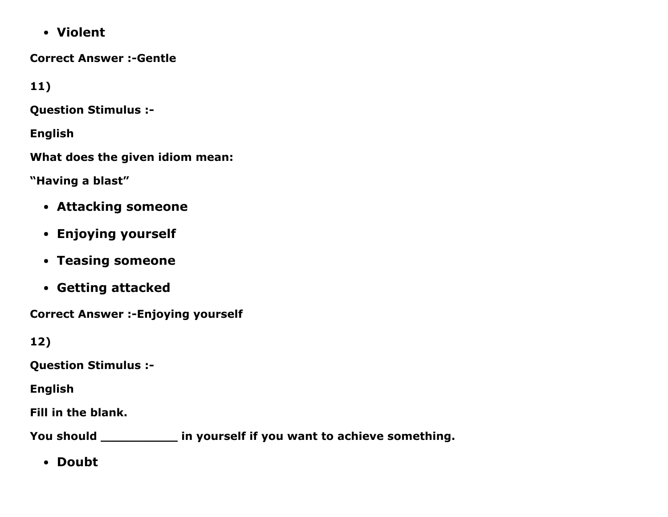Violent

**Correct Answer :- Gentle** 

11)

Question Stimulus :

English

What does the given idiom mean:

"Having a blast"

- Attacking someone
- Enjoying yourself
- Teasing someone
- Getting attacked

**Correct Answer :- Enjoying yourself** 

12)

Question Stimulus :

English

Fill in the blank.

You should \_\_\_\_\_\_\_\_\_\_\_\_\_ in yourself if you want to achieve something.

• Doubt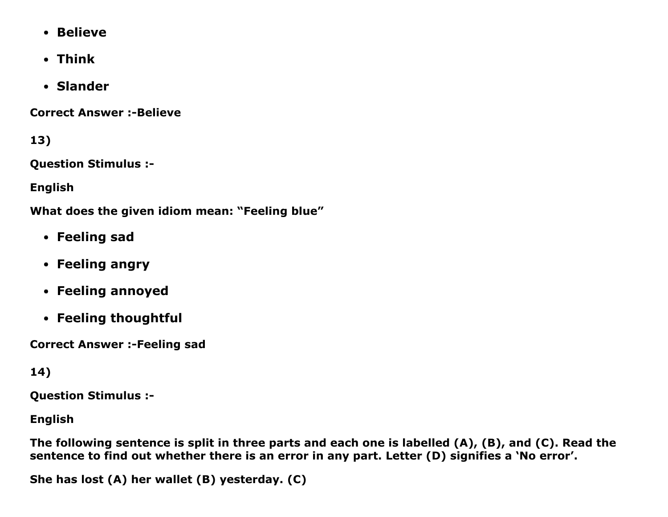- Believe
- Think
- Slander

**Correct Answer :- Believe** 

13)

Question Stimulus :

English

What does the given idiom mean: "Feeling blue"

- Feeling sad
- Feeling angry
- Feeling annoyed
- Feeling thoughtful

**Correct Answer :-Feeling sad** 

## 14)

Question Stimulus :

English

The following sentence is split in three parts and each one is labelled (A), (B), and (C). Read the sentence to find out whether there is an error in any part. Letter (D) signifies a 'No error'.

She has lost (A) her wallet (B) yesterday. (C)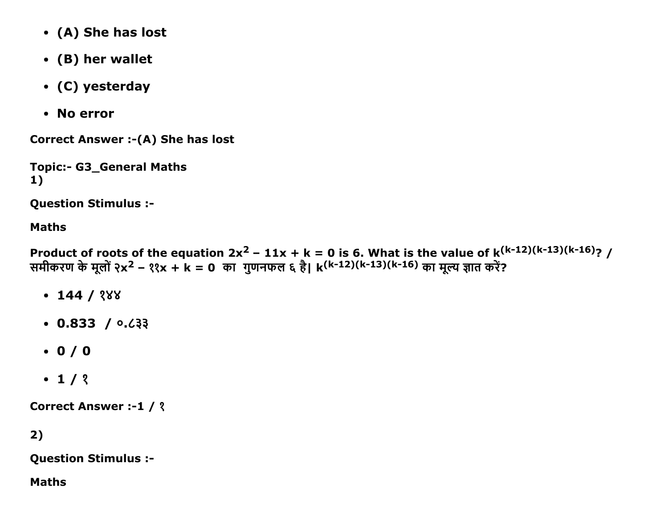- (A) She has lost
- (B) her wallet
- (C) yesterday
- No error

Correct Answer :- (A) She has lost

```
Topic:- G3_General Maths
1)
```
Question Stimulus :

#### Maths

Product of roots of the equation 2x<sup>2</sup> – 11x + k = 0 is 6. What is the value of k<sup>(k-12)(k-13)(k-16)</sup>? / समीकरण के मूलों २x<sup>2</sup> – ११x + k = 0 का गुणनफल ६ है। k<sup>(k-12)(k-13)(k-16)</sup> का मूल्य ज्ञात करें?

- $-144 / 288$
- $\cdot$  0.833 /  $\circ$ . $\circ$ . $\circ$
- $0 / 0$
- $-1/3$

Correct Answer :-1 / ?

## 2)

Question Stimulus :

#### Maths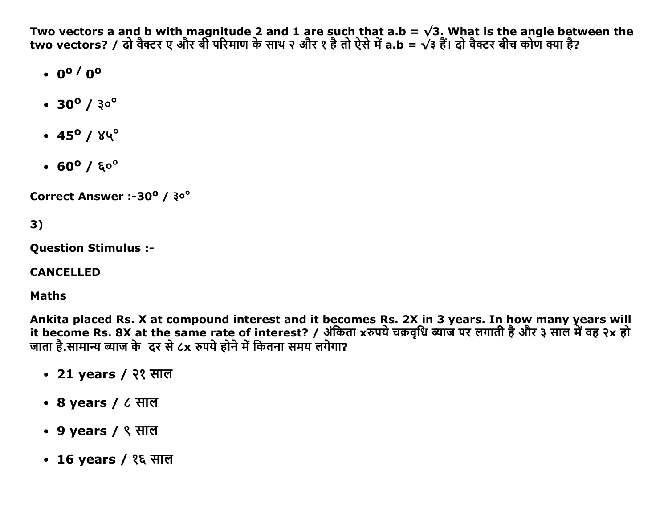Two vectors a and b with magnitude 2 and 1 are such that a.b =  $\sqrt{3}$ . What is the angle between the two vectors? / दो वैक्टर ए और बी परिमाण के साथ २ और १ है तो ऐसे में a.b =  $\sqrt{3}$  हैं। दो वैक्टर बीच कोण क्या है?

- $.0^{\circ}$  / 0<sup>o</sup>
- $\cdot$  30<sup>o</sup> / 3<sup>o</sup><sup>o</sup>
- $\cdot$  45<sup>o</sup> /  $84^{\circ}$
- $\cdot$  60<sup>o</sup> /  $50^{\circ}$

Correct Answer :-30° / 30°

### $3)$

**Ouestion Stimulus :-**

**CANCELLED** 

**Maths** 

Ankita placed Rs. X at compound interest and it becomes Rs. 2X in 3 years. In how many years will it become Rs. 8X at the same rate of interest? / अंकिता xरुपये चक्रवृधि ब्याज पर लगाती है और ३ साल में वह २x हो जाता है.सामान्य ब्याज के दर से ८x रुपये होने में कितना समय लगेगा?

- 21 years / २१ साल
- 8 years / ८ साल
- 9 years / ९ साल
- 16 years / १६ साल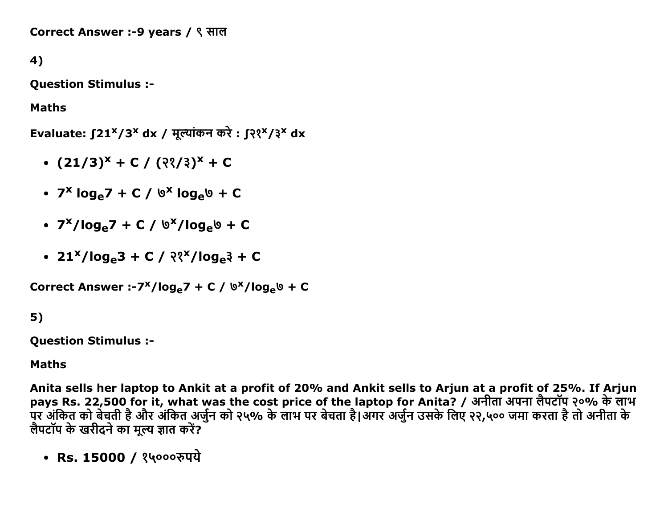Correct Answer :-9 years / ९ साल

4)

Question Stimulus :

Maths

Evaluate: ∫21<sup>x</sup>/3<sup>x</sup> dx / मूल्यांकन करे : ∫२१<sup>x</sup>/३<sup>x</sup> dx

- $(21/3)^{x} + C / (3^{x} / 3)^{x} + C$
- $7^x \log_e 7 + C / 0^x \log_e 0 + C$
- 7<sup>x</sup>/log<sub>e</sub>7 + C / ७<sup>x</sup>/log<sub>e</sub>७ + C
- $\cdot$  21<sup>x</sup>/log<sub>e</sub>3 + C /  $\frac{21^{x}}{10}$ log<sub>e</sub>3 + C

Correct Answer :-7<sup>x</sup>/log<sub>e</sub>7 + C / ७<sup>x</sup>/log<sub>e</sub>७ + C

#### 5)

Question Stimulus :

#### Maths

Anita sells her laptop to Ankit at a profit of 20% and Ankit sells to Arjun at a profit of 25%. If Arjun pays Rs. 22,500 for it, what was the cost price of the laptop for Anita? / अनीता अपना लैपटॉप २०% के लाभ पर अंकित को बेचती है और अंकित अर्जुन को २५% के लाभ पर बेचता है।अगर अर्जुन उसके लिए २२,५०० जमा करता है तो अनीता क लैपटॉप के खरीदने का मुल्य ज्ञात करें?

• Rs. 15000 / १५०००रुपये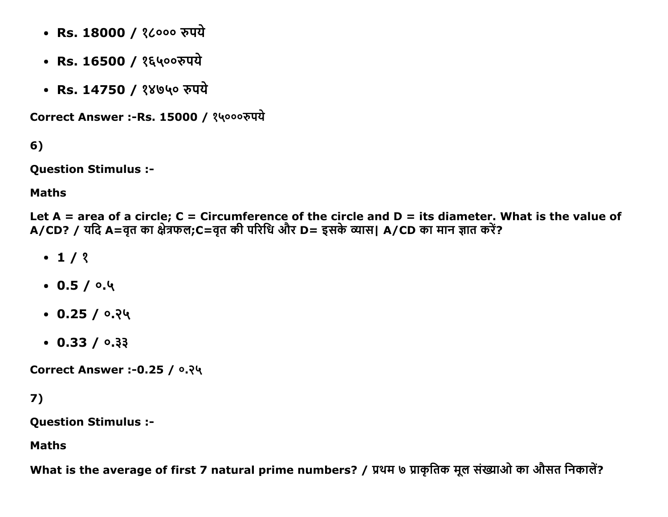- Rs. 18000 / १८००० रुपये
- Rs. 16500 / १६५००रुपये
- Rs. 14750 / १४७५० रुपये

Correct Answer :-Rs. 15000 / १५०००रुपये

 $6)$ 

**Question Stimulus :-**

**Maths** 

Let  $A = area$  of a circle;  $C = Circumference$  of the circle and  $D = its diameter$ . What is the value of A/CD? / यदि A=वृत का क्षेत्रफल; C=वृत की परिधि और D= इसके व्यास। A/CD का मान ज्ञात करें?

- $\cdot$  1/2
- $0.5/0.4$
- $\cdot$  0.25 / 0.24
- $\cdot$  0.33 / 0.33

Correct Answer :- 0.25 / ०.२५

 $7)$ 

**Question Stimulus :-**

**Maths** 

What is the average of first 7 natural prime numbers? / प्रथम ७ प्राकृतिक मूल संख्याओ का औसत निकालें?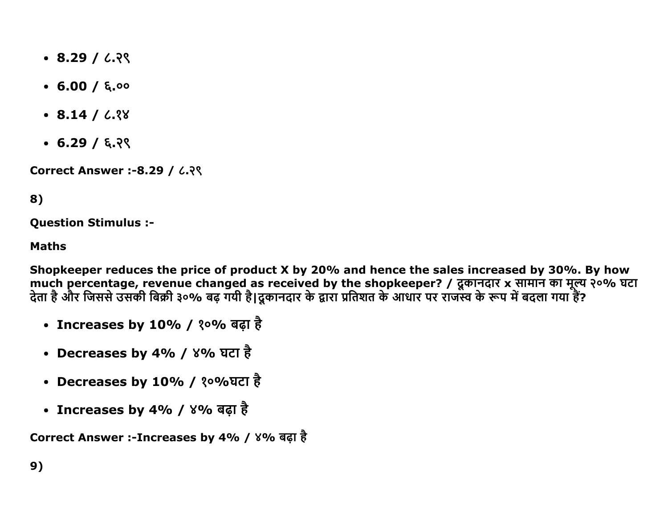- $\cdot$  8.29 / 6.29
- $-6.00 / 6.00$
- $\cdot$  8.14 /  $\frac{7}{3}$
- $\cdot$  6.29 / ६.२९

**Correct Answer :-8.29 / ८.२९** 

## 8)

**Question Stimulus :-**

#### **Maths**

Shopkeeper reduces the price of product X by 20% and hence the sales increased by 30%. By how much percentage, revenue changed as received by the shopkeeper? / दूकानदार x सामान का मूल्य २०% घटा<br>देता है और जिससे उसकी बिक्री ३०% बढ़ गयी है।दूकानदार के द्वारा प्रतिशत के आधार पर राजस्व के रूप में बदला गया हैं?

- Increases by 10% / १०% बढ़ा है
- Decreases by 4% / ४% घटा है
- Decreases by 10% / १०%घटा है
- Increases by 4% / ४% बढ़ा है

Correct Answer :-Increases by 4% / ४% बढ़ा है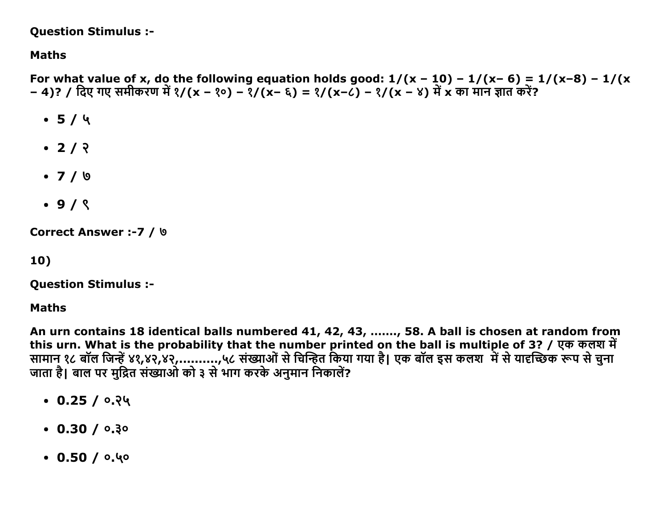#### **Question Stimulus :-**

**Maths** 

For what value of x, do the following equation holds good:  $1/(x - 10) - 1/(x-6) = 1/(x-8) - 1/(x-6)$ - 4)? / दिए गए समीकरण में १/(x - १०) - १/(x- ६) = १/(x-८) - १/(x - ४) में x का मान ज्ञात करें?

- $-5/4$
- $\cdot$  2/  $\sqrt{2}$
- $\bullet$  7 / 9
- $.9/8$

Correct Answer :- 7 / 9

10)

**Question Stimulus :-**

**Maths** 

An urn contains 18 identical balls numbered 41, 42, 43, ......., 58. A ball is chosen at random from this urn. What is the probability that the number printed on the ball is multiple of 3? / एक कलश में सामान १८ बॉल जिन्हें ४१,४२,४२,..........,५८ संख्याओं से चिन्हित किया गया है। एक बॉल इस कलश में से यादच्छिक रूप से चुना जाता है। बाल पर मुद्रित संख्याओं को ३ से भाग करके अनुमान निकालें?

- $\cdot$  0.25 / 0.24
- $\cdot$  0.30 / 0.30
- $0.50/0.40$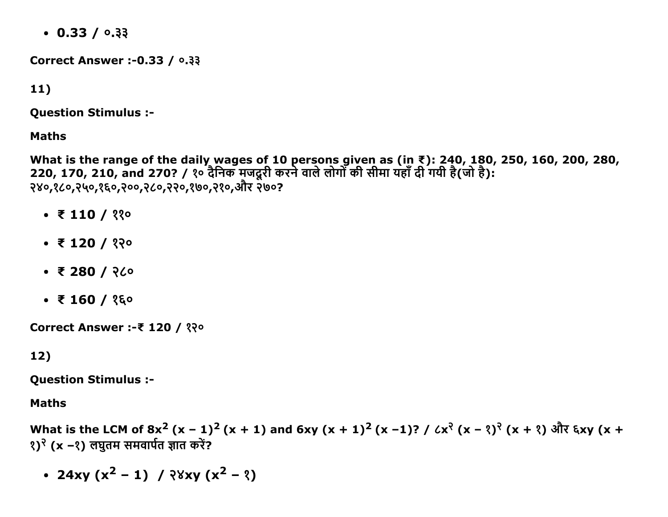$\cdot$  0.33 / 0.33

**Correct Answer :- 0.33 / 0.33** 

 $11)$ 

**Question Stimulus :-**

**Maths** 

What is the range of the daily wages of 10 persons given as (in ₹): 240, 180, 250, 160, 200, 280,<br>220, 170, 210, and 270? / १० दैनिक मजदूरी करने वाले लोगों की सीमा यहाँ दी गयी है(जो है): २४०,१८०,२५०,१६०,२००,२८०,२२०,१७०,२१०,और २७०?

- $\bullet$  ₹ 110 / ११०
- $\bullet$  ₹ 120 / १२०
- $\bullet$  ₹ 280 / २८०
- $\bullet$  ₹ 160 / १६०

Correct Answer :-₹ 120 / १२०

#### $12)$

**Question Stimulus :-**

**Maths** 

What is the LCM of 8x<sup>2</sup> (x − 1)<sup>2</sup> (x + 1) and 6xy (x + 1)<sup>2</sup> (x −1)? / ८x<sup>२</sup> (x − १)<sup>२</sup> (x + १) और ६xy (x + १)<sup>२</sup> (x −१) लघुतम समवार्पत ज्ञात करें?

• 24xy (x<sup>2</sup> – 1) /  $\sqrt{8}$ xy (x<sup>2</sup> – 3)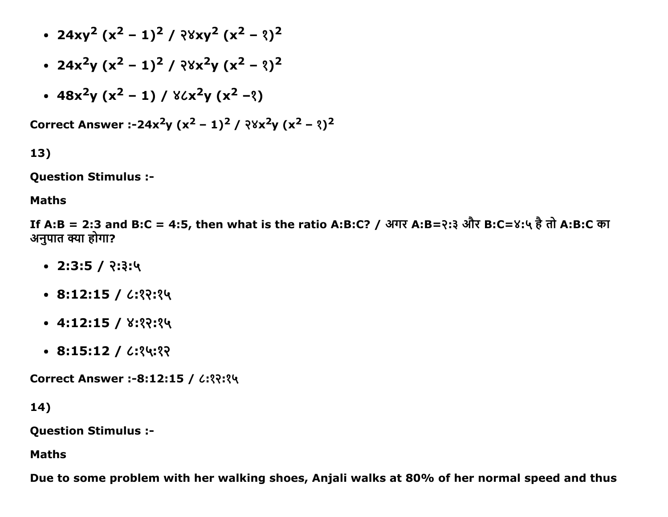- $24xy^{2}(x^{2}-1)^{2}/38xy^{2}(x^{2}-3)^{2}$
- $24x^2y (x^2 1)^2 / 28x^2y (x^2 2)^2$
- $48x^2y(x^2-1)/8$ ሪ $x^2y(x^2-3)$

Correct Answer :-24x<sup>2</sup>y (x<sup>2</sup> – 1)<sup>2</sup> / २४x<sup>2</sup>y (x<sup>2</sup> – १)<sup>2</sup>

13)

Question Stimulus :

#### Maths

If A:B = 2:3 and B:C = 4:5, then what is the ratio A:B:C? / अगर A:B=२:३ और B:C=४:५ है तो A:B:C का अनुपात क्या होगा?

- $\cdot$  2:3:5 / २:३:५
- $\cdot$  8:12:15 /  $\cdot$ : ??: ?
- $-4:12:15 / 8:33:34$
- $\cdot$  8:15:12 /  $\cdot$ : ?4:??

Correct Answer :-8:12:15 / ८:१२:१५

14)

Question Stimulus :

Maths

Due to some problem with her walking shoes, Anjali walks at 80% of her normal speed and thus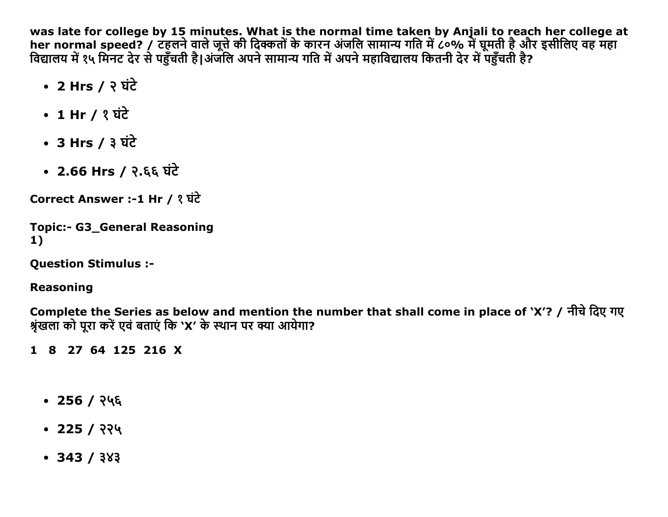was late for college by 15 minutes. What is the normal time taken by Anjali to reach her college at her normal speed? / टहुलने वाले जूत्ते की दिक्कतों के कारन अंजलि सामान्य गति में ८०% में घूमती है और इसीलिए वह महा विद्यालय में १५ मिनट देर से पहुँचती है।अंजलि अपने सामान्य गति में अपने महाविद्यालय कितनी देर में पहुँचती है?

- 2 Hrs /  $\frac{1}{2}$  घंटे
- 1 Hr / ? घंटे
- 3 Hrs /  $3 \overrightarrow{u}$
- 2.66 Hrs / २.६६ घंटे

Correct Answer :-1 Hr / १ घंटे

```
Topic:- G3_General Reasoning
1)
```
**Question Stimulus :-**

#### **Reasoning**

Complete the Series as below and mention the number that shall come in place of 'X'? / नीचे दिए गए श्रंखला को परा करें एवं बताएं कि 'X' के स्थान पर क्या आयेगा?

1 8 27 64 125 216 X

- $\cdot$  256 / २५६
- $\cdot$  225 / २२५
- $-343/383$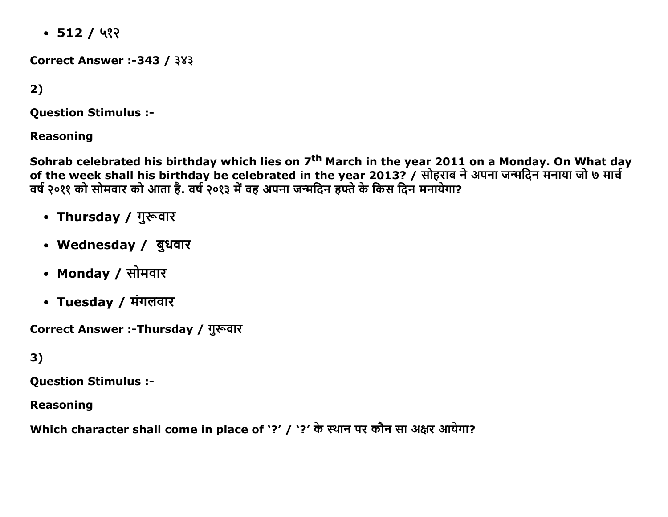$-512/42$ 

**Correct Answer :-343 / 383** 

 $2)$ 

**Question Stimulus :-**

**Reasoning** 

Sohrab celebrated his birthday which lies on 7<sup>th</sup> March in the year 2011 on a Monday. On What day<br>of the week shall his birthday be celebrated in the year 2013? / सोहराब ने अपना जन्मदिन मनाया जो ७ मार्च वर्ष २०११ को सोमवार को आता है. वर्ष २०१३ में वह अपना जन्मदिन हफ्ते के किस दिन मनायेगा?

- Thursday / गुरूवार
- Wednesday / बुधवार
- Monday / सोमवार
- Tuesday / मंगलवार

Correct Answer :-Thursday / गुरूवार

 $3)$ 

**Question Stimulus :-**

**Reasoning** 

Which character shall come in place of '?' / '?' के स्थान पर कौन सा अक्षर आयेगा?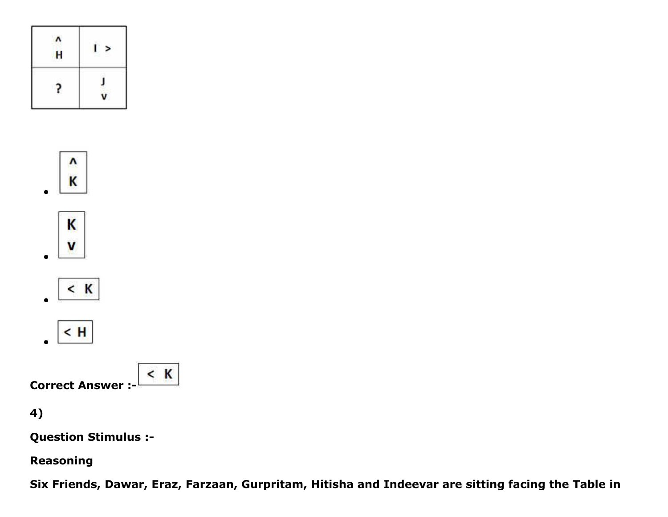| ł                 | ì |
|-------------------|---|
| H                 | R |
| <b>START</b><br>٠ |   |









 $<$  K Correct Answer :

4)

Question Stimulus :

Reasoning

Six Friends, Dawar, Eraz, Farzaan, Gurpritam, Hitisha and Indeevar are sitting facing the Table in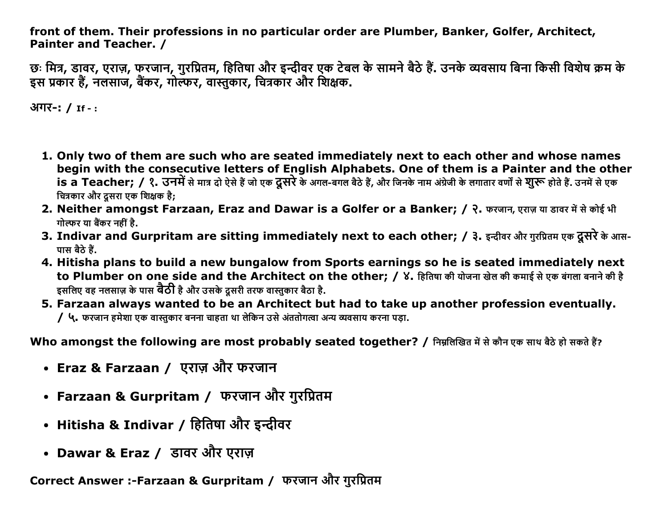front of them. Their professions in no particular order are Plumber, Banker, Golfer, Architect, Painter and Teacher. /

छः मित्र, डावर, एराज़, फरजान, गुरप्रितम, हितिषा और इन्दीवर एक टेबल के सामने बैठे हैं. उनके व्यवसाय बिना किसी विशेष क्रम के इस प्रकार हैं, नलसाज, बैंकर, गोल्फर, वास्तुकार, चित्रकार और शिक्षक.

अगर-: / If -:

- 1. Only two of them are such who are seated immediately next to each other and whose names begin with the consecutive letters of English Alphabets. One of them is a Painter and the other is a Teacher; / १. उनमें से मात्र दो ऐसे हैं जो एक दूसरे के अगल-बगल बैठे हैं, और जिनके नाम अंग्रेजी के लगातार वर्णों से **शुरू** होते हैं. उनमें से एक चित्रकार और दुसरा एक शिक्षक है;
- 2. Neither amongst Farzaan, Eraz and Dawar is a Golfer or a Banker; / २. फरजान, एराज़ या डावर में से कोई भी गोल्फर या बैंकर नहीं है.
- 3. Indivar and Gurpritam are sitting immediately next to each other; / ३. इन्दीवर और गुरप्रितम एक दूसरे के आस-पास बैठे हैं.
- 4. Hitisha plans to build a new bungalow from Sports earnings so he is seated immediately next to Plumber on one side and the Architect on the other; / ४. हितिषा की योजना खेल की कमाई से एक बंगला बनाने की है इसलिए वह नलसाज़ के पास **वैठी** है और उसके दूसरी तरफ वास्तुकार बैठा है.
- 5. Farzaan always wanted to be an Architect but had to take up another profession eventually. / ५. फरजान हमेशा एक वास्तकार बनना चाहता था लेकिन उसे अंततोगत्वा अन्य व्यवसाय करना पड़ा.

Who amongst the following are most probably seated together? / निम्नलिखित में से कौन एक साथ बैठे हो सकते हैं?

- Eraz & Farzaan / एराज़ और फरजान
- Farzaan & Gurpritam / फरजान और गुरप्रितम
- Hitisha & Indivar / हितिषा और इन्दीवर
- Dawar & Eraz / डावर और एराज़

Correct Answer :-Farzaan & Gurpritam / फरजान और गुरप्रितम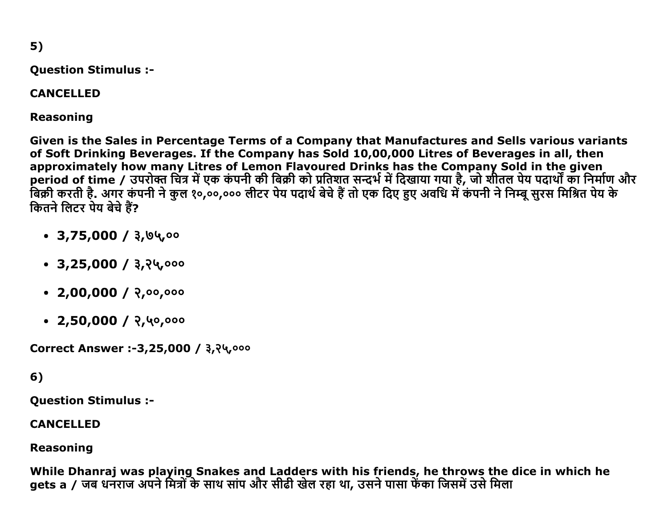$5)$ 

**Question Stimulus :-**

#### **CANCELLED**

**Reasoning** 

Given is the Sales in Percentage Terms of a Company that Manufactures and Sells various variants of Soft Drinking Beverages. If the Company has Sold 10,00,000 Litres of Beverages in all, then approximately how many Litres of Lemon Flavoured Drinks has the Company Sold in the given period of time / उपरोक्त चित्र में एक कंपनी की बिक्री को प्रतिशत सन्दर्भ में दिखाया गया है, जो शीतल पेय पदार्थों का निर्माण और बिक्री करती है. अगर कंपनी ने कुल १०,००,००० लीटर पेय पदार्थ बेचे हैं तो एक दिए हुए अवधि में कंपनी ने निम्बू सुरस मिश्रित पेय के कितने लिटर पेय बेचे हैं?

- $\cdot$  3,75,000 / 3,04,00
- $\cdot$  3,25,000 / 3,24,000
- $\cdot$  2,00,000 / २,००,०००
- $\cdot$  2,50,000 / २,५०,०००

Correct Answer :-3,25,000 / 3,24,000

## 6)

**Ouestion Stimulus :-**

#### **CANCELLED**

## **Reasoning**

While Dhanraj was playing Snakes and Ladders with his friends, he throws the dice in which he gets a / जब धनराज अपने मित्रों के साथ सांप और सीढी खेल रहा था, उसने पासा फेंका जिसमें उसे मिला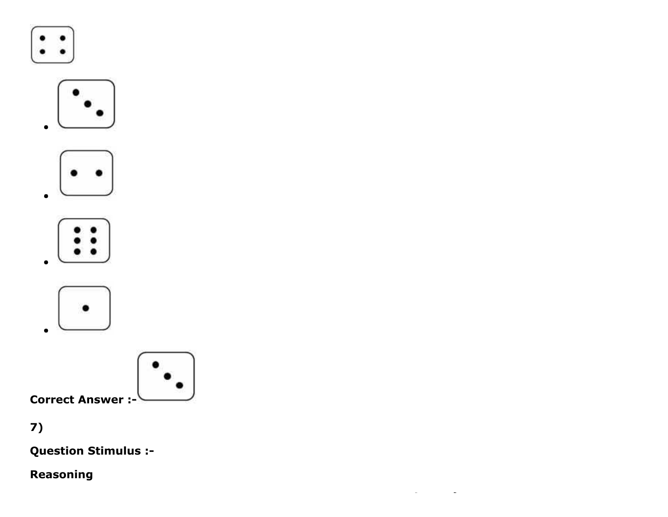











# $7)$

**Question Stimulus :-**

# Reasoning

 $\mathcal{L}_{\mathcal{A}}$  and  $\mathcal{L}_{\mathcal{A}}$  are the set of the set of the set of the set of  $\mathcal{A}$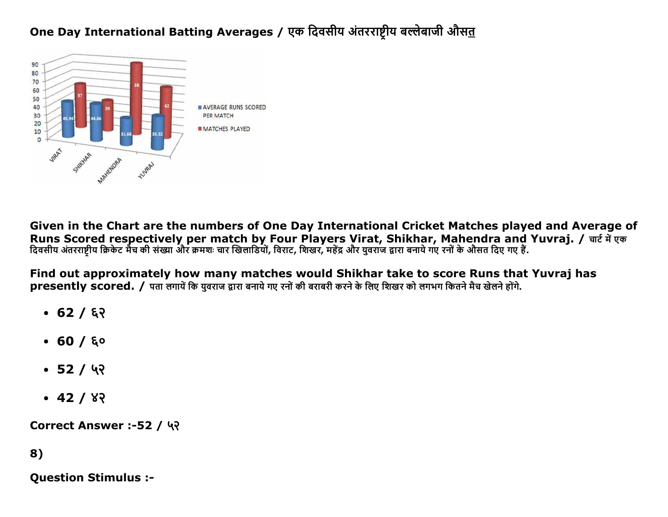# One Day International Batting Averages / एक दिवसीय अंतरराष्ट्रीय बल्लेबाजी औसत



Given in the Chart are the numbers of One Day International Cricket Matches played and Average of Runs Scored respectively per match by Four Players Virat, Shikhar, Mahendra and Yuvraj. / चार्ट में एक दिवसीय अंतरराष्टीय क्रिकेट मैच की संख्या और क्रमशः चार खिलाडियों, विराट, शिखर, महेंद्र और युवराज द्वारा बनाये गए रनों के औसत दिए गए हैं.

Find out approximately how many matches would Shikhar take to score Runs that Yuvraj has presently scored. / पता लगायें कि यवराज द्वारा बनाये गए रनों की बराबरी करने के लिए शिखर को लगभग कितने मैच खेलने होंगे.

- $-62/82$
- $\bullet$  60 / ६०
- $\cdot$  52 / ५२
- $-42/82$

Correct Answer :-52 / ५२

# 8)

**Ouestion Stimulus :-**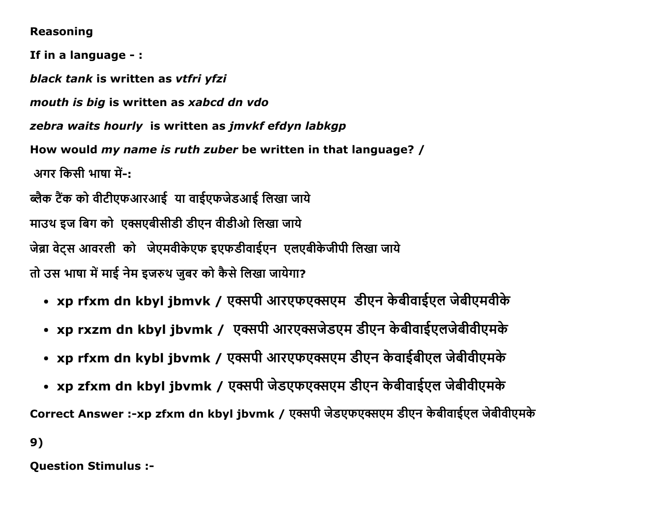#### **Reasoning**

If in a language -: black tank is written as vtfri yfzi mouth is big is written as xabcd dn vdo zebra waits hourly is written as jmvkf efdyn labkgp How would my name is ruth zuber be written in that language? / अगर किसी भाषा में-: ब्लैक टैंक को वीटीएफआरआई या वाईएफजेडआई लिखा जाये माउथ इज बिग को एक्सएबीसीडी डीएन वीडीओ लिखा जाये जेब्रा वेटस आवरली को जेएमवीकेएफ इएफडीवाईएन एलएबीकेजीपी लिखा जाये तो उस भाषा में माई नेम इजरुथ जबर को कैसे लिखा जायेगा?

- xp rfxm dn kbyl jbmvk / एक्सपी आरएफएक्सएम डीएन केबीवाईएल जेबीएमवीके
- xp rxzm dn kbyl jbvmk / एक्सपी आरएक्सजेडएम डीएन केबीवाईएलजेबीवीएमके
- xp rfxm dn kybl jbvmk / एक्सपी आरएफएक्सएम डीएन केवाईबीएल जेबीवीएमके
- xp zfxm dn kbyl jbvmk / एक्सपी जेडएफएक्सएम डीएन केबीवाईएल जेबीवीएमके

Correct Answer :-xp zfxm dn kbyl jbvmk / एक्सपी जेडएफएक्सएम डीएन केबीवाईएल जेबीवीएमके

 $9)$ 

**Question Stimulus :-**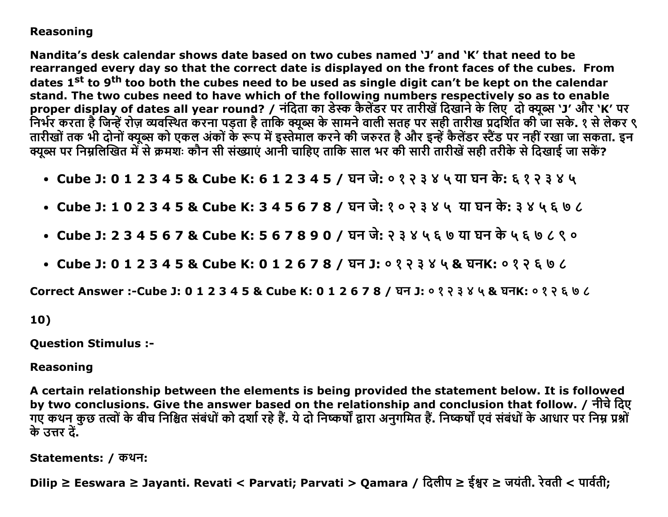### **Reasoning**

Nandita's desk calendar shows date based on two cubes named 'J' and 'K' that need to be rearranged every day so that the correct date is displayed on the front faces of the cubes. From dates 1<sup>st</sup> to 9<sup>th</sup> too both the cubes need to be used as single digit can't be kept on the calendar stand. The two cubes need to have which of the following numbers respectively so as to enable proper display of dates all year round? / नंदिता का डेस्क कैलेंडर पर तारीखें दिखाने के लिए दो क्यूब्स 'J' और 'K' पर निर्भर करता है जिन्हें रोज़ व्यवस्थित करना पड़ता है ताकि क्यूब्स के सामने वाली सतह पर सही तारीख प्रदर्शित की जा सके. १ से लेकर ९ तारीखों तक भी दोनों क्यूब्स को एकल अंकों के रूप में इस्तेमाल करने की जरुरत है और इन्हें कैलेंडर स्टैंड पर नहीं रखा जा सकता. इन क्यब्स पर निम्नलिखित में से क्रमशः कौन सी संख्याएं आनी चाहिए ताकि साल भर की सारी तारीखें सही तरीके से दिखाई जा सकें?

- Cube J: 0 1 2 3 4 5 & Cube K: 6 1 2 3 4 5 / घन जे: ०१२३४ ५ या घन के: ६१२३४ ५
- Cube J: 1 0 2 3 4 5 & Cube K: 3 4 5 6 7 8 / घन जे: १०२३४५ या घन के: ३४५६७८
- Cube J: 2 3 4 5 6 7 & Cube K: 5 6 7 8 9 0 / घन जे: २ ३ ४ ५ ६ ७ या घन के ५ ६ ७ ८ ९ ०
- Cube J: 0 1 2 3 4 5 & Cube K: 0 1 2 6 7 8 / घन J: ०१२३४५ & घनK: ०१२६ ७८

Correct Answer :-Cube J: 0 1 2 3 4 5 & Cube K: 0 1 2 6 7 8 / घन J: ०१२३४५ & घनK: ०१२६७८

#### 10)

**Question Stimulus :-**

#### **Reasoning**

A certain relationship between the elements is being provided the statement below. It is followed by two conclusions. Give the answer based on the relationship and conclusion that follow. / नीचे दिए गए कथन कुछ तत्वों के बीच निश्चित संबंधों को दर्शा रहे हैं. ये दो निष्कर्षों द्वारा अनुगमित हैं. निष्कर्षों एवं संबंधों के आधार पर निम्न प्रश्नों के उत्तर दें.

Statements: / कथन:

Dilip ≥ Eeswara ≥ Jayanti. Revati < Parvati; Parvati > Qamara / दिलीप ≥ ईश्वर ≥ जयंती. रेवती < पार्वती;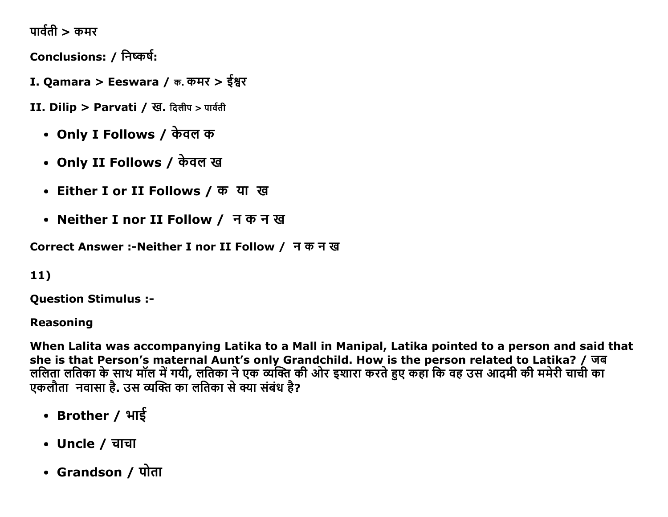पार्वती  $>$  कमर

Conclusions: / निष्कर्ष:

- I. Qamara > Eeswara / क. कमर > ईश्वर
- II. Dilip > Parvati / ख. दिलीप > पार्वती
	- Only I Follows / केवल क
	- Only II Follows / केवल ख
	- Either I or II Follows / क या ख
	- Neither I nor II Follow / नकनख

Correct Answer :- Neither I nor II Follow / न क न ख

 $11)$ 

**Ouestion Stimulus :-**

**Reasoning** 

When Lalita was accompanying Latika to a Mall in Manipal, Latika pointed to a person and said that she is that Person's maternal Aunt's only Grandchild. How is the person related to Latika? / जब ललिता लतिका के साथ मॉल में गयी, लतिका ने एक व्यक्ति की ओर इशारा करते हुए कहा कि वह उस आदमी की ममेरी चाची का एकलौता नवासा है. उस व्यक्ति का लतिका से क्या संबंध है?

- Brother / भाई
- Uncle / चाचा
- Grandson / पोता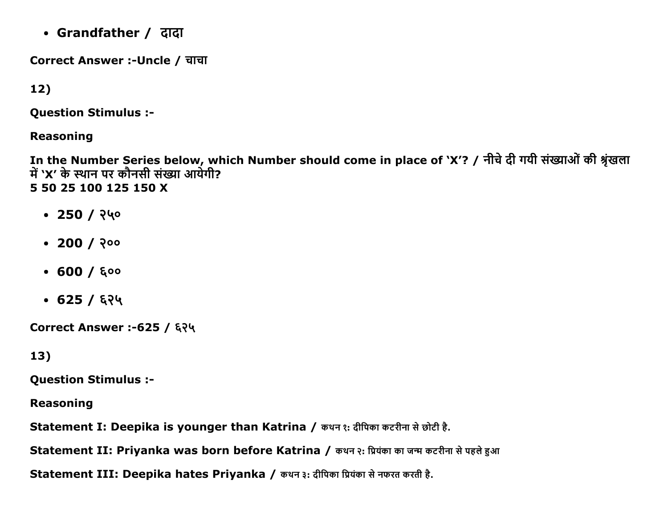• Grandfather / दादा

Correct Answer :-Uncle / चाचा

 $12)$ 

**Question Stimulus :-**

**Reasoning** 

In the Number Series below, which Number should come in place of 'X'? / नीचे दी गयी संख्याओं की श्रृंखला<br>में 'X' के स्थान पर कौनसी संख्या आयेगी? 5 50 25 100 125 150 X

- $\cdot$  250 / २५०
- $\cdot$  200 / २००
- $-600/600$
- $\cdot$  625 / ६२५

Correct Answer :- 625 / ६२५

13)

**Question Stimulus :-**

**Reasoning** 

Statement I: Deepika is younger than Katrina / कथन १: दीपिका कटरीना से छोटी है.

Statement II: Priyanka was born before Katrina / कथन २: प्रियंका का जन्म कटरीना से पहले हुआ

Statement III: Deepika hates Priyanka / कथन ३: दीपिका प्रियंका से नफरत करती है.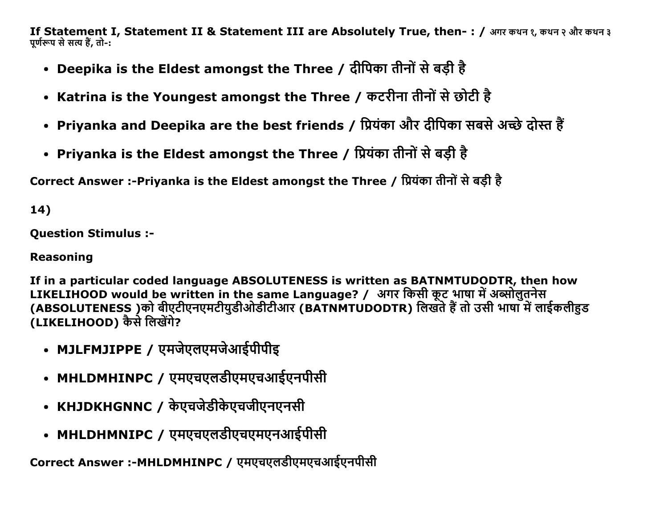If Statement I, Statement II & Statement III are Absolutely True, then-: / अगर कथन १, कथन २ और कथन ३ पूर्णरूप से सत्य हैं, तो-:

- Deepika is the Eldest amongst the Three / दीपिका तीनों से बड़ी है
- Katrina is the Youngest amongst the Three / कटरीना तीनों से छोटी है
- Priyanka and Deepika are the best friends / प्रियंका और दीपिका सबसे अच्छे दोस्त हैं
- Priyanka is the Eldest amongst the Three / प्रियंका तीनों से बड़ी है

Correct Answer :-Priyanka is the Eldest amongst the Three / प्रियंका तीनों से बड़ी है

14)

**Question Stimulus :-**

**Reasoning** 

If in a particular coded language ABSOLUTENESS is written as BATNMTUDODTR, then how LIKELIHOOD would be written in the same Language? / अगर किसी कूट भाषा में अब्सोलुतनेस (ABSOLUTENESS )को बीएटीएनएमटीयुडीओडीटीआर (BATNMTUDODTR) लिखते हैं तो उसी भाषा में लाईकलीहुड (LIKELIHOOD) कैसे लिखेंगे?

- MJLFMJIPPE / एमजेएलएमजेआईपीपीइ
- MHLDMHINPC / एमएचएलडीएमएचआईएनपीसी
- KHJDKHGNNC / केएचजेडीकेएचजीएनएनसी
- MHLDHMNIPC / एमएचएलडीएचएमएनआईपीसी

Correct Answer :-MHLDMHINPC / एमएचएलडीएमएचआईएनपीसी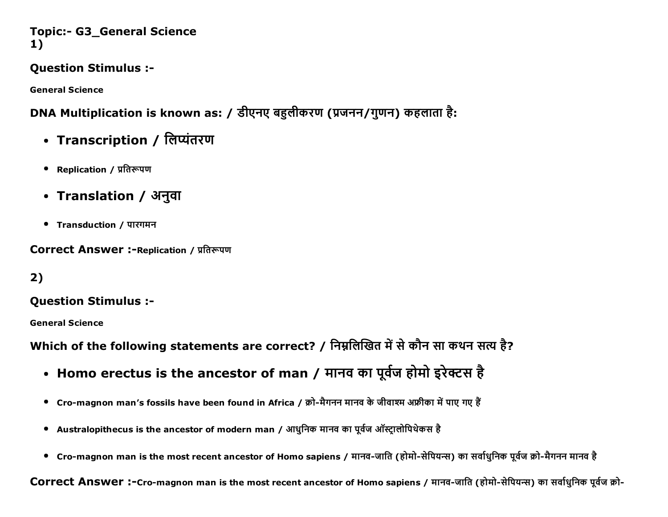### **Topic:- G3\_General Science** 1)

# **Ouestion Stimulus :-**

**General Science** 

# DNA Multiplication is known as: / डीएनए बहुलीकरण (प्रजनन/गुणन) कहलाता है:

- Transcription / लिप्यंतरण
- Replication / प्रतिरूपण
- Translation / अनुवा
- Transduction / पारगमन

### **Correct Answer :-Replication / प्रतिरूपण**

 $2)$ 

# **Question Stimulus :-**

**General Science** 

Which of the following statements are correct? / निम्नलिखित में से कौन सा कथन सत्य है?

- Homo erectus is the ancestor of man / मानव का पूर्वज होमो इरेक्टस है
- Cro-magnon man's fossils have been found in Africa / क्रो-मैगनन मानव के जीवाश्म अफ्रीका में पाए गए हैं
- Australopithecus is the ancestor of modern man / आधुनिक मानव का पूर्वज ऑस्टालोपिथेकस है
- Cro-magnon man is the most recent ancestor of Homo sapiens / मानव-जाति (होमो-सेपियन्स) का सर्वाधुनिक पूर्वज क्रो-मैगनन मानव है

Correct Answer :-Cro-magnon man is the most recent ancestor of Homo sapiens / मानव-जाति (होमो-सेपियन्स) का सर्वाधूनिक पूर्वज क्रो-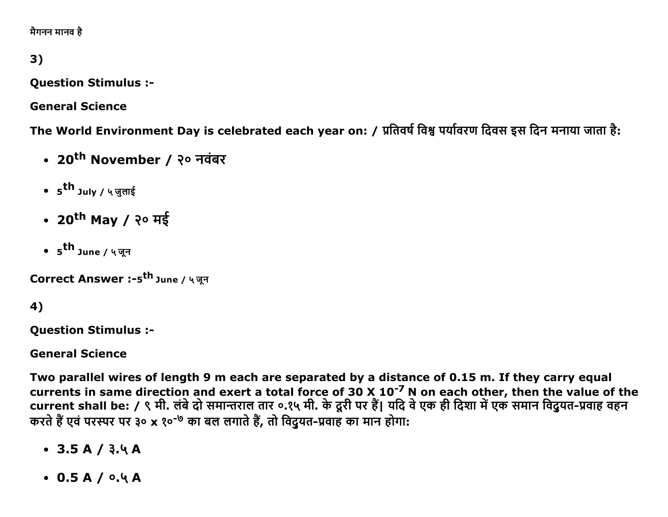मैगनन मानव है

# 3)

**Question Stimulus :-**

**General Science** 

The World Environment Day is celebrated each year on: / प्रतिवर्ष विश्व पर्यावरण दिवस इस दिन मनाया जाता है:

- 20<sup>th</sup> November / २० नवंबर
- 5<sup>th</sup> July / ५ जुलाई
- 20<sup>th</sup> May / २० मई
- 5<sup>th</sup> June / ५ जन

Correct Answer :-5<sup>th</sup> June / ५ जून

# 4)

**Question Stimulus :-**

**General Science** 

Two parallel wires of length 9 m each are separated by a distance of 0.15 m. If they carry equal currents in same direction and exert a total force of 30 X 10<sup>-7</sup> N on each other, then the value of the<br>current shall be: / ९ मी. लंबे दो समान्तराल तार ०.१५ मी. के दूरी पर हैं। यदि वे एक ही दिशा में एक समान विदुयत-प्रवाह करते हैं एवं परस्पर पर ३० x १०<sup>-७</sup> का बल लगाते हैं, तो विदयत-प्रवाह का मान होगा:

- $\bullet$  3.5 A / 3.4 A
- $0.5A/0.4A$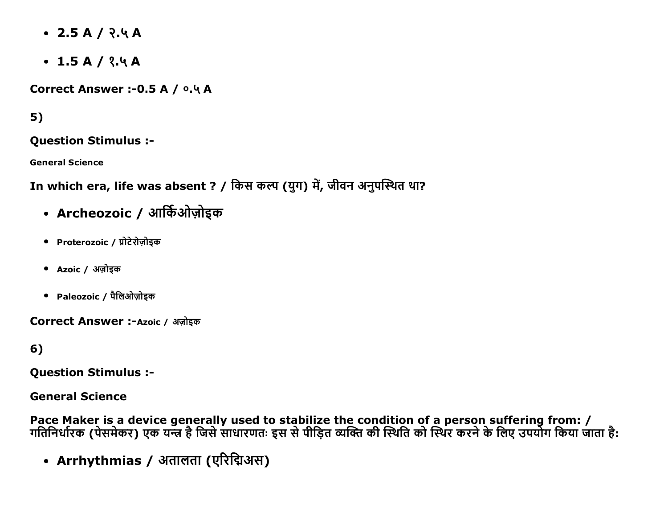- $\bullet$  2.5 A / २.५ A
- $\cdot$  1.5 A / ?.4 A

Correct Answer :- 0.5 A / 0.4 A

# $5)$

**Question Stimulus :-**

**General Science** 

In which era, life was absent ? / किस कल्प (युग) में, जीवन अनुपस्थित था?

- Archeozoic / आर्किओज़ोइक
- Proterozoic / प्रोटेरोज़ोडक
- Azoic / अज़ोइक
- Paleozoic / पैलिओज़ोडक

Correct Answer :- Azoic / अज़ोइक

6)

**Question Stimulus :-**

**General Science** 

Pace Maker is a device generally used to stabilize the condition of a person suffering from: /<br>गतिनिर्धारक (पेसमेकर) एक यन्त्र है जिसे साधारणतः इस से पीड़ित व्यक्ति की स्थिति को स्थिर करने के लिए उपयोग किया जाता है:

• Arrhythmias / अतालता (एरिद्मिअस)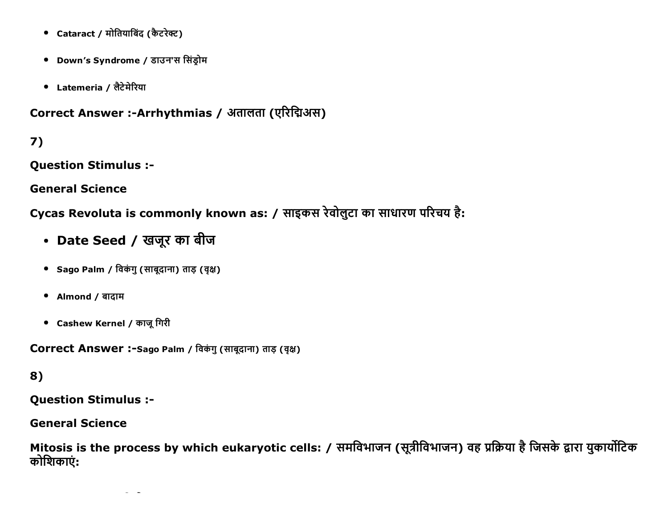- Cataract / मोतियाबिंद (कैटरेक्ट)
- Down's Syndrome / डाउन'स सिंड्रोम
- Latemeria / लैटेमेरिया

Correct Answer :-Arrhythmias / अतालता (एरिद्मिअस)

7)

**Question Stimulus :-**

**General Science** 

Cycas Revoluta is commonly known as: / साइकस रेवोलुटा का साधारण परिचय है:

- Date Seed / खजूर का बीज
- Sago Palm / विकंगु (साबूदाना) ताड़ (वृक्ष)
- Almond / बादाम
- Cashew Kernel / काजू गिरी

Correct Answer :- Sago Palm / विकंगु (साबूदाना) ताड़ (वृक्ष)

# 8)

**Question Stimulus :-**

**General Science** 

Mitosis is the process by which eukaryotic cells: / समविभाजन (सूत्रीविभाजन) वह प्रक्रिया है जिसके द्वारा युकार्योटिक कोशिकाएं: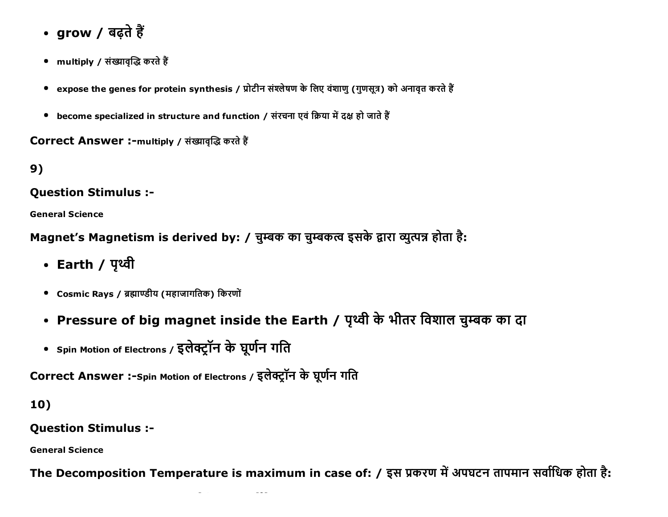- grow / बढ़ते हैं
- multiply / संख्यावृद्धि करते हैं
- expose the genes for protein synthesis / प्रोटीन संश्लेषण के लिए वंशाण (गुणसूत्र) को अनावृत करते हैं
- become specialized in structure and function / संरचना एवं क्रिया में दक्ष हो जाते हैं

Correct Answer :-multiply / संख्यावृद्धि करते हैं

 $9)$ 

#### **Question Stimulus :-**

**General Science** 

Magnet's Magnetism is derived by: / चुम्बक का चुम्बकत्व इसके द्वारा व्युत्पन्न होता है:

- Earth / पृथ्वी
- Cosmic Rays / ब्रह्माण्डीय (महाजागतिक) किरणों
- Pressure of big magnet inside the Earth / पृथ्वी के भीतर विशाल चुम्बक का दा
- Spin Motion of Electrons / इलेक्ट्रॉन के घूर्णन गति

Correct Answer :-Spin Motion of Electrons / इलेक्ट्रॉन के घूर्णन गति

# 10)

# **Ouestion Stimulus :-**

**General Science** 

The Decomposition Temperature is maximum in case of: / इस प्रकरण में अपघटन तापमान सर्वाधिक होता है: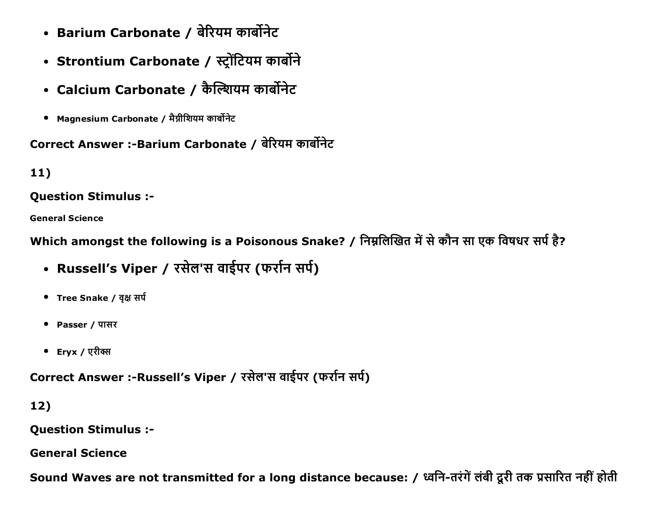- Barium Carbonate / बेरियम कार्बोनेट
- Strontium Carbonate / स्ट्रोंटियम कार्बोने
- Calcium Carbonate / कैल्शियम कार्बोनेट
- Magnesium Carbonate / मैग्नीशियम कार्बोनेट

# Correct Answer :-Barium Carbonate / बेरियम कार्बोनेट

# 11)

# Question Stimulus :

General Science

Which amongst the following is a Poisonous Snake? / निम्नलिखित में से कौन सा एक विषधर सर्प है?

- Russell's Viper / रसेल'स वाईपर (फर्रान सर्प)
- Tree Snake / वृक्ष सर्प
- Passer / पासर
- Eryx / एरीक्स

Correct Answer :-Russell's Viper / रसेल'स वाईपर (फर्रान सर्प)

12)

Question Stimulus :

General Science

Sound Waves are not transmitted for a long distance because: / ध्वनि-तरंगें लंबी दूरी तक प्रसारित नहीं होती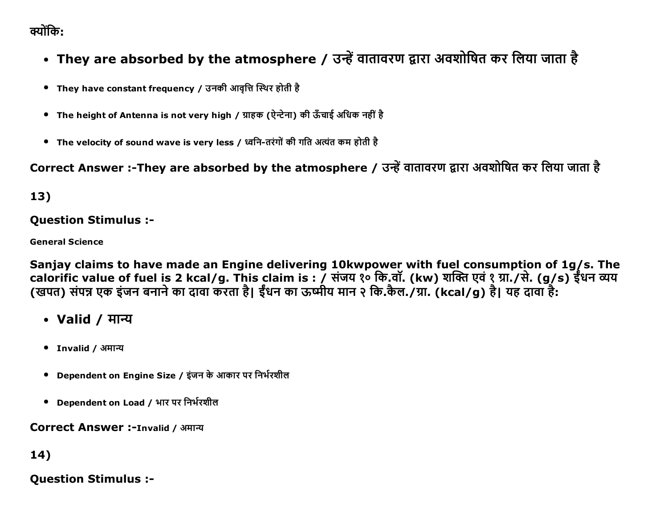व्योंकि:

- They are absorbed by the atmosphere / उन्हें वातावरण द्वारा अवशोषित कर लिया जाता है
- They have constant frequency / उनकी आवृत्ति स्थिर होती है
- The height of Antenna is not very high / ग्राहक (ऐन्टेना) की ऊँचाई अधिक नहीं है
- The velocity of sound wave is very less / ध्वनि-तरंगों की गति अत्यंत कम होती है

Correct Answer :-They are absorbed by the atmosphere / उन्हें वातावरण द्वारा अवशोषित कर लिया जाता है

13)

### Question Stimulus :

General Science

Sanjay claims to have made an Engine delivering 10kwpower with fuel consumption of 1g/s. The calorific value of fuel is 2 kcal/g. This claim is : / संजय १० कि.वॉ. (kw) शक्ति एवं १ ग्रा./से. (g/s) ईंधन व्यय (खपत) संपन्न एक इंजन बनाने का दावा करता है। ईंधन का ऊष्मीय मान २ कि.कैल./ग्रा. (kcal/g) है। यह दावा है:

- Valid / मान्य
- Invalid / अमान्य
- Dependent on Engine Size / इंजन के आकार पर निर्भरशील
- Dependent on Load / भार पर निर्भरशील

Correct Answer :-Invalid / अमान्य

14)

Question Stimulus :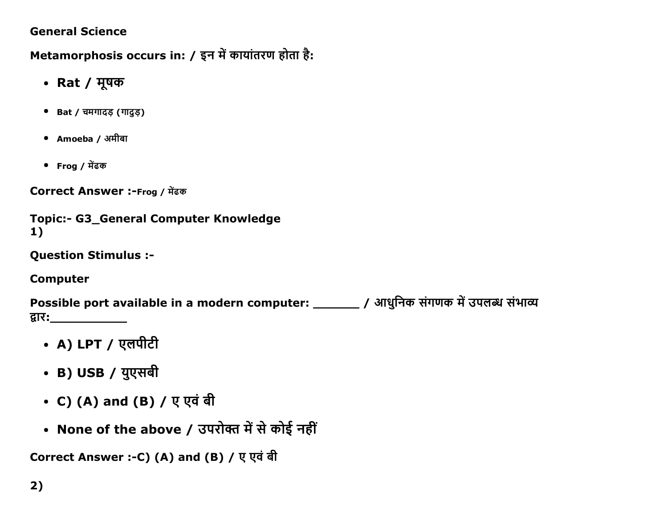## **General Science**

Metamorphosis occurs in: / इन में कायांतरण होता है:

- Rat / मूषक
- Bat / चमगादड़ (गादुड़)
- Amoeba / अमीबा
- Frog / मेंढक

Correct Answer :-Frog / मेंढक

```
Topic:- G3 General Computer Knowledge
1)
```
**Question Stimulus :-**

**Computer** 

Possible port available in a modern computer: \_\_\_\_\_\_ / आधुनिक संगणक में उपलब्ध संभाव्य द्वारः\_\_\_\_\_\_\_\_\_\_\_\_\_

- A) LPT / एलपीटी
- B) USB / युएसबी
- C) (A) and (B) / ए एवं बी
- None of the above / उपरोक्त में से कोई नहीं

Correct Answer :- C) (A) and (B) / ए एवं बी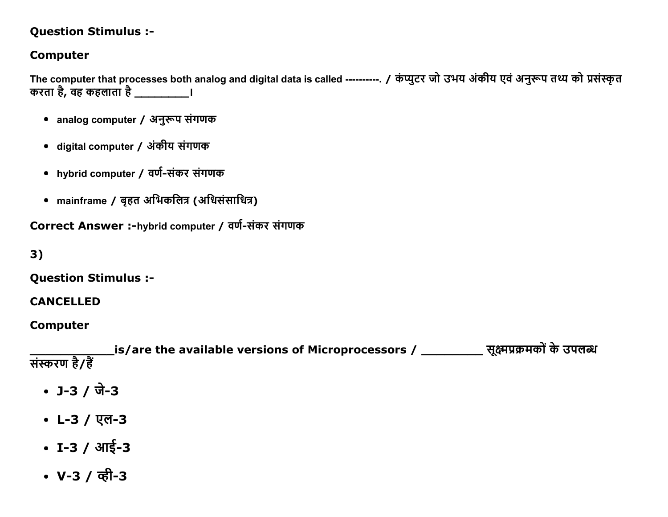# **Question Stimulus :-**

# **Computer**

The computer that processes both analog and digital data is called ---------. / कंप्यूटर जो उभय अंकीय एवं अनुरूप तथ्य को प्रसंस्कृत करता है, वह कहलाता है \_\_\_\_\_\_\_\_\_\_\_।

- analog computer / अनुरूप संगणक
- digital computer / अंकीय संगणक
- hybrid computer / वर्ण-संकर संगणक
- mainframe / बृहत अभिकलित्र (अधिसंसाधित्र)

Correct Answer :-hybrid computer / वर्ण-संकर संगणक

 $3)$ 

**Ouestion Stimulus :-**

#### **CANCELLED**

### **Computer**

\_is/are the available versions of Microprocessors / \_\_\_\_\_\_\_\_\_\_\_\_ सूक्ष्मप्रक्रमकों के उपलब्ध संस्करण है/हैं

- $J-3 / \overline{d} 3$
- L-3 / एल-3
- $I 3 / 3\sqrt{5} 3$
- V-3 / व्ही-3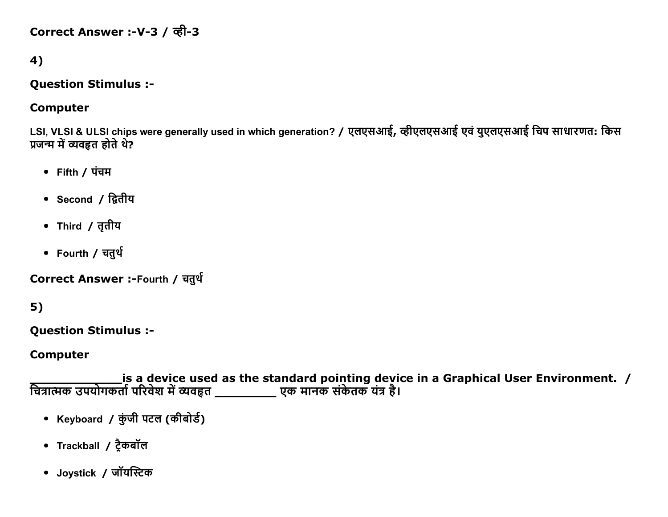Correct Answer :-V-3 / व्ही-3

# 4)

#### **Question Stimulus :-**

#### **Computer**

LSI, VLSI & ULSI chips were generally used in which generation? / एलएसआई, व्हीएलएसआई एवं युएलएसआई चिप साधारणत: किस प्रजन्म में व्यवहृत होते थे?

- Fifth / पंचम
- Second / द्वितीय
- Third / तृतीय
- Fourth / चतुर्थ

Correct Answer :-Fourth / चतुर्थ

# $5)$

**Question Stimulus :-**

#### **Computer**

is a device used as the standard pointing device in a Graphical User Environment. / चित्रात्मक उपयोगकर्ता परिवेश में व्यवहृत \_\_\_\_\_\_\_\_\_\_\_ एक मानक संकेतक यंत्र है।

- Keyboard / कुंजी पटल (कीबोर्ड)
- Trackball / टैकबॉल
- Joystick / जॉयस्टिक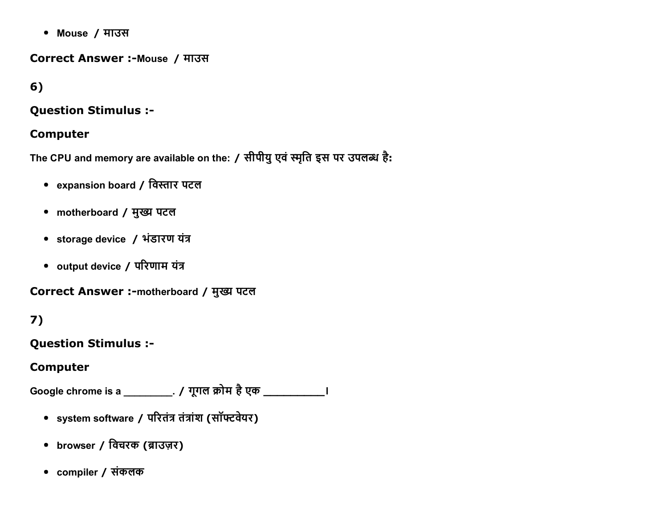• Mouse / माउस

Correct Answer :- Mouse / माउस

# $6)$

### **Question Stimulus :-**

### **Computer**

The CPU and memory are available on the: / सीपीयु एवं स्मृति इस पर उपलब्ध है:

- expansion board / विस्तार पटल
- motherboard / मुख्य पटल
- storage device / भंडारण यंत्र
- output device / परिणाम यंत्र

Correct Answer :-motherboard / मुख्य पटल

# 7)

**Question Stimulus :-**

# **Computer**

Google chrome is a \_\_\_\_\_\_\_\_\_\_\_. / गूगल क्रोम है एक \_\_\_\_\_\_\_\_\_\_\_\_\_\_\_\_\_\_\_\_\_\_\_\_\_\_\_\_\_\_

- system software / परितंत्र तंत्रांश (सॉफ्टवेयर)
- browser / विचरक (ब्राउज़र)
- compiler / संकलक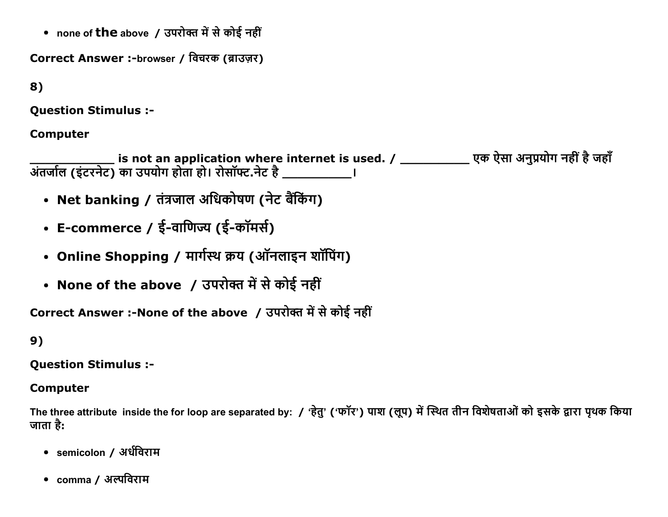• none of the above / उपरोक्त में से कोई नहीं

Correct Answer :-browser / विचरक (ब्राउज़र)

8)

**Question Stimulus :-**

#### **Computer**

- Net banking / तंत्रजाल अधिकोषण (नेट बैंकिंग)
- E-commerce / ई-वाणिज्य (ई-कॉमर्स)
- Online Shopping / मार्गस्थ क्रय (ऑनलाइन शॉपिंग)
- None of the above / उपरोक्त में से कोई नहीं

Correct Answer :-None of the above / उपरोक्त में से कोई नहीं

# 9)

#### **Question Stimulus :-**

#### **Computer**

The three attribute inside the for loop are separated by: / 'हेतु' ('फॉर') पाश (लूप) में स्थित तीन विशेषताओं को इसके द्वारा पृथक किया जाता है:

- semicolon / अर्धविराम
- $\,$  comma / अल्पविराम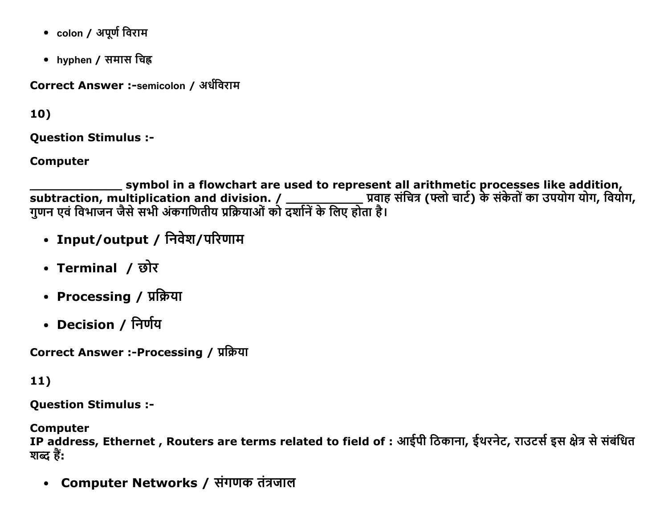- colon / अपूर्ण विराम
- hyphen / समास चिह्न

Correct Answer :-semicolon / अर्धविराम

10)

**Ouestion Stimulus :-**

**Computer** 

symbol in a flowchart are used to represent all arithmetic processes like addition, 

- Input/output / निवेश/परिणाम
- Terminal / छोर
- Processing / प्रक्रिया
- Decision / निर्णय

Correct Answer :-Processing / प्रक्रिया

 $11)$ 

**Question Stimulus :-**

**Computer** 

IP address, Ethernet , Routers are terms related to field of : आईपी ठिकाना, ईथरनेट, राउटर्स इस क्षेत्र से संबंधित शब्द हैं:

Computer Networks / संगणक तंत्रजाल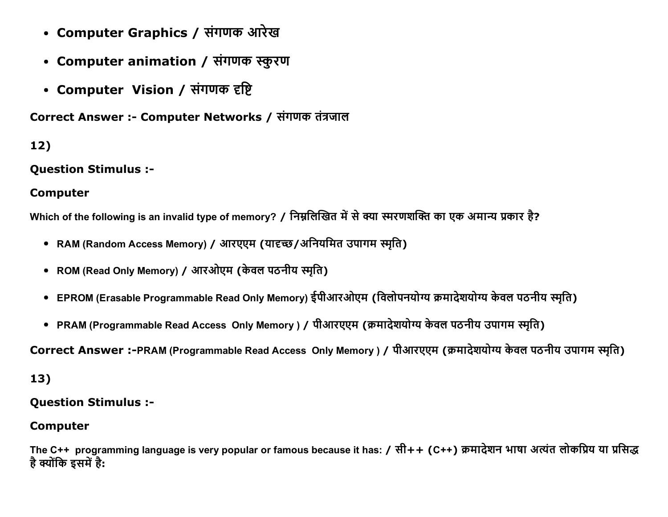- Computer Graphics / संगणक आरेख
- Computer animation / संगणक स्कुरण
- Computer Vision / संगणक दृष्टि

Correct Answer :- Computer Networks / संगणक तंत्रजाल

# $12)$

**Question Stimulus :-**

# **Computer**

Which of the following is an invalid type of memory? / निम्नलिखित में से क्या स्मरणशक्ति का एक अमान्य प्रकार है?

- RAM (Random Access Memory) / आरएएम (यादृच्छ/अनियमित उपागम स्मति)
- ROM (Read Only Memory) / आरओएम (केवल पठनीय स्मृति)
- EPROM (Erasable Programmable Read Only Memory) ईपीआरओएम (विलोपनयोग्य क्रमादेशयोग्य केवल पठनीय स्मृति)
- PRAM (Programmable Read Access Only Memory) / पीआरएएम (क्रमादेशयोग्य केवल पठनीय उपागम स्मृति)

Correct Answer :-PRAM (Programmable Read Access Only Memory) / पीआरएएम (क्रमादेशयोग्य केवल पठनीय उपागम स्मृति)

# 13)

### **Question Stimulus :-**

### **Computer**

The C++ programming language is very popular or famous because it has: / सी++ (C++) क्रमादेशन भाषा अत्यंत लोकप्रिय या प्रसिद्ध है क्योंकि इसमें है: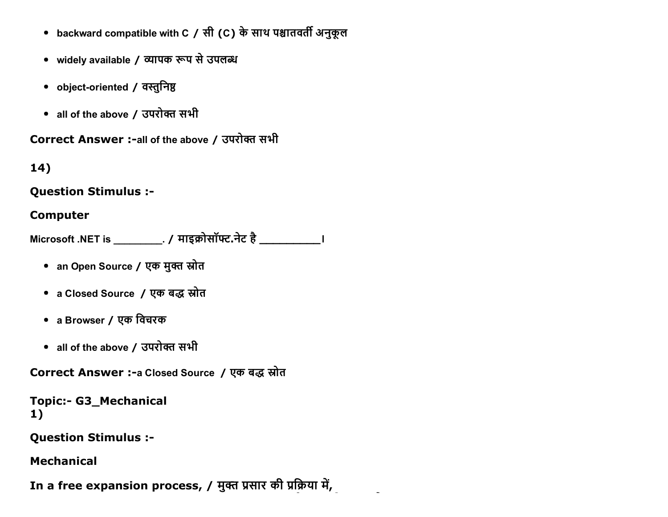- backward compatible with C / सी (C) के साथ पश्चातवर्ती अनुकूल
- widely available / व्यापक रूप से उपलब्ध
- object-oriented / वस्तुनिष्ठ
- all of the above / उपरोक्त सभी

Correct Answer :- all of the above / उपरोक्त सभी

 $14)$ 

#### **Question Stimulus :-**

### **Computer**

Microsoft .NET is \_\_\_\_\_\_\_\_\_\_\_. / माइक्रोसॉफ्ट.नेट है \_\_\_\_\_\_\_\_\_\_\_\_\_\_\_\_\_\_\_\_\_\_\_\_\_\_\_\_

- an Open Source / एक मुक्त स्रोत
- a Closed Source / एक बद्ध स्रोत
- a Browser / एक विचरक
- all of the above / उपरोक्त सभी

Correct Answer :- a Closed Source / एक बद्ध स्रोत

```
Topic:- G3_Mechanical
1)
```
**Question Stimulus :-**

### **Mechanical**

In a free expansion process, / मुक्त प्रसार की प्रक्रिया में,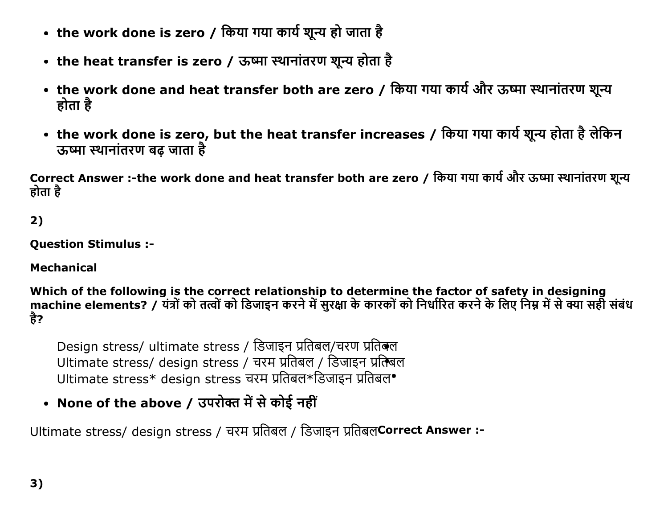- the work done is zero / किया गया कार्य शून्य हो जाता है
- the heat transfer is zero / ऊष्मा स्थानांतरण शून्य होता है
- the work done and heat transfer both are zero / किया गया कार्य और ऊष्मा स्थानांतरण शून्य होता है
- the work done is zero, but the heat transfer increases / किया गया कार्य शून्य होता है लेकिन ऊष्मा स्थानांतरण बढ़ जाता है

Correct Answer :-the work done and heat transfer both are zero / किया गया कार्य और ऊष्मा स्थानांतरण शून्य होता है

2)

**Question Stimulus :-**

**Mechanical** 

Which of the following is the correct relationship to determine the factor of safety in designing<br>machine elements? / यंत्रों को तत्वों को डिजाइन करने में सुरक्षा के कारकों को निर्धारित करने के लिए निम्न में से क्या सही स है?

Design stress/ ultimate stress / डिजाइन प्रतिबल/चरण प्रतिबल Ultimate stress/ design stress / चरम प्रतिबल / डिजाइन प्रतिबल Ultimate stress\* design stress चरम प्रतिबल\*डिजाइन प्रतिबल•

• None of the above / उपरोक्त में से कोई नहीं

Ultimate stress/ design stress / चरम प्रतिबल / डिजाइन प्रतिबलCorrect Answer :-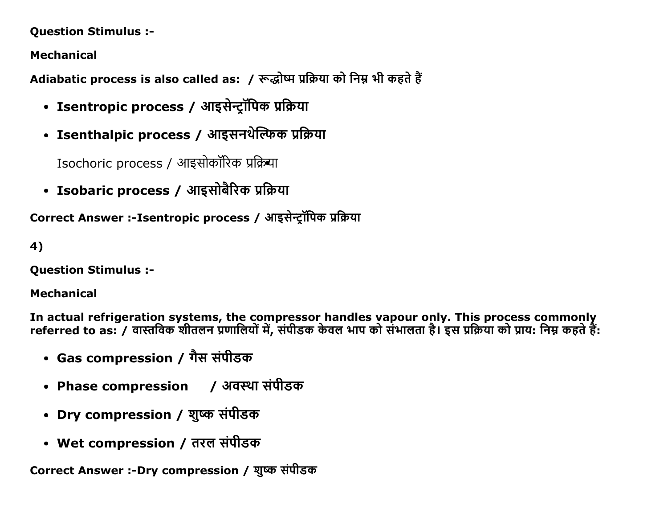### Question Stimulus :

Mechanical

Adiabatic process is also called as: / रूद्धोष्म प्रक्रिया को निम्न भी कहते हैं

- Isentropic process / आइसेन्ट्रॉपिक प्रक्रिया
- Isenthalpic process / आइसनथेल्फिक प्रक्रिया

Isochoric process / आइसोकॉरिक प्रक्रिया

• Isobaric process / आइसोबैरिक प्रक्रिया

Correct Answer :-Isentropic process / आइसेन्टॉपिक प्रक्रिया

# 4)

Question Stimulus :

### Mechanical

In actual refrigeration systems, the compressor handles vapour only. This process commonly referred to as: / ęĭĀĮęक Ěıćलċ ŮĆĭĮलĒļŃđŐ, ĝŃčıĄक कĸ ęल Đĭč कļ ĝŃĐĭलćĭ ĞĹ। इĝ ŮĮŢĒĭ कļ ŮĭĒ: ĮċĀ कĞćĸĞœ:

- Gas compression / गैस संपीडक
- Phase compression / अवस्था संपीडक
- Dry compression / शुष्क संपीडक
- Wet compression / तरल संपीडक

Correct Answer :-Dry compression / शुष्क संपीडक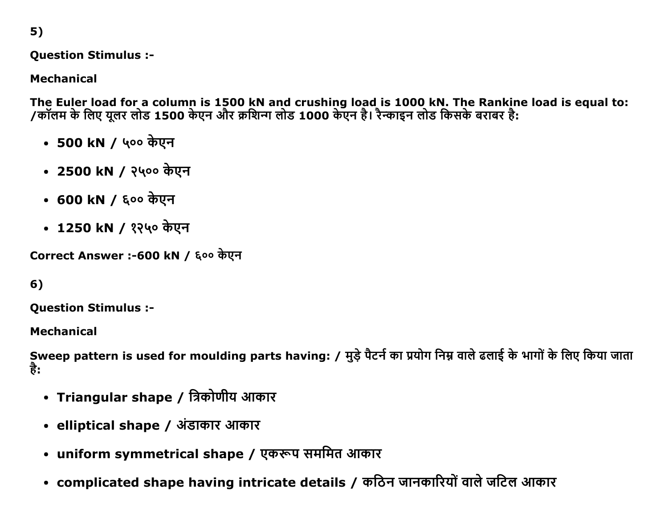5)

Question Stimulus :

Mechanical

The Euler load for a column is 1500 kN and crushing load is 1000 kN. The Rankine load is equal to: /कालम के लिए यूलर लोड 1500 केएन और क्रथिन्ग लोड 1000 केएन है। रेन्काइन लोड किसके बराबर है:

- 500 kN / 400 केएन
- 2500 kN / २५०० केएन
- 600 kN / ६०० केएन
- 1250 kN / १२५० केएन

Correct Answer :-600 kN / ६०० केएन

# 6)

Question Stimulus :

Mechanical

Sweep pattern is used for moulding parts having: / मुड़े पैटर्न का प्रयोग निम्न वाले ढलाई के भागों के लिए किया जाता है:

- Triangular shape / त्रिकोणीय आकार
- elliptical shape / अंडाकार आकार
- uniform symmetrical shape / एकरूप सममित आकार
- complicated shape having intricate details / कठिन जानकारियों वाले जटिल आकार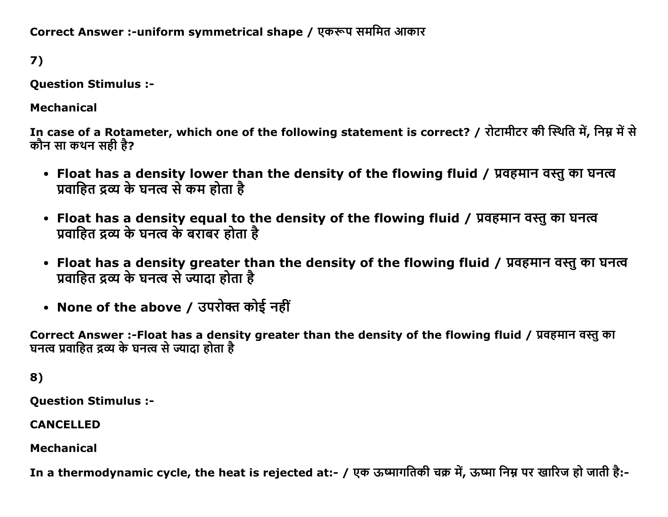Correct Answer :-uniform symmetrical shape / एकरूप सममित आकार

7)

Question Stimulus :

Mechanical

In case of a Rotameter, which one of the following statement is correct? / रोटामीटर की स्थिति में, निम्न में से कौन सा कथन सही है?

- Float has a density lower than the density of the flowing fluid / प्रवहमान वस्तु का घनत्व प्रवाहित द्रव्य के घनत्व से कम होता है
- Float has a density equal to the density of the flowing fluid / प्रवहमान वस्तु का घनत्व प्रवाहित द्रव्य के घनत्व के बराबर होता है
- Float has a density greater than the density of the flowing fluid / प्रवहमान वस्तु का घनत्व प्रवाहित द्रव्य के घनत्व से ज्यादा होता है
- None of the above / उपरोक्त कोई नहीं

Correct Answer :-Float has a density greater than the density of the flowing fluid / प्रवहमान वस्तु का घनत्व प्रवाहित द्रव्य के घनत्व से ज्यादा होता है

8)

Question Stimulus :

CANCELLED

Mechanical

In a thermodynamic cycle, the heat is rejected at:- / एक ऊष्मागतिकी चक्र में, ऊष्मा निम्न पर खारिज हो जाती है:-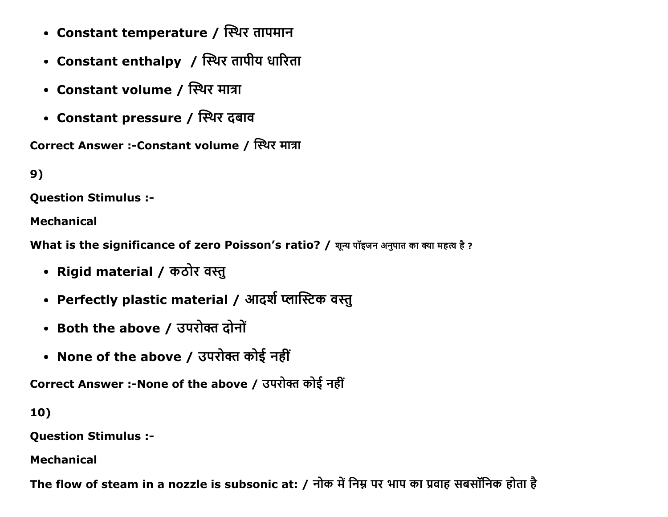- Constant temperature / स्थिर तापमान
- Constant enthalpy / स्थिर तापीय धारिता
- Constant volume / स्थिर मात्रा
- Constant pressure / स्थिर दबाव

Correct Answer :-Constant volume / स्थिर मात्रा

9)

Question Stimulus :

Mechanical

What is the significance of zero Poisson's ratio? / शून्य पॉइजन अनुपात का क्या महत्व है ?

- Rigid material / कठोर वस्तु
- Perfectly plastic material / आदर्श प्लास्टिक वस्तु
- Both the above / उपरोक्त दोनों
- None of the above / उपरोक्त कोई नहीं

Correct Answer :- None of the above / उपरोक्त कोई नहीं

10)

Question Stimulus :

Mechanical

The flow of steam in a nozzle is subsonic at: / नोक में निम्न पर भाप का प्रवाह सबसॉनिक होता है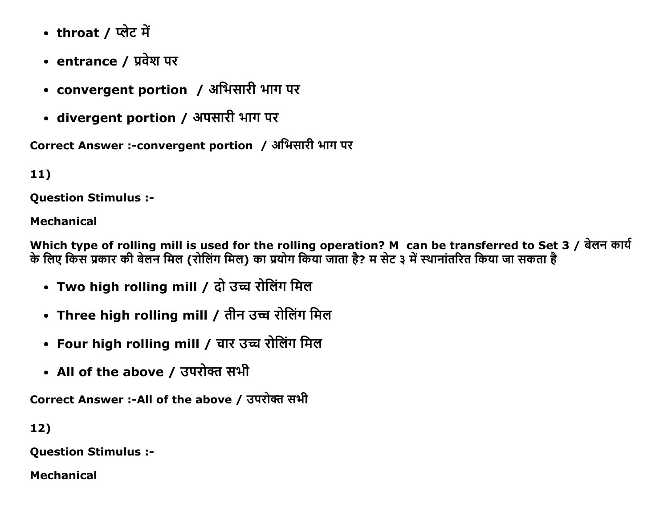- throat / प्लेट में
- entrance / प्रवेश पर
- convergent portion / अभिसारी भाग पर
- divergent portion / अपसारी भाग पर

Correct Answer :-convergent portion / अभिसारी भाग पर

11)

Question Stimulus :

# Mechanical

Which type of rolling mill is used for the rolling operation? M can be transferred to Set 3 / बेलन कार्य के लिए किस प्रकार की बेलन मिल (रोलिंग मिल) का प्रयोग किया जाता है? म सेट ३ में स्थानांतरित किया जा सकता है

- Two high rolling mill / दो उच्च रोलिंग मिल
- Three high rolling mill / तीन उच्च रोलिंग मिल
- Four high rolling mill / चार उच्च रोलिंग मिल
- All of the above / उपरोक्त सभी

Correct Answer :-All of the above / उपरोक्त सभी

12)

Question Stimulus :

Mechanical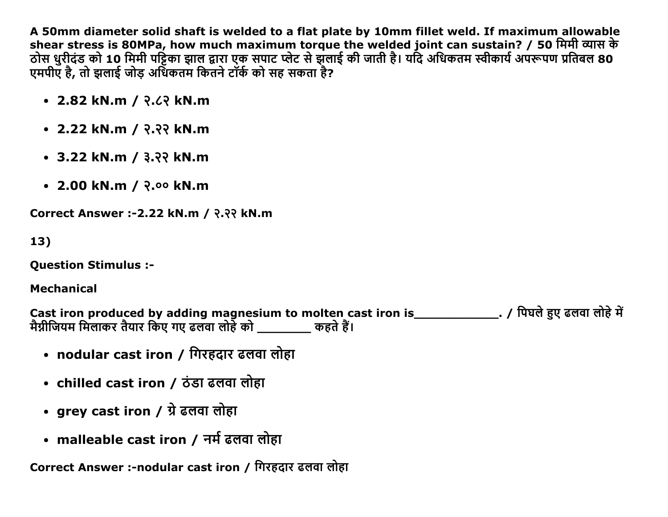A 50mm diameter solid shaft is welded to a flat plate by 10mm fillet weld. If maximum allowable shear stress is 80MPa, how much maximum torque the welded joint can sustain? / 50 मिमी व्यास के ठोस धुरीदंड को 10 मिमी पट्टिका झाल द्वारा एक सपाट प्लेट से झलाई की जाती है। यदि अधिकतम स्वीकार्य अपरूपण प्रतिबल 80 एमपीए है, तो झलाई जोड अधिकतम किंतने टॉर्क को सह सकता है?

- 2.82 kN.m / २.८२ kN.m
- 2.22 kN.m / २.२२ kN.m
- $\cdot$  3.22 kN.m / 3.33 kN.m
- 2.00 kN.m / २.०० kN.m

Correct Answer :2.22 kN.m / ͙.͙͙ kN.m

13)

Question Stimulus :

Mechanical

Cast iron produced by adding magnesium to molten cast iron is \_\_\_\_\_\_\_\_\_\_\_\_\_\_\_. / पिघले हुए ढलवा लोहे में वैग्नीजियम मिलाकर तैयार किए गए ढलवा लोहे को व्यास्कार कहते हैं।

- nodular cast iron / गिरहदार ढलवा लोहा
- chilled cast iron / ठंडा ढलवा लोहा
- grey cast iron / ग्रे ढलवा लोहा
- malleable cast iron / नर्म ढलवा लोहा

Correct Answer :-nodular cast iron / गिरहदार ढलवा लोहा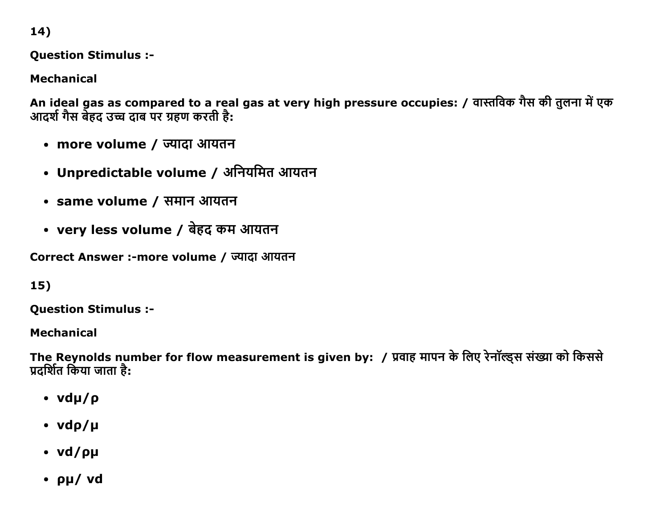14)

**Question Stimulus :-**

**Mechanical** 

An ideal gas as compared to a real gas at very high pressure occupies: / वास्तविक गैस की तुलना में एक<br>आदर्श गैस बेहद उच्च दाब पर ग्रहण करती है:

- more volume / ज्यादा आयतन
- Unpredictable volume / अनियमित आयतन
- same volume / समान आयतन
- very less volume / बेहद कम आयतन

Correct Answer :- more volume / ज्यादा आयतन

 $15)$ 

**Question Stimulus :-**

**Mechanical** 

The Reynolds number for flow measurement is given by: / प्रवाह मापन के लिए रेनॉल्ड्स संख्या को किससे प्रदर्शित किया जाता है:

- $\cdot$  vdu/ $\rho$
- $\cdot$  vdp/µ
- vd/pµ
- $\cdot$  pu/ vd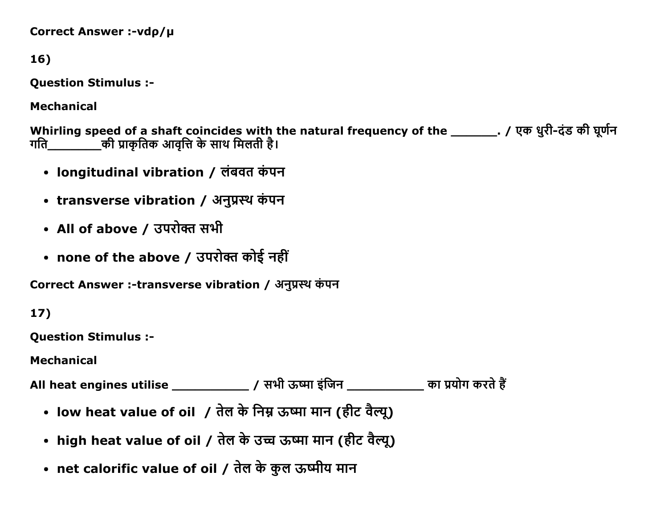```
Correct Answer :-vdp/µ
```
16)

**Question Stimulus :-**

**Mechanical** 

Whirling speed of a shaft coincides with the natural frequency of the \_\_\_\_\_\_\_\_. / एक धुरी-दंड की घूर्णन \_की प्राकृतिक आवृत्ति के साथ मिलती है। गति

- longitudinal vibration / लंबवत कंपन
- transverse vibration / अनुप्रस्थ कंपन
- All of above / उपरोक्त सभी
- none of the above / उपरोक्त कोई नहीं

Correct Answer :-transverse vibration / अनुप्रस्थ कंपन

 $17)$ 

**Ouestion Stimulus :-**

**Mechanical** 

All heat engines utilise \_\_\_\_\_\_\_\_\_\_\_\_\_\_\_\_ / सभी ऊष्मा इंजिन \_\_\_\_\_\_\_\_\_\_\_\_\_ का प्रयोग करते हैं

- low heat value of oil / तेल के निम्न ऊष्मा मान (हीट वैल्यू)
- high heat value of oil / तेल के उच्च ऊष्मा मान (हीट वैल्यू)
- net calorific value of oil / तेल के कुल ऊष्मीय मान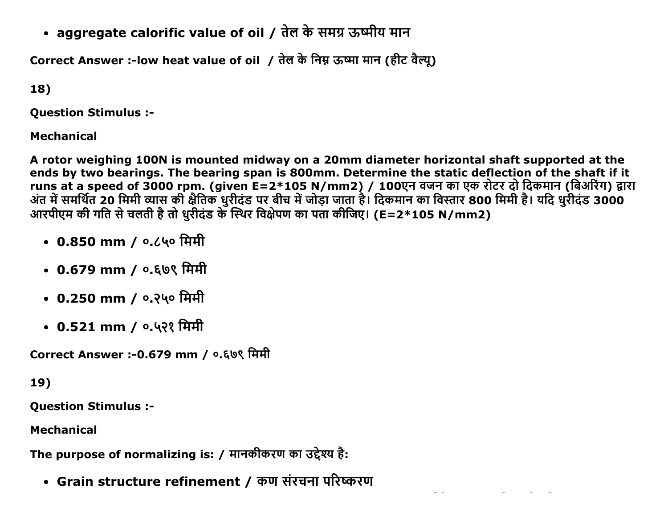• aggregate calorific value of oil / तेल के समग्र ऊष्मीय मान

Correct Answer :-low heat value of oil / तेल के निम्न ऊष्मा मान (हीट वैल्यू)

18)

Question Stimulus :

Mechanical

A rotor weighing 100N is mounted midway on a 20mm diameter horizontal shaft supported at the ends by two bearings. The bearing span is 800mm. Determine the static deflection of the shaft if it runs at a speed of 3000 rpm. (given E=2\*105 N/mm2) / 100एन वजन का एक रोटर दो दिकमान (बिअरिंग) द्वारा अंत में समर्थित 20 मिमी व्यास की क्षेतिक धुरीदंड पर बीच में जोड़ा जाता है। दिकमान का विस्तार 800 मिमी है। यदि धुरीदंड 3000 आरपीएम की गति से चलती है तो धुरीदंड के स्थिर विक्षेपण का पता कौजिए। (E=2\*105 N/mm2)

- 0.850 mm / **0.**८५० मिमी
- 0.679 mm / ०.६७९ मिमी
- 0.250 mm / ०.२५० मिमी
- 0.521 mm / ०.५२१ मिमी

Correct Answer :-0.679 mm / ०.६७९ मिमी

19)

Question Stimulus :

Mechanical

The purpose of normalizing is: / मानकीकरण का उद्देश्य है:

• Grain structure refinement / कण संरचना परिष्करण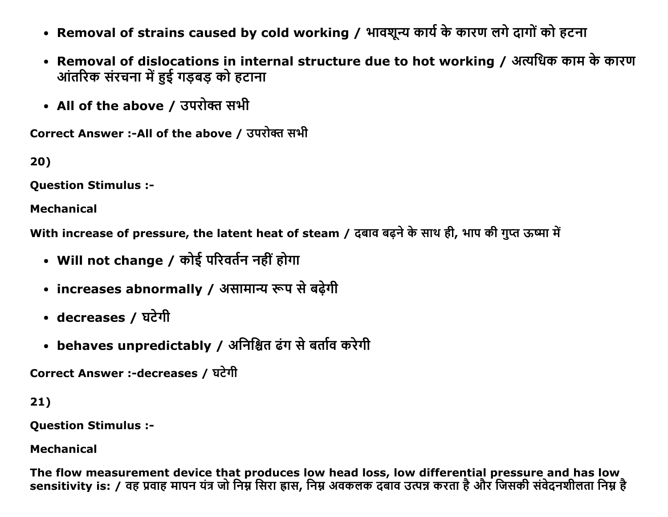- Removal of strains caused by cold working / भावशून्य कार्य के कारण लगे दागों को हटना
- Removal of dislocations in internal structure due to hot working / अत्यधिक काम के कारण आंतरिक संरचना में हुई गड़बड़ को हटाना
- All of the above / उपरोक्त सभी

Correct Answer :- All of the above / उपरोक्त सभी

20)

**Question Stimulus :-**

**Mechanical** 

With increase of pressure, the latent heat of steam / दबाव बढ़ने के साथ ही, भाप की गुप्त ऊष्मा में

- Will not change / कोई परिवर्तन नहीं होगा
- increases abnormally / असामान्य रूप से बढ़ेगी
- decreases / घटेगी
- behaves unpredictably / अनिश्चित ढंग से बर्ताव करेगी

Correct Answer :-decreases / घटेगी

 $21)$ 

**Question Stimulus :-**

**Mechanical** 

The flow measurement device that produces low head loss, low differential pressure and has low sensitivity is: / वह प्रवाह मापन यंत्र जो निम्न सिरा ह्रास, निम्न अवकलक दबाव उत्पन्न करता है और जिसकी संवेदनशीलता निम्न है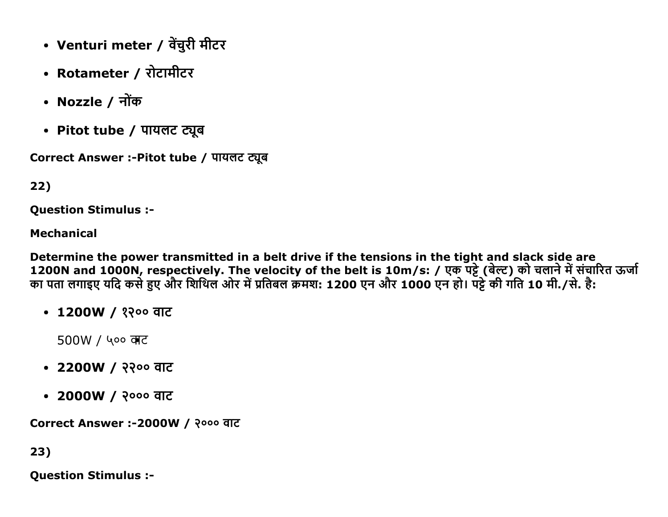- Venturi meter / वेंचुरी मीटर
- Rotameter / रोटामीटर
- Nozzle / नोंक
- Pitot tube / पायलट ट्यूब

Correct Answer :- Pitot tube / पायलट ट्यूब

## 22)

**Question Stimulus :-**

#### **Mechanical**

Determine the power transmitted in a belt drive if the tensions in the tight and slack side are 1200N and 1000N, respectively. The velocity of the belt is 10m/s: / एक पट्टे (बेल्ट) को चलाने में संचारित ऊर्जा<br>का पता लगाइए यदि कसे हुए और शिथिल ओर में प्रतिबल क्रमश: 1200 एन और 1000 एन हो। पट्टे की गति 10 मी./से. है:

• 1200W / १२०० वाट

 $500W /$  ५०० वाट

- 2200W / २२०० वाट
- 2000W / २००० वाट

Correct Answer :-2000W / २००० वाट

23)

**Question Stimulus :-**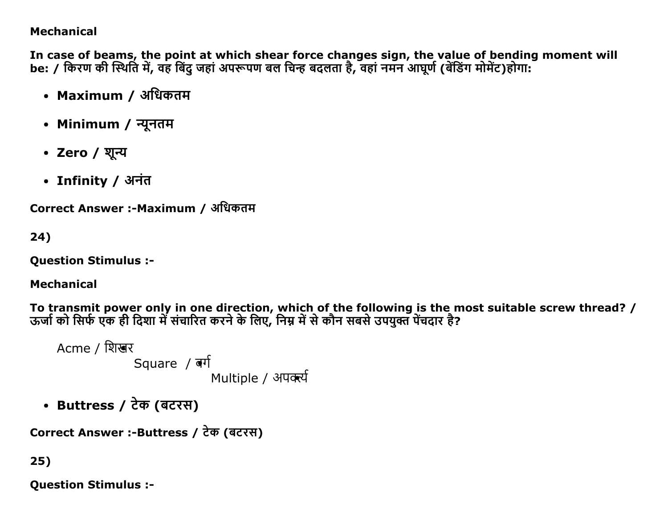## **Mechanical**

In case of beams, the point at which shear force changes sign, the value of bending moment will be: / किरण की स्थिति में, वह बिंदु जहां अपरूपण बल चिन्ह बदलता है, वहां नमन आघूर्ण (बेंडिंग मोमेंट)होगा:

- Maximum / अधिकतम
- Minimum / न्यूनतम
- Zero / शून्य
- Infinity / अनंत

Correct Answer :-Maximum / अधिकतम

24)

**Question Stimulus :-**

# **Mechanical**

To transmit power only in one direction, which of the following is the most suitable screw thread? / ऊर्जा को सिर्फ एक ही दिशा में संचारित करने के लिए, निम्न में से कौन सबसे उपयुक्त पेंचदार है?

Acme / शिखर Square  $\sqrt{d}$ Multiple / अपक्सी

• Buttress / टेक (बटरस)

```
Correct Answer :-Buttress / टेक (बटरस)
```
# $25)$

**Question Stimulus :-**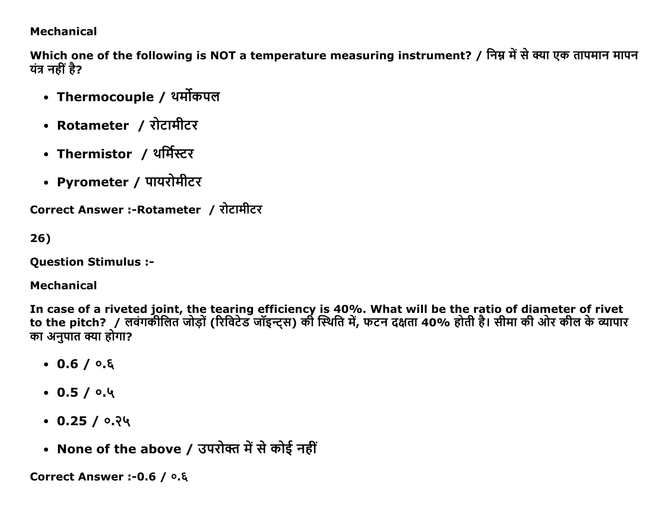### **Mechanical**

Which one of the following is NOT a temperature measuring instrument? / निम्न में से क्या एक तापमान मापन यंत्र नहीं है?

- Thermocouple / थर्मोकपल
- Rotameter / रोटामीटर
- Thermistor / थर्मिस्टर
- Pyrometer / पायरोमीटर

Correct Answer :- Rotameter / रोटामीटर

 $26)$ 

**Question Stimulus :-**

### **Mechanical**

In case of a riveted joint, the tearing efficiency is 40%. What will be the ratio of diameter of rivet to the pitch? / लवंगकीलित जोड़ों (रिविटेड जॉइन्ट्स) की स्थिति में, फटन दक्षता 40% होती है। सीमा की ओर कील के व्यापार का अनुपात क्या होगा?

- $0.6 / 0.6$
- $0.5/0.4$
- $\cdot$  0.25 / 0.24
- None of the above / उपरोक्त में से कोई नहीं

Correct Answer :- 0.6 / 0.8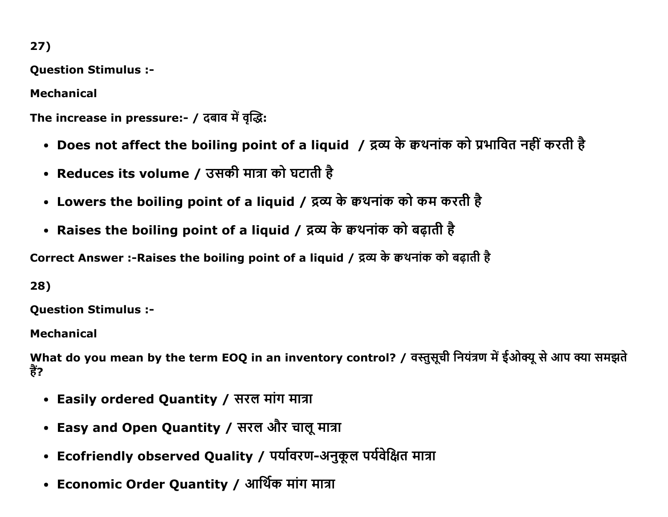**Question Stimulus :-**

**Mechanical** 

The increase in pressure:- / दबाव में वृद्धि:

- Does not affect the boiling point of a liquid / द्रव्य के क्वथनांक को प्रभावित नहीं करती है
- Reduces its volume / उसकी मात्रा को घटाती है
- Lowers the boiling point of a liquid / द्रव्य के क्वथनांक को कम करती है
- Raises the boiling point of a liquid / द्रव्य के क्वथनांक को बढ़ाती है

Correct Answer :- Raises the boiling point of a liquid / द्रव्य के क्वथनांक को बढ़ाती है

28)

**Question Stimulus :-**

**Mechanical** 

What do you mean by the term EOQ in an inventory control? / वस्तुसूची नियंत्रण में ईओक्यू से आप क्या समझते हैं?

- Easily ordered Quantity / सरल मांग मात्रा
- Easy and Open Quantity / सरल और चालू मात्रा
- Ecofriendly observed Quality / पर्यावरण-अनुकूल पर्यवेक्षित मात्रा
- Economic Order Quantity / आर्थिक मांग मात्रा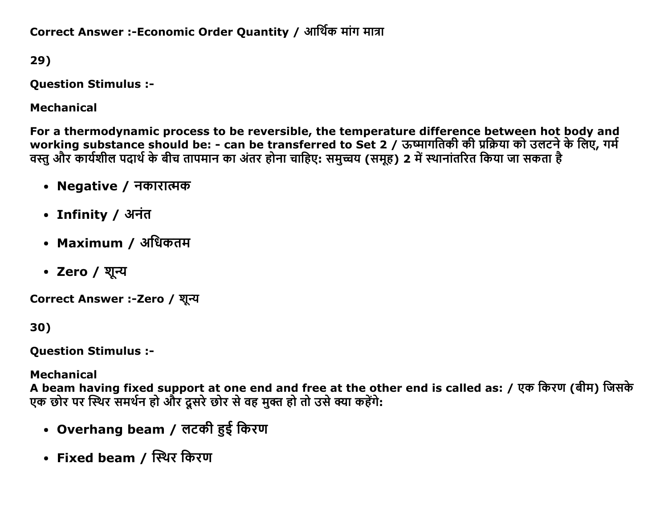Correct Answer :-Economic Order Quantity / आर्थिक मांग मात्रा

29)

Question Stimulus :

Mechanical

For a thermodynamic process to be reversible, the temperature difference between hot body and working substance should be: - can be transferred to Set 2 / ऊष्मागतिकी की प्रक्रिया को उलटने के लिए, गर्म वस्तु और कार्यशील पदार्थ के बीच तापमान का अंतर होना चाहिए: समुच्चय (समूह) 2 में स्थानांतरित किया जा सकता है

- Negative / नकारात्मक
- Infinity / अनंत
- Maximum / अधिकतम
- Zero / शून्य

Correct Answer :-Zero / शून्य

30)

Question Stimulus :

Mechanical

A beam having fixed support at one end and free at the other end is called as: / एक किरण (बीम) जिसके एक छोर पर स्थिर समर्थन हो और दसरे छोर से वह मक्त हो तो उसे क्या कहेंगे:

- Overhang beam / लटकी हुई किरण
- Fixed beam / स्थिर किरण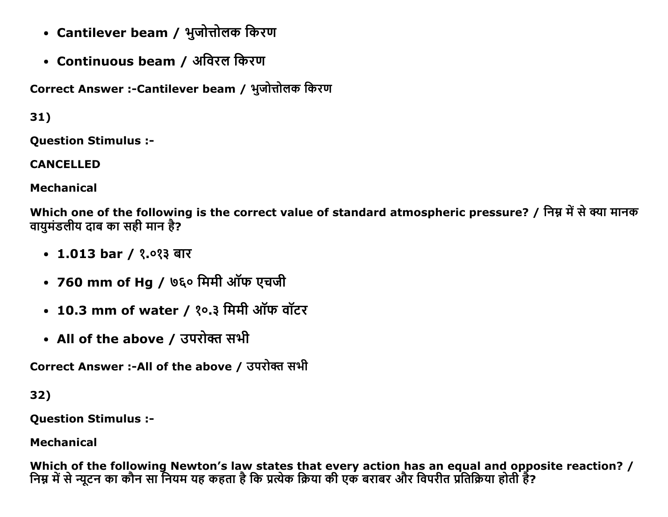- Cantilever beam / भुजोत्तोलक किरण
- Continuous beam / अविरल किरण

Correct Answer :- Cantilever beam / भुजोत्तोलक किरण

 $31)$ 

**Ouestion Stimulus :-**

**CANCELLED** 

**Mechanical** 

Which one of the following is the correct value of standard atmospheric pressure? / निम्न में से क्या मानक वायमंडलीय दाब का सही मान है?

- 1.013 bar / १.०१३ बार
- 760 mm of Hg / ७६० मिमी ऑफ एचजी
- 10.3 mm of water / १०.३ मिमी ऑफ वॉटर
- All of the above / उपरोक्त सभी

Correct Answer :-All of the above / उपरोक्त सभी

32)

**Ouestion Stimulus :-**

**Mechanical** 

Which of the following Newton's law states that every action has an equal and opposite reaction? / निम्न में से न्यूटन का कौन सा नियम यह कहता है कि प्रत्येक क्रिया की एक बराबर और विपरीत प्रतिक्रिया होती है?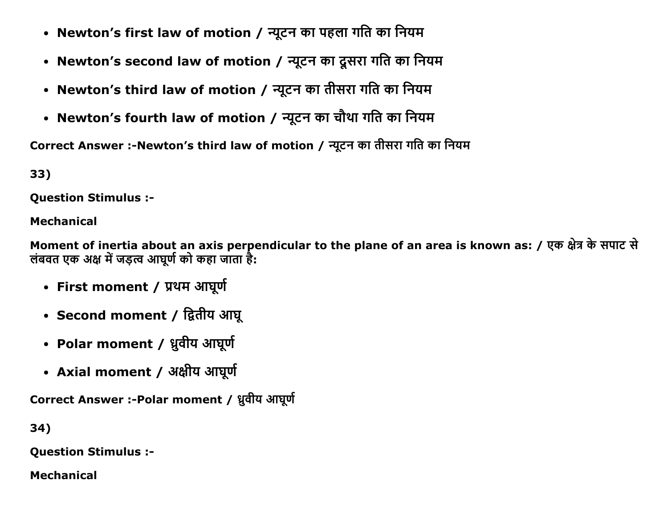- Newton's first law of motion / न्यूटन का पहला गति का नियम
- Newton's second law of motion / न्यूटन का दूसरा गति का नियम
- Newton's third law of motion / न्यूटन का तीसरा गति का नियम
- Newton's fourth law of motion / न्यूटन का चौथा गति का नियम

Correct Answer :- Newton's third law of motion / न्यूटन का तीसरा गति का नियम

33)

**Question Stimulus :-**

# **Mechanical**

Moment of inertia about an axis perpendicular to the plane of an area is known as: / एक क्षेत्र के सपाट से लंबवत एक अक्ष में जड़त्व आघूर्ण को कहा जाता है:

- First moment / प्रथम आघूर्ण
- Second moment / द्वितीय आघू
- Polar moment / ध्रुवीय आघूर्ण
- Axial moment / अक्षीय आघूर्ण

Correct Answer :- Polar moment / ध्रुवीय आघूर्ण

34)

**Question Stimulus :-**

**Mechanical**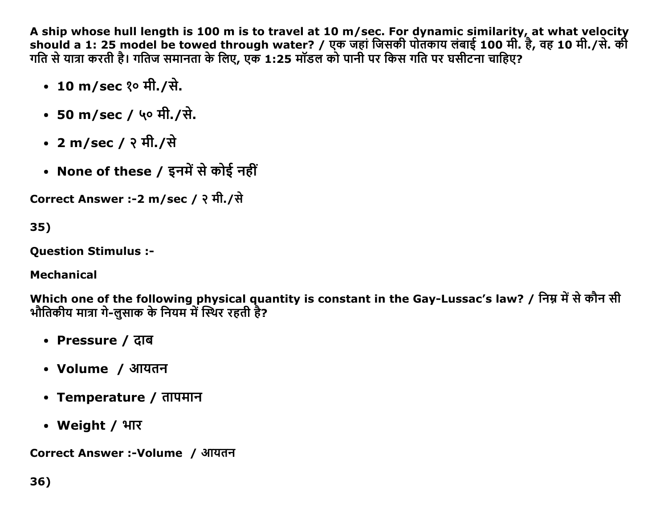A ship whose hull length is 100 m is to travel at 10 m/sec. For dynamic similarity, at what velocity should a 1: 25 model be towed through water? / एक जहां जिसकी पोतकाय लंबाई 100 मी. है, वह 10 मी./से. की गति से यात्रा करती है। गतिज समानता के लिए, एक 1:25 मॉडल को पानी पर किस गति पर घसीटना चाहिए?

- 10 m/sec १० मी./से.
- 50 m/sec / ५० मी./से.
- 2 m/sec / २ मी./से
- None of these / इनमें से कोई नहीं

Correct Answer :-2 m/sec / २ मी./से

35)

**Ouestion Stimulus :-**

**Mechanical** 

Which one of the following physical quantity is constant in the Gay-Lussac's law? / निम्न में से कौन सी भौतिकीय मात्रा गे-लसाक के नियम में स्थिर रहती है?

- Pressure / दाब
- Volume / आयतन
- Temperature / तापमान
- Weight / भार

Correct Answer :-Volume / आयतन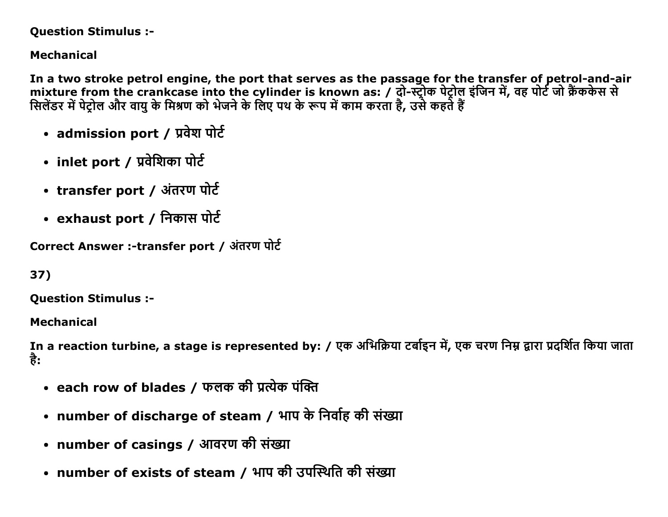#### Question Stimulus :

# Mechanical

In a two stroke petrol engine, the port that serves as the passage for the transfer of petrol-and-air mixture from the crankcase into the cylinder is known as: / दो-स्ट्रोक पेट्रोल इंजिन में, वह पोर्ट जो क्रैककेस स सिलैंडर में पेट्रोल और वायु के मिश्रण को भेजने के लिए पथ के रूप में काम करता है, उसे कहते हैं

- admission port / प्रवेश पोर्ट
- inlet port / प्रवेशिका पोर्ट
- transfer port / अंतरण पोर्ट
- exhaust port / निकास पोर्ट

Correct Answer :-transfer port / अंतरण पोर्ट

```
37)
```
Question Stimulus :

Mechanical

In a reaction turbine, a stage is represented by: / एक अभिक्रिया टर्बाइन में, एक चरण निम्न द्वारा प्रदर्शित किया जाता ਨੇ:

- each row of blades / फलक की प्रत्येक पंक्ति
- number of discharge of steam / भाप के निर्वाह की संख्या
- number of casings / आवरण की संख्या
- number of exists of steam / भाप की उपस्थिति की संख्या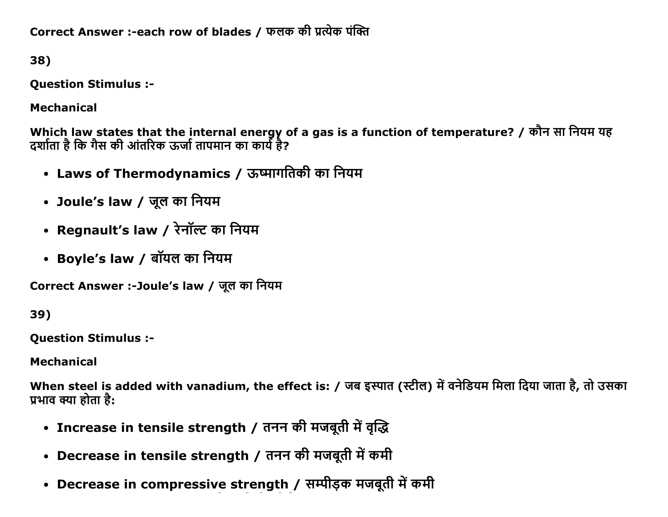Correct Answer :-each row of blades / फलक की प्रत्येक पंक्ति

38)

**Question Stimulus :-**

**Mechanical** 

Which law states that the internal energy of a gas is a function of temperature? / कौन सा नियम यह<br>दर्शाता है कि गैस की आंतरिक ऊर्जा तापमान का कार्य है?

- Laws of Thermodynamics / ऊष्मागतिकी का नियम
- Joule's law / जूल का नियम
- Regnault's law / रेनॉल्ट का नियम
- Boyle's law / बॉयल का नियम

Correct Answer :-Joule's law / जूल का नियम

39)

**Ouestion Stimulus :-**

**Mechanical** 

When steel is added with vanadium, the effect is: / जब इस्पात (स्टील) में वनेडियम मिला दिया जाता है, तो उसका प्रभाव क्या होता है:

- Increase in tensile strength / तनन की मजबूती में वृद्धि
- Decrease in tensile strength / तनन की मजबूती में कमी
- Decrease in compressive strength / सम्पीड़क मजबूती में कमी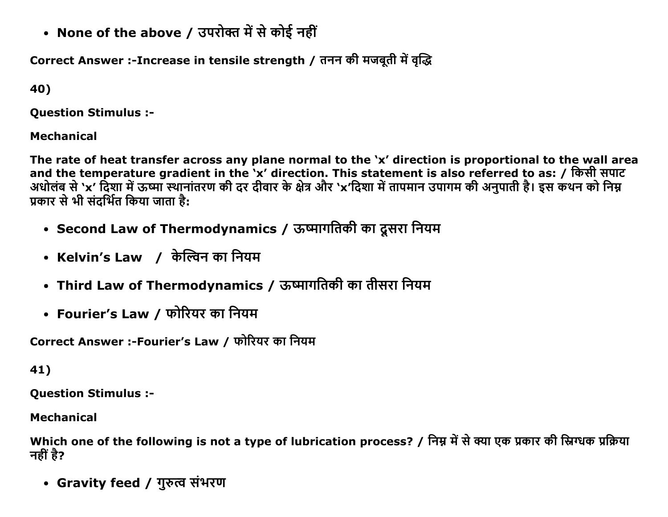• None of the above / उपरोक्त में से कोई नहीं

Correct Answer :-Increase in tensile strength / तनन की मजबूती में वृद्धि

40)

**Ouestion Stimulus :-**

**Mechanical** 

The rate of heat transfer across any plane normal to the 'x' direction is proportional to the wall area and the temperature gradient in the 'x' direction. This statement is also referred to as: / किसी सपाट अधोलंब से 'x' दिशा में ऊष्मा स्थानांतरण की दर दीवार के क्षेत्र और 'x'दिशा में तापमान उपागम की अनुपाती है। इस कथन को निम्न प्रकार से भी संदर्भित किया जाता है:

- Second Law of Thermodynamics / ऊष्मागतिकी का दूसरा नियम
- Kelvin's Law / केल्विन का नियम
- Third Law of Thermodynamics / ऊष्मागतिकी का तीसरा नियम
- Fourier's Law / फोरियर का नियम

Correct Answer :-Fourier's Law / फोरियर का नियम

```
41)
```
**Question Stimulus :-**

**Mechanical** 

Which one of the following is not a type of lubrication process? / निम्न में से क्या एक प्रकार की स्निग्धक प्रक्रिया नहीं है?

• Gravity feed / गुरुत्व संभरण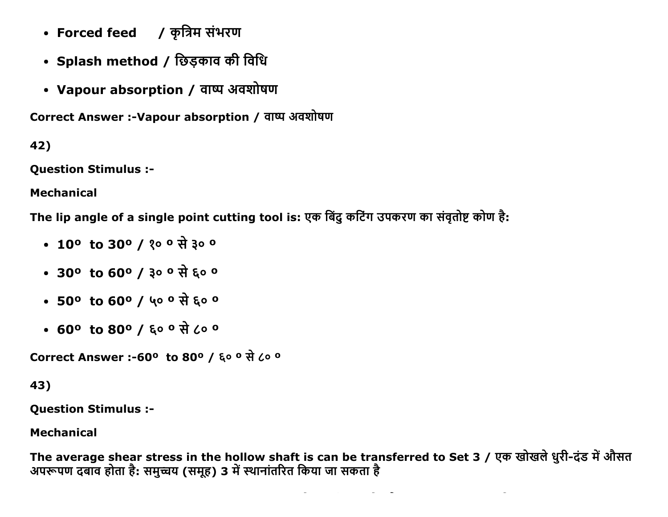- Forced feed ) कृत्रिम संभरण
- Splash method / छिड़काव की विधि
- Vapour absorption / वाष्प अवशोषण

Correct Answer :- Vapour absorption / वाष्प अवशोषण

42)

**Question Stimulus :-**

**Mechanical** 

The lip angle of a single point cutting tool is: एक बिंदु कटिंग उपकरण का संवृतोष्ट कोण है:

- 10<sup>o</sup> to 30<sup>o</sup> / 20<sup>o</sup> से ३००
- 30° to 60° / ३० ° से ६० °
- 50° to 60° / ५० ° से ६० °
- 60° to 80° / ६० ° से ८० °

```
Correct Answer :-60° to 80° / ६० ° से ८० °
```
43)

**Question Stimulus :-**

**Mechanical** 

The average shear stress in the hollow shaft is can be transferred to Set 3 / एक खोखले धुरी-दंड में औसत अपरूपण दबाँव होता है: समुच्चय (समूह) 3 में स्थानांतरित किया जा सकता है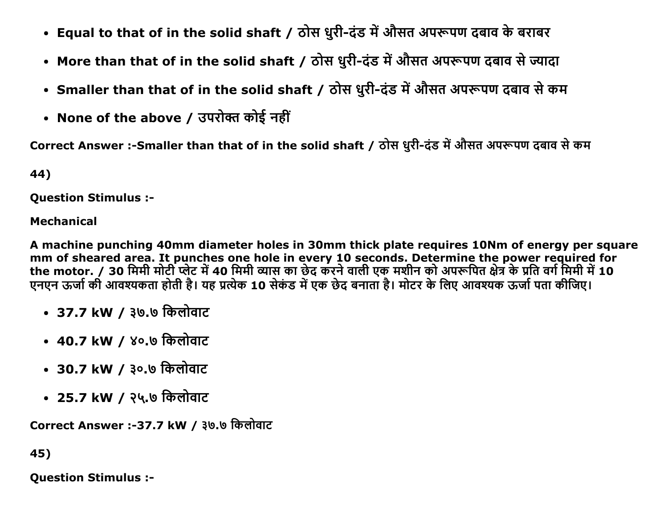- Equal to that of in the solid shaft / ठोस धुरी-दंड में औसत अपरूपण दबाव के बराबर
- More than that of in the solid shaft / ठोस धुरी-दंड में औसत अपरूपण दबाव से ज्यादा
- Smaller than that of in the solid shaft / ठोस धुरी-दंड में औसत अपरूपण दबाव से कम
- None of the above / उपरोक्त कोई नहीं

Correct Answer :-Smaller than that of in the solid shaft / ठोस धुरी-दंड में औसत अपरूपण दबाव से कम

44)

**Ouestion Stimulus :-**

#### **Mechanical**

A machine punching 40mm diameter holes in 30mm thick plate requires 10Nm of energy per square mm of sheared area. It punches one hole in every 10 seconds. Determine the power required for the motor. / 30 मिमी मोटी प्लेट में 40 मिमी व्यास का छेद करने वाली एक मशीन को अपरूपित क्षेत्र के प्रति वर्ग मिमी में 10 एनएन ऊर्जा की आवश्यकता होती है। यह प्रत्येक 10 सेकंड में एक छेद बनाता है। मोटर के लिए आवश्यक ऊर्जा पता कीजिए।

- 37.7 kW / ३७.७ किलोवाट
- 40.7 kW / ४०.७ किलोवाट
- 30.7 kW / ३०.७ किलोवाट
- 25.7 kW / २५.७ किलोवाट

Correct Answer :-37.7 kW / ३७.७ किलोवाट

45)

**Ouestion Stimulus :-**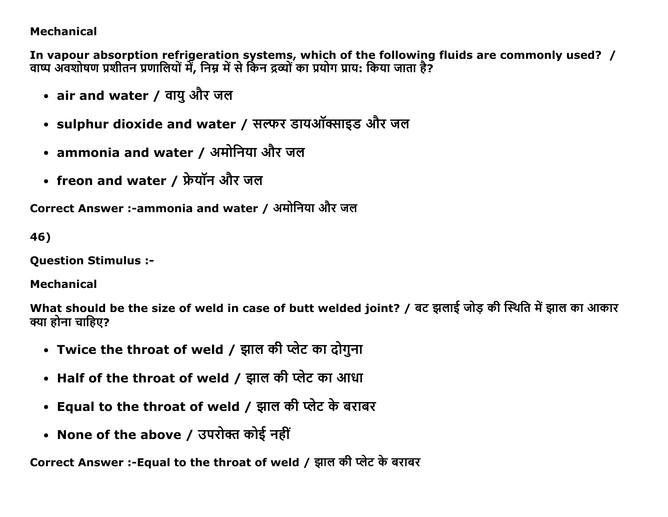# **Mechanical**

In vapour absorption refrigeration systems, which of the following fluids are commonly used? / वाष्प अवशोषण प्रशीतन प्रणालियों में, निम्न में से किन द्रव्यों का प्रयोग प्राय: किया जाता है?

- air and water / वायु और जल
- sulphur dioxide and water / सल्फर डायऑक्साइड और जल
- ammonia and water / अमोनिया और जल
- freon and water / फ्रेयॉन और जल

Correct Answer :-ammonia and water / अमोनिया और जल

46)

**Ouestion Stimulus :-**

**Mechanical** 

What should be the size of weld in case of butt welded joint? / बट झलाई जोड़ की स्थिति में झाल का आकार क्या होना चाहिए?

- Twice the throat of weld / झाल की प्लेट का दोगुना
- Half of the throat of weld / झाल की प्लेट का आधा
- Equal to the throat of weld / झाल की प्लेट के बराबर
- None of the above / उपरोक्त कोई नहीं

Correct Answer :- Equal to the throat of weld / झाल की प्लेट के बराबर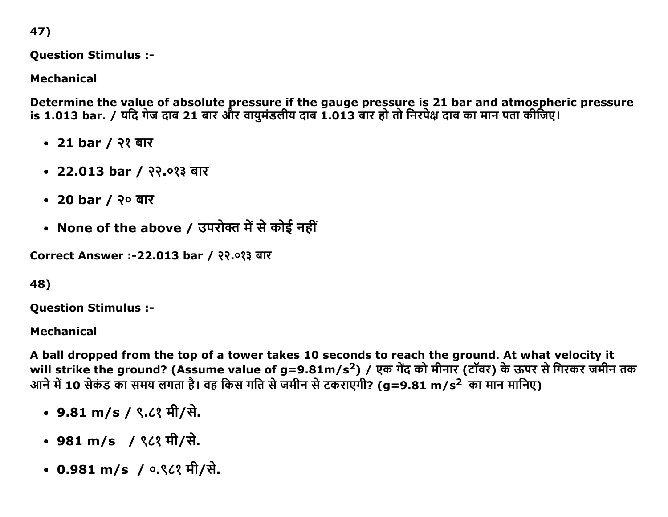47)

Question Stimulus :

Mechanical

Determine the value of absolute pressure if the gauge pressure is 21 bar and atmospheric pressure is 1.013 bar. / यदि गेज दाब 21 बार और वायमंडलीय दाब 1.013 बार हो तो निरपेक्ष दाब का मान पता कीजिए।

- 21 bar / २१ बार
- 22.013 bar / २२.०१३ बार
- 20 bar / २० बार
- None of the above / उपरोक्त में से कोई नहीं

Correct Answer :-22.013 bar / २२.०१३ बार

# 48)

Question Stimulus :

# Mechanical

A ball dropped from the top of a tower takes 10 seconds to reach the ground. At what velocity it will strike the ground? (Assume value of g=9.81m/s<sup>2</sup>) / एक गेंद को मीनार (टॉवर) के ऊपर से गिरकर जमीन तक आने में 10 सेकंड का समय लगता है। वह किस गति से जमीन से टकराएगी? (g=9.81 m/s<sup>2</sup> का मान मानिए)

- 9.81 m/s / ९.८१ मी/से.
- 981 m/s / ९८१ मी/से.
- 0.981 m/s / ०.९८१ मी/से.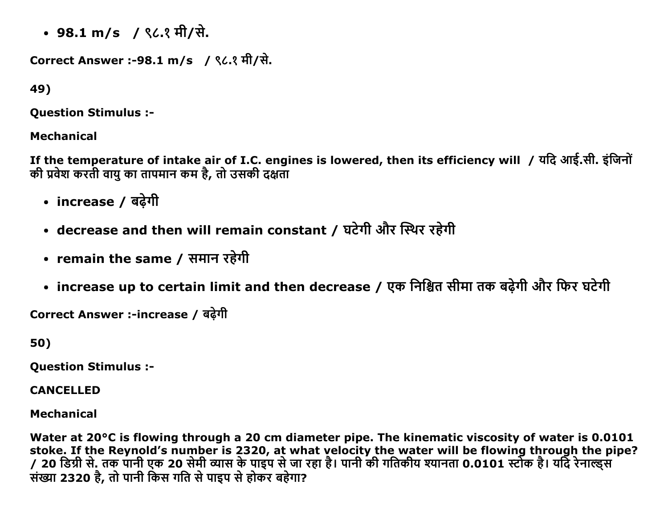• 98.1 m/s / ९८.१ मी/से.

```
Correct Answer :-98.1 m/s / ९८.१ मी/से.
```
49)

**Ouestion Stimulus :-**

# **Mechanical**

If the temperature of intake air of I.C. engines is lowered, then its efficiency will / यदि आई.सी. इंजिनों की प्रवेश करती वायु का तापमान कम है, तो उसकी दक्षता

- increase / बढ़ेगी
- decrease and then will remain constant / घटेगी और स्थिर रहेगी
- remain the same / समान रहेगी
- increase up to certain limit and then decrease / एक निश्चित सीमा तक बढ़ेगी और फिर घटेगी

Correct Answer :-increase / बढेगी

50)

**Ouestion Stimulus :-**

**CANCELLED** 

**Mechanical** 

Water at 20°C is flowing through a 20 cm diameter pipe. The kinematic viscosity of water is 0.0101 stoke. If the Reynold's number is 2320, at what velocity the water will be flowing through the pipe? / 20 डिग्री से. तक पानी एक 20 सेमी व्यास के पाइप से जा रहा है। पानी की गतिकीय श्यानता 0.0101 स्टोक है। यदि रेनाल्ड्स संख्या 2320 है, तो पानी किस गति से पाइप से होकर बहेगा?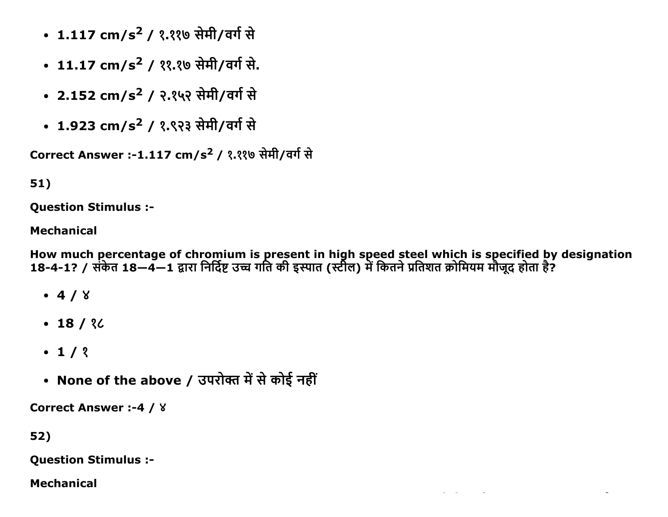- 1.117 cm/s<sup>2</sup> / १.११७ सेमी/वर्ग से
- 11.17 cm/s<sup>2</sup> / ११.१७ सेमी/वर्ग से.
- 2.152 cm/s<sup>2</sup> / २.१५२ सेमी/वर्ग से
- 1.923 cm/s<sup>2</sup> / १.९२३ सेमी/वर्ग से

Correct Answer :-1.117 cm/s<sup>2</sup> / १.११७ सेमी/वर्ग से

# 51)

**Ouestion Stimulus :-**

# **Mechanical**

How much percentage of chromium is present in high speed steel which is specified by designation<br>18-4-1? / संकेत 18—4—1 द्वारा निर्दिष्ट उच्च गति की इस्पात (स्टील) में कितने प्रतिशत क्रोमियम मौजूद होता है?

- $-4/8$
- $-18/30$
- $\cdot$  1/ ?
- None of the above / उपरोक्त में से कोई नहीं

**Correct Answer :-4 / 8** 

52)

**Question Stimulus :-**

**Mechanical**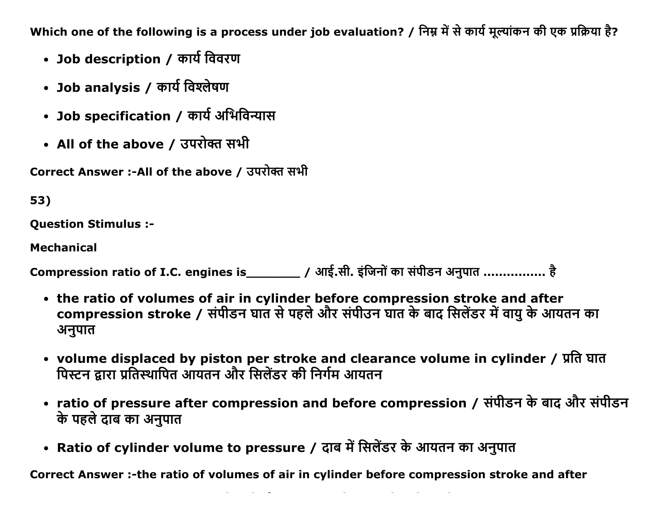Which one of the following is a process under job evaluation? / निम्न में से कार्य मूल्यांकन की एक प्रक्रिया है?

- Job description / कार्य विवरण
- Job analysis / कार्य विश्लेषण
- Job specification / कार्य अभिविन्यास
- All of the above / उपरोक्त सभी

Correct Answer :-All of the above / उपरोक्त सभी

53)

Question Stimulus :

Mechanical

Compression ratio of I.C. engines is\_\_\_\_\_\_\_\_\_ / आई.सी. इंजिनों का संपीडन अनुपात ................ है

- the ratio of volumes of air in cylinder before compression stroke and after compression stroke / संपीडन घात से पहले और संपीउन घात के बाद सिलेंडर में वायु के आयतन का अनुपात
- volume displaced by piston per stroke and clearance volume in cylinder / प्रति घात पिस्टन द्वारा प्रतिस्थापित आयतन और सिलेंडर की निर्गम आयतन
- ratio of pressure after compression and before compression / संपीडन के बाद और संपीडन के पहले दाब का अनुपात
- Ratio of cylinder volume to pressure / दाब में सिलेंडर के आयतन का अनुपात

Correct Answer :-the ratio of volumes of air in cylinder before compression stroke and after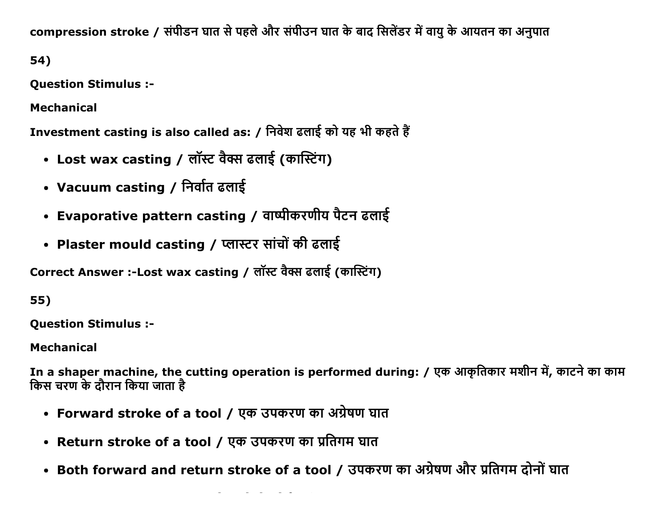compression stroke / संपीडन घात से पहले और संपीउन घात के बाद सिलेंडर में वायु के आयतन का अनुपात

54)

**Question Stimulus :-**

**Mechanical** 

Investment casting is also called as: / निवेश ढलाई को यह भी कहते हैं

- Lost wax casting / लॉस्ट वैक्स ढलाई (कास्टिंग)
- Vacuum casting / निर्वात ढलाई
- Evaporative pattern casting / वाष्पीकरणीय पैटन ढलाई
- Plaster mould casting / प्लास्टर सांचों की ढलाई

Correct Answer :-Lost wax casting / लॉस्ट वैक्स ढलाई (कास्टिंग)

55)

**Ouestion Stimulus :-**

**Mechanical** 

In a shaper machine, the cutting operation is performed during: / एक आकृतिकार मशीन में, काटने का काम किस चरण के दौरान किया जाता है

- Forward stroke of a tool / एक उपकरण का अग्रेषण घात
- Return stroke of a tool / एक उपकरण का प्रतिगम घात
- Both forward and return stroke of a tool / उपकरण का अग्रेषण और प्रतिगम दोनों घात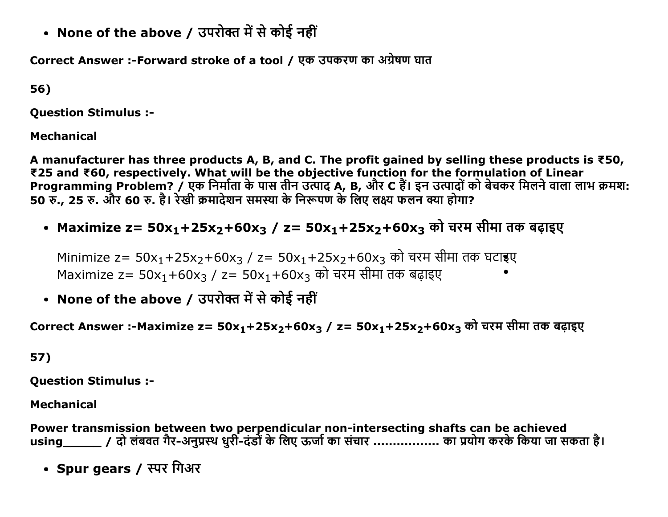• None of the above / उपरोक्त में से कोई नहीं

Correct Answer :-Forward stroke of a tool / एक उपकरण का अंग्रेषण घात

56)

Question Stimulus :

Mechanical

A manufacturer has three products A, B, and C. The profit gained by selling these products is ₹50, ₹25 and ₹60, respectively. What will be the objective function for the formulation of Linear Programming Problem? / एक निर्माता के पास तीन उत्पाद A, B, और C हैं। इन उत्पादों को बेचकर मिलने वाला लाभ क्रमश: 50 रु., 25 रु. और 60 रु. है। रेखी क्रमादेशन समस्या के निरूपण के लिए लक्ष्य फलन क्या होगा?

• Maximize z=  $50x_1+25x_2+60x_3$  / z=  $50x_1+25x_2+60x_3$  को चरम सीमा तक बढाइए

Minimize z= 50x<sub>1</sub>+25x<sub>2</sub>+60x<sub>3</sub> / z= 50x<sub>1</sub>+25x<sub>2</sub>+60x<sub>3</sub> को चरम सीमा तक घटाइए Maximize z=  $50x_1+60x_3$  / z=  $50x_1+60x_3$  को चरम सीमा तक बढ़ाइए

• None of the above / उपरोक्त में से कोई नहीं

Correct Answer :-Maximize z= 50x<sub>1</sub>+25x<sub>2</sub>+60x<sub>3</sub> / z= 50x<sub>1</sub>+25x<sub>2</sub>+60x<sub>3</sub> को चरम सीमा तक बढ़ाइए

# 57)

Question Stimulus :

# Mechanical

Power transmission between two perpendicular non-intersecting shafts can be achieved using\_\_\_\_\_\_ / दो लंबवत गैर-अनुप्रस्थ धुरी-दंडों के लिए ऊर्जा का संचार .................. का प्रयोग करके किया जा सकता है।

• Spur gears / स्पर गिअर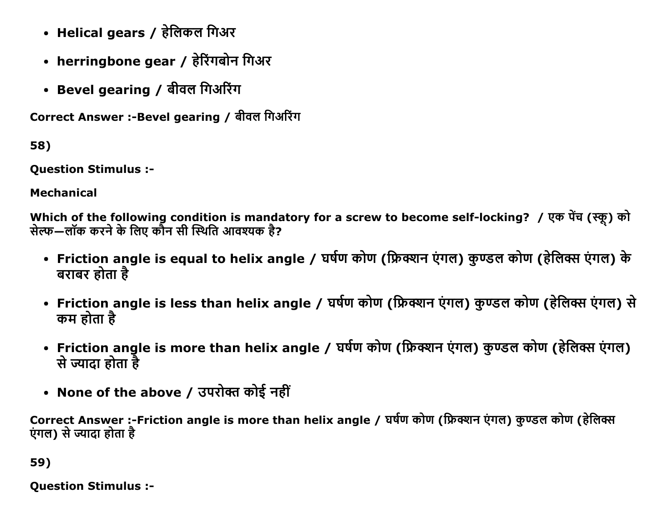- Helical gears / हेलिकल गिअर
- herringbone gear / हेरिंगबोन गिअर
- Bevel gearing / बीवल गिअरिंग

Correct Answer :- Bevel gearing / बीवल गिअरिंग

58)

Question Stimulus :

Mechanical

Which of the following condition is mandatory for a screw to become self-locking? / एक पेंच (स्कू) को सेल्फ—लॉक करने के लिए कौन सी स्थिति आवश्यक है?

- Friction angle is equal to helix angle / घर्षण कोण (फ्रिक्शन एंगल) कुण्डल कोण (हेलिक्स एंगल) के बराबर होता है
- Friction angle is less than helix angle / घर्षण कोण (फ्रिक्शन एंगल) कुण्डल कोण (हेलिक्स एंगल) से कम होता है
- Friction angle is more than helix angle / घर्षण कोण (फ्रिक्शन एंगल) कुण्डल कोण (हेलिक्स एंगल) से ज्यादा होता है
- None of the above / उपरोक्त कोई नहीं

Correct Answer :-Friction angle is more than helix angle / घर्षण कोण (फ्रिक्शन एंगल) कुण्डल कोण (हेलिक्स एंगल) से ज्यादा होता है

59)

Question Stimulus :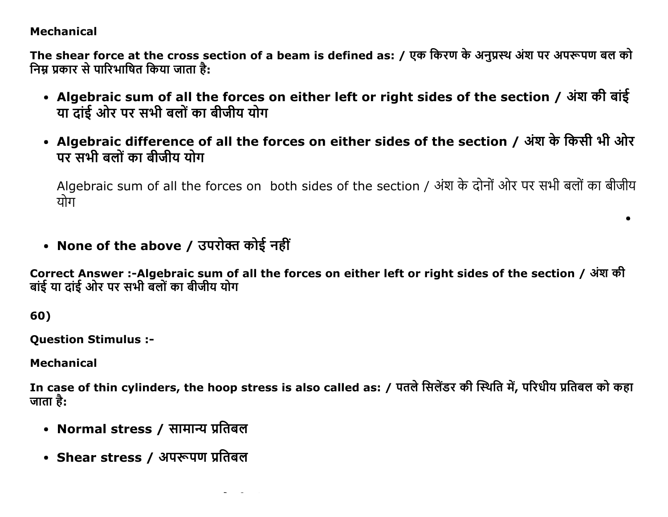### **Mechanical**

The shear force at the cross section of a beam is defined as: / एक किरण के अनुप्रस्थ अंश पर अपरूपण बल को निम्र प्रकार से पारिभाषित किया जाता है:

- Algebraic sum of all the forces on either left or right sides of the section / अंश की बांई या दांई ओर पर सभी बलों का बीजीय योग
- Algebraic difference of all the forces on either sides of the section / अंश के किसी भी ओर ਧਾ ਸੂਬੀ ਰਗੋਂ का ਰੀਜ਼ੀਧ ਧੀਸ

Algebraic sum of all the forces on both sides of the section / अंश के दोनों ओर पर सभी बलों का बीजीय योग

 $\bullet$ 

• None of the above / उपरोक्त कोई नहीं

Correct Answer :-Algebraic sum of all the forces on either left or right sides of the section / अंश की बांई या दांई ओर पर सभी बलों का बीजीय योग

60)

**Question Stimulus :-**

**Mechanical** 

In case of thin cylinders, the hoop stress is also called as: / पतले सिलेंडर की स्थिति में, परिधीय प्रतिबल को कहा जाता है:

- Normal stress / सामान्य प्रतिबल
- Shear stress / अपरूपण प्रतिबल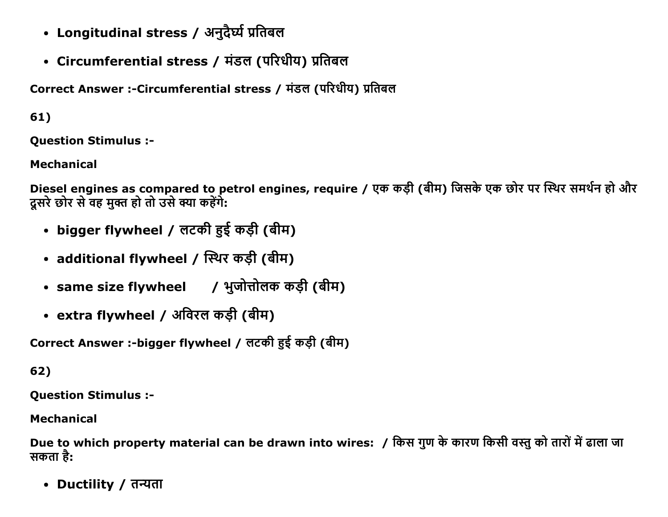- Longitudinal stress / अनुदैर्घ्य प्रतिबल
- Circumferential stress / मंडल (परिधीय) प्रतिबल

Correct Answer :-Circumferential stress / मंडल (परिधीय) प्रतिबल

61)

Question Stimulus :

Mechanical

Diesel engines as compared to petrol engines, require / एक कड़ी (बीम) जिसके एक छोर पर स्थिर समर्थन हो और दूसरे छोर से वह मुक्त हो तो उसे क्या कहेंगे:

- bigger flywheel / लटकी हुई कड़ी (बीम)
- additional flywheel / स्थिर कड़ी (बीम)
- same size flywheel / भुजोत्तोलक कड़ी (बीम)
- extra flywheel / अविरल कड़ी (बीम)

Correct Answer :-bigger flywheel / लटकी हुई कड़ी (बीम)

62)

Question Stimulus :

Mechanical

Due to which property material can be drawn into wires: / किस गुण के कारण किसी वस्तु को तारों में ढाला जा सकता है:

• Ductility / तन्यता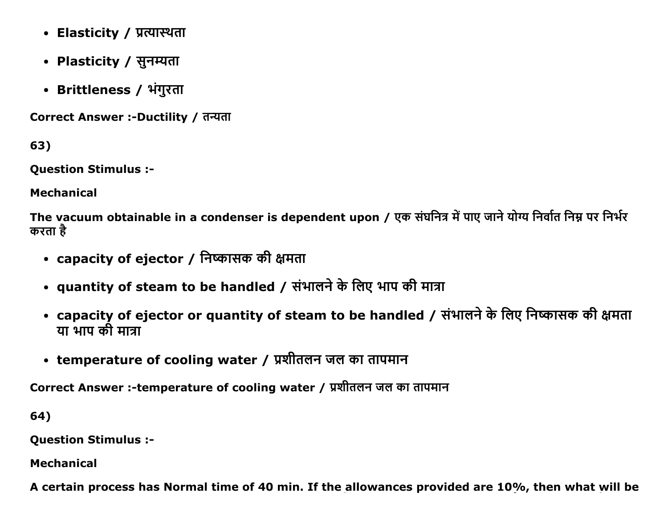- Elasticity / प्रत्यास्थता
- Plasticity / सुनम्यता
- Brittleness / भंगुरता

Correct Answer :-Ductility / तन्यता

63)

Question Stimulus :

Mechanical

The vacuum obtainable in a condenser is dependent upon / एक संघनित्र में पाए जाने योग्य निर्वात निम्न पर निर्भर करता है

- capacity of ejector / निष्कासक की क्षमता
- quantity of steam to be handled / संभालने के लिए भाप की मात्रा
- capacity of ejector or quantity of steam to be handled / संभालने के लिए निष्कासक की क्षमता या भाप की मात्रा
- temperature of cooling water / प्रशीतलन जल का तापमान

Correct Answer :-temperature of cooling water / प्रशीतलन जल का तापमान

64)

Question Stimulus :

Mechanical

A certain process has Normal time of 40 min. If the allowances provided are 10%, then what will be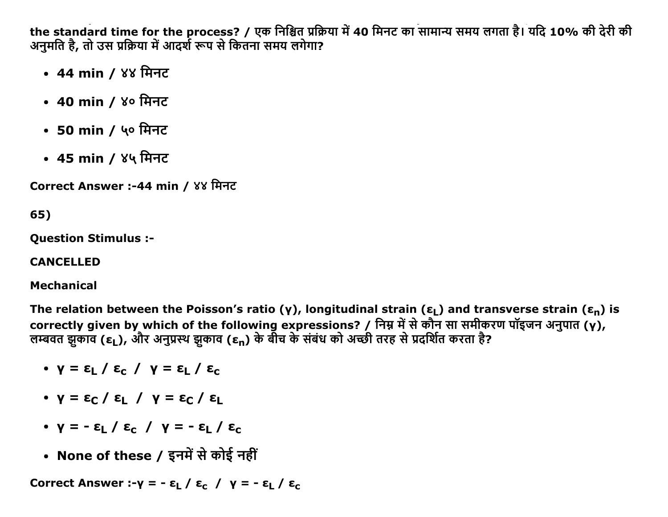the standard time for the process? / एक निश्चित प्रक्रिया में 40 मिनट का सामान्य समय लगता है। यदि 10% की देरी की अनुमति है, तो उस प्रक्रिया में आदर्श रूप से कितना समय लगेगा?

- 44 min / ४४ मिनट
- 40 min / ४० मिनट
- 50 min / ५० मिनट
- 45 min / ४५ मिनट

Correct Answer :-44 min / ४४ मिनट

65)

**Ouestion Stimulus :-**

**CANCELLED** 

**Mechanical** 

The relation between the Poisson's ratio (y), longitudinal strain ( $\epsilon_1$ ) and transverse strain ( $\epsilon_n$ ) is correctly given by which of the following expressions? / निम्न में से कौन सा समीकरण पॉइजन अनुपात (y), लम्बवत झुकाव (ε<sub>L</sub>), और अनुप्रस्थ झुकाव (ε<sub>n</sub>) के बीच के संबंध को अच्छी तरह से प्रदर्शित करता है?

- $\mathsf{v} = \varepsilon_{\mathsf{L}} / \varepsilon_{\mathsf{c}} / \mathsf{v} = \varepsilon_{\mathsf{L}} / \varepsilon_{\mathsf{c}}$
- $\bullet$   $\gamma = \epsilon_C / \epsilon_I / \gamma = \epsilon_C / \epsilon_I$
- $\bullet$  y =  $\varepsilon$ <sub>I</sub> /  $\varepsilon$ <sub>C</sub> / y =  $\varepsilon$ <sub>I</sub> /  $\varepsilon$ <sub>C</sub>
- None of these / इनमें से कोई नहीं

Correct Answer :- $y = -\epsilon_1 / \epsilon_c / y = -\epsilon_1 / \epsilon_c$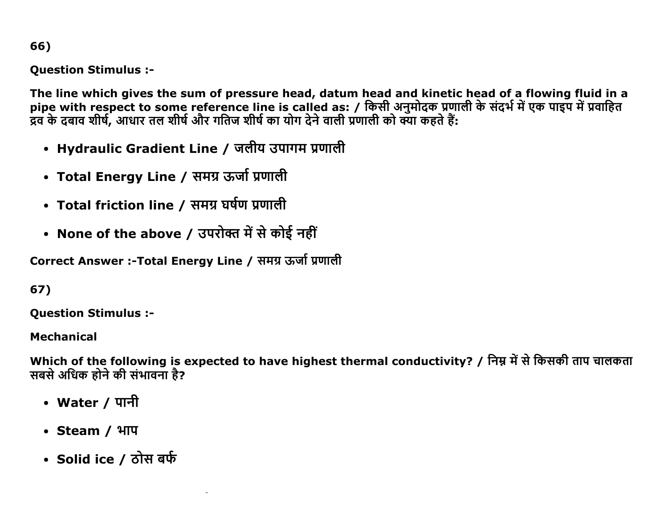66)

**Question Stimulus :-**

The line which gives the sum of pressure head, datum head and kinetic head of a flowing fluid in a pipe with respect to some reference line is called as: / किसी अनुमोदक प्रणाली के संदर्भ में एक पाइप में प्रवाहित<br>द्रव के दबाव शीर्ष, आधार तल शीर्ष और गतिज शीर्ष का योग देने वाली प्रणाली को क्या कहते हैं:

- Hydraulic Gradient Line / जलीय उपागम प्रणाली
- Total Energy Line / समग्र ऊर्जा प्रणाली
- Total friction line / समग्र घर्षण प्रणाली
- None of the above / उपरोक्त में से कोई नहीं

Correct Answer :-Total Energy Line / समग्र ऊर्जा प्रणाली

67)

**Question Stimulus :-**

**Mechanical** 

Which of the following is expected to have highest thermal conductivity? / निम्न में से किसकी ताप चालकता सबसे अधिक होने की संभावना है?

- Water / पानी
- Steam / भाप
- Solid ice / ठोस बर्फ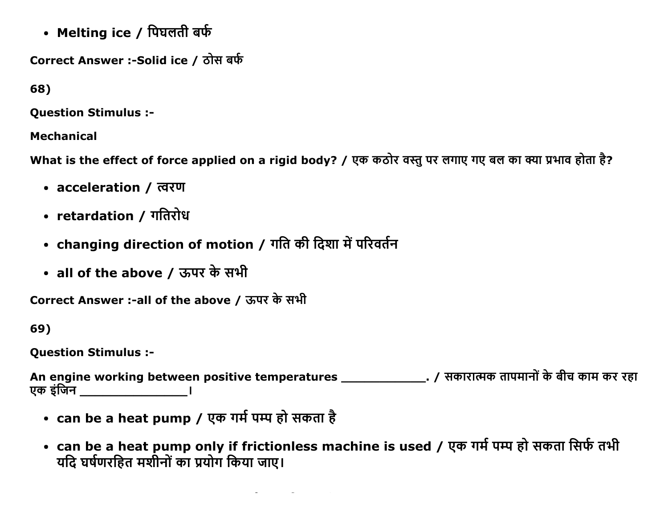• Melting ice / पिघलती बर्फ

Correct Answer :-Solid ice / ठोस बर्फ

68)

**Ouestion Stimulus :-**

**Mechanical** 

What is the effect of force applied on a rigid body? / एक कठोर वस्तु पर लगाए गए बल का क्या प्रभाव होता है?

- acceleration / त्वरण
- retardation / गतिरोध
- changing direction of motion / गति की दिशा में परिवर्तन
- all of the above / ऊपर के सभी

Correct Answer :-all of the above / ऊपर के सभी

69)

**Question Stimulus :-**

एक इंजिन बाद कर पायर प

- can be a heat pump / एक गर्म पम्प हो सकता है
- can be a heat pump only if frictionless machine is used / एक गर्म पम्प हो सकता सिर्फ तभी यदि घर्षणरहित मशीनों का प्रयोग किया जाए।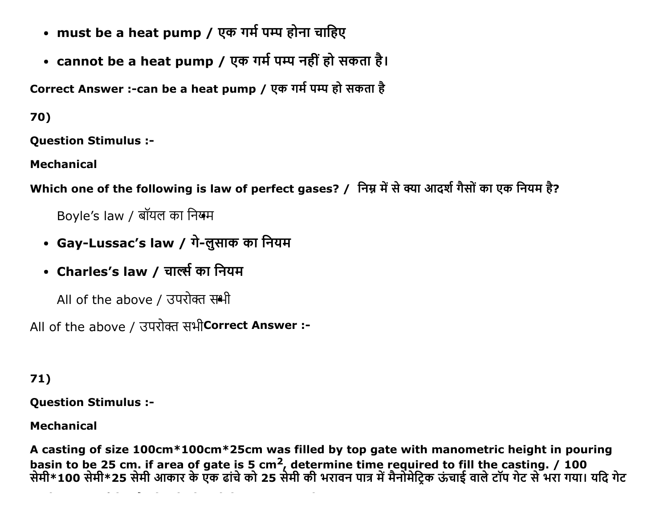- must be a heat pump / एक गर्म पम्प होना चाहिए
- cannot be a heat pump / एक गर्म पम्प नहीं हो सकता है।

Correct Answer :-can be a heat pump / एक गर्म पम्प हो सकता है

70)

**Ouestion Stimulus :-**

**Mechanical** 

Which one of the following is law of perfect gases? / निम्न में से क्या आदर्श गैसों का एक नियम है?

Boyle's law / बॉयल का नियम

- Gay-Lussac's law / गे-लुसाक का नियम
- Charles's law / चार्ल्स का नियम

All of the above / उपरोक्त समी

All of the above / उपरोक्त सभी Correct Answer :-

 $71)$ 

**Question Stimulus :-**

**Mechanical** 

A casting of size 100cm\*100cm\*25cm was filled by top gate with manometric height in pouring basin to be 25 cm. if area of gate is 5 cm<sup>2</sup>, determine time required to fill the casting. / 100<br>सेमी\*100 सेमी\*25 सेमी आकार के एक ढांचे को 25 सेमी की भरावन पात्र में मैनोमेट्रिक ऊंचाई वाले टॉप गेट से भरा गया। यदि गेट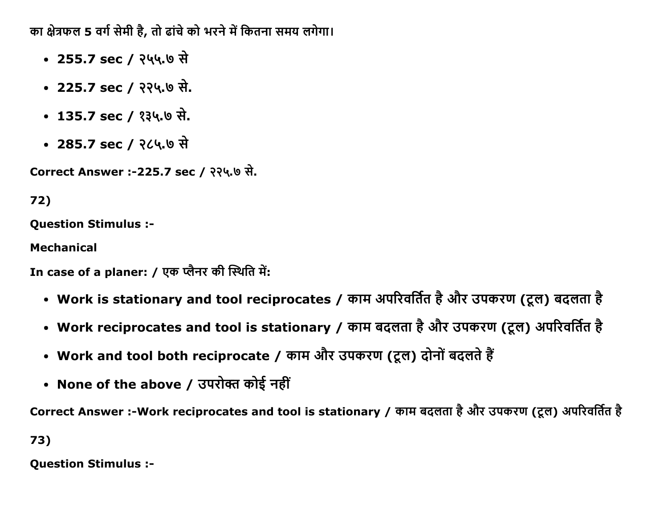का क्षेत्रफल 5 वर्ग सेमी है, तो ढांचे को भरने में कितना समय लगेगा।

- 255.7 sec / २५५.७ से
- $\cdot$  225.7 sec / २२५.७ से.
- $\cdot$  135.7 sec / ?34.6 से.
- $\cdot$  285.7 sec / २८५.७ से

Correct Answer :-225.7 sec / २२५.७ से.

# 72)

Question Stimulus :

Mechanical

In case of a planer: / एक प्लैनर की स्थिति में:

- Work is stationary and tool reciprocates / काम अपरिवर्तित है और उपकरण (टूल) बदलता है
- Work reciprocates and tool is stationary / काम बदलता है और उपकरण (ट्रल) अपरिवर्तित है
- Work and tool both reciprocate / काम और उपकरण (टूल) दोनों बदलते हैं
- None of the above / उपरोक्त कोई नहीं

Correct Answer :-Work reciprocates and tool is stationary / काम बदलता है और उपकरण (टूल) अपरिवर्तित है

73)

Question Stimulus :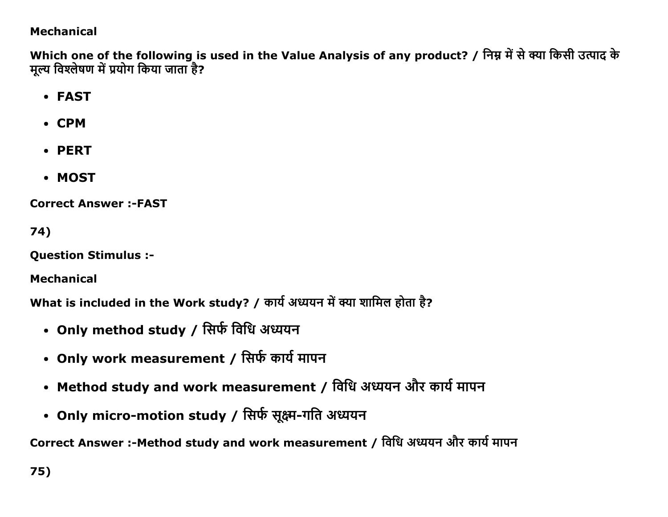# **Mechanical**

Which one of the following is used in the Value Analysis of any product? / निम्न में से क्या किसी उत्पाद के मूल्य विश्लेषण में प्रयोग किया जाता है?

- FAST
- CPM
- PERT
- MOST

**Correct Answer:-FAST** 

74)

**Question Stimulus :-**

**Mechanical** 

What is included in the Work study? / कार्य अध्ययन में क्या शामिल होता है?

- Only method study / सिर्फ विधि अध्ययन
- Only work measurement / सिर्फ कार्य मापन
- Method study and work measurement / विधि अध्ययन और कार्य मापन
- Only micro-motion study / सिर्फ सूक्ष्म-गति अध्ययन

Correct Answer :-Method study and work measurement / विधि अध्ययन और कार्य मापन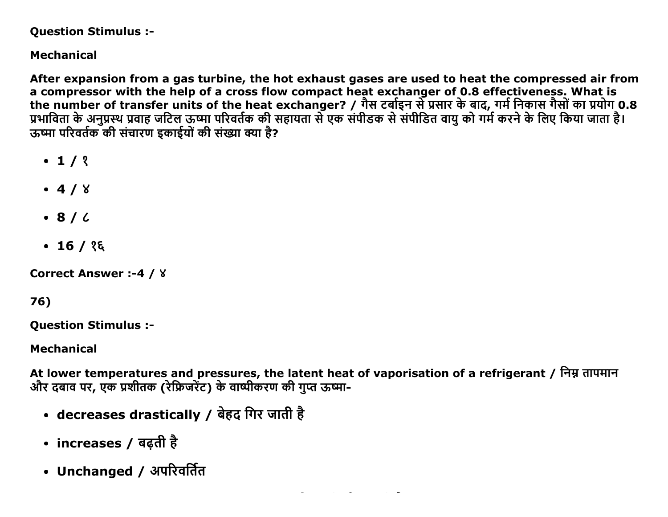#### **Question Stimulus :-**

# **Mechanical**

After expansion from a gas turbine, the hot exhaust gases are used to heat the compressed air from a compressor with the help of a cross flow compact heat exchanger of 0.8 effectiveness. What is the number of transfer units of the heat exchanger? / गैस टर्बाइन से प्रसार के बाद, गर्म निकास गैसों का प्रयोग 0.8 प्रभाविता के अनुप्रस्थ प्रवाह जटिल ऊष्मा परिवर्तक की सहायता से एक संपीडक से संपीडित वायु को गर्म करने के लिए किया जाता है। ऊष्मा परिवर्तक की संचारण डकाईयों की संख्या क्या है?

- $-1/2$
- $-4/8$
- $\bullet$  8/ $\prime$
- $\cdot$  16 / १६

```
Correct Answer:-4 / 8
```

```
76)
```
**Question Stimulus :-**

**Mechanical** 

At lower temperatures and pressures, the latent heat of vaporisation of a refrigerant / निम्न तापमान और दबाव पर, एक प्रशीतक (रेफ्रिजरेंट) के वाष्पीकरण की गप्त ऊष्मा-

- decreases drastically / बेहद गिर जाती है
- increases / बढ़ती है
- Unchanged / अपरिवर्तित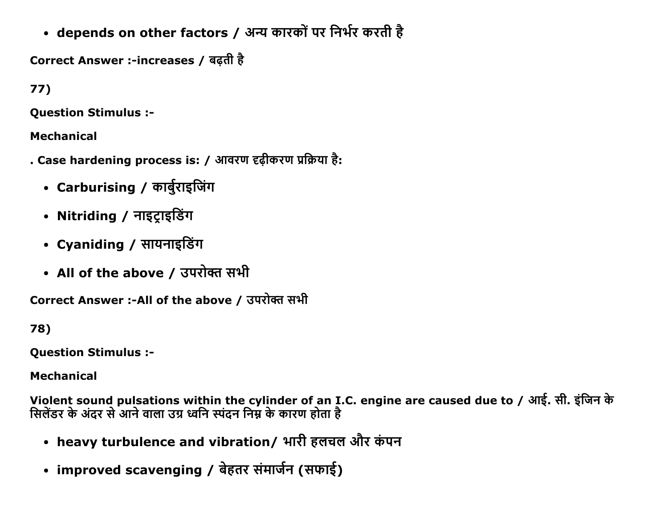• depends on other factors / अन्य कारकों पर निर्भर करती है

Correct Answer :-increases / बढ़ती है

 $77)$ 

**Ouestion Stimulus :-**

**Mechanical** 

- . Case hardening process is: / आवरण दृढ़ीकरण प्रक्रिया है:
	- Carburising / कार्बुराइजिंग
	- Nitriding / नाइट्राइडिंग
	- Cyaniding / सायनाइडिंग
	- All of the above / उपरोक्त सभी

Correct Answer :-All of the above / उपरोक्त सभी

78)

**Question Stimulus :-**

**Mechanical** 

Violent sound pulsations within the cylinder of an I.C. engine are caused due to / आई. सी. इंजिन के सिलेंडर के अंदर से आने वाला उग्र ध्वनि स्पंदन निम्न के कारण होता है

- heavy turbulence and vibration/ भारी हलचल और कंपन
- improved scavenging / बेहतर संमार्जन (सफाई)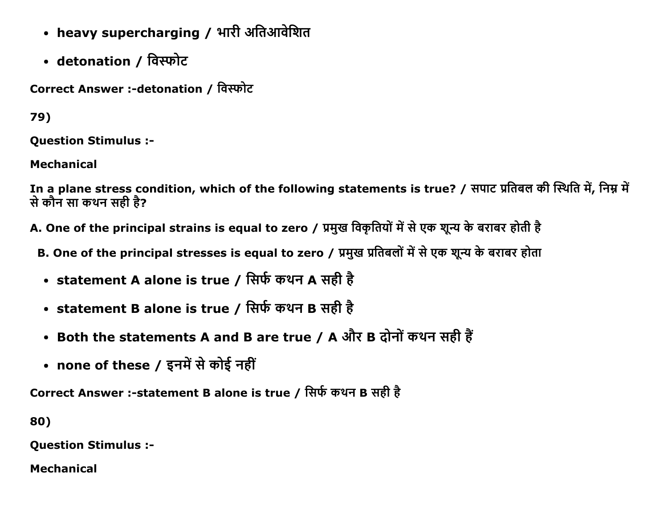- heavy supercharging / भारी अतिआवेशित
- detonation / विस्फोट

Correct Answer :-detonation / विस्फोट

79)

**Question Stimulus :-**

**Mechanical** 

In a plane stress condition, which of the following statements is true? / सपाट प्रतिबल की स्थिति में, निम्न में से कौन सा कथन सही है?

A. One of the principal strains is equal to zero / प्रमुख विकृतियों में से एक शून्य के बराबर होती है

- B. One of the principal stresses is equal to zero / प्रमुख प्रतिबलों में से एक शून्य के बराबर होता
- statement A alone is true / सिर्फ कथन A सही है
- statement B alone is true / सिर्फ कथन B सही है
- Both the statements A and B are true / A और B दोनों कथन सही हैं
- none of these / इनमें से कोई नहीं

Correct Answer :- statement B alone is true / सिर्फ कथन B सही है

80)

**Question Stimulus :-**

**Mechanical**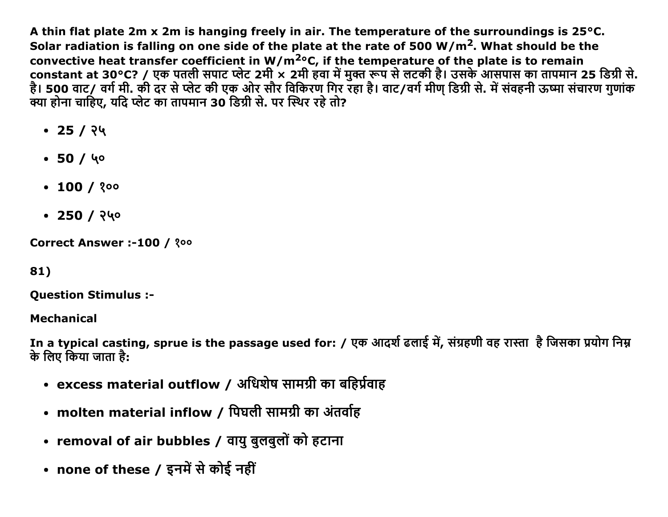A thin flat plate 2m x 2m is hanging freely in air. The temperature of the surroundings is  $25^{\circ}$ C. Solar radiation is falling on one side of the plate at the rate of 500  $W/m<sup>2</sup>$ . What should be the convective heat transfer coefficient in W/m<sup>2</sup>°C, if the temperature of the plate is to remain constant at 30°C? / एक पतली सपाट प्लेट 2मी × 2मी हवा में मुक्त रूप से लटकी है। उसके आसपास का तापमान 25 डिग्री से. है। 500 वाट/ वर्ग मी. की दर से प्लेट की एक ओर सौर विकिरण गिर रहा है। वाट/वर्ग मीण डिग्री से. में संवहनी ऊष्मा संचारण गुणांक क्या होना चाहिए. यदि प्लेट का तापमान 30 डिग्री से. पर स्थिर रहे तो?

- $\cdot$  25 / २५
- $\bullet$  50 / 40
- $\cdot$  100 / ? $00$
- $\cdot$  250 / २५०

Correct Answer :-100 / ?00

# 81)

**Question Stimulus :-**

**Mechanical** 

In a typical casting, sprue is the passage used for: / एक आदर्श ढलाई में, संग्रहणी वह रास्ता) है जिसका प्रयोग निम्न के लिए किया जाता है:

- excess material outflow / अधिशेष सामग्री का बहिर्प्रवाह
- molten material inflow / पिघली सामग्री का अंतर्वाह
- removal of air bubbles / वायु बुलबुलों को हटाना
- none of these / इनमें से कोई नहीं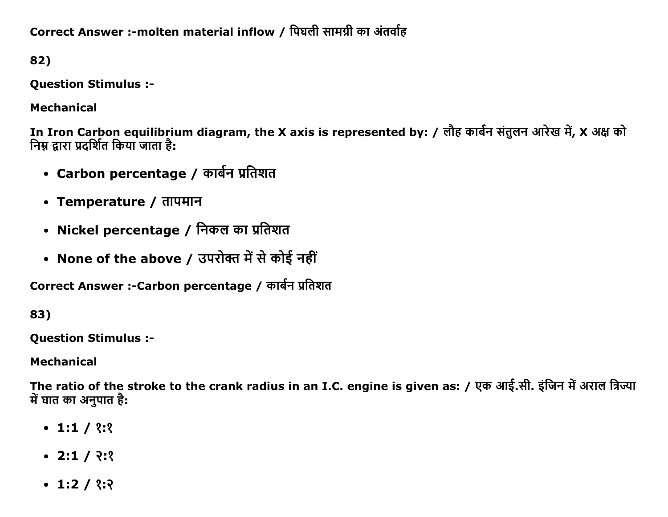Correct Answer :-molten material inflow / पिघली सामग्री का अंतर्वाह

82)

Question Stimulus :

Mechanical

In Iron Carbon equilibrium diagram, the X axis is represented by: / लौह कार्बन संतुलन आरेख में, X अक्ष को <u>निम्न द्वारा प्रदर्शित किया जाता है:</u>

- Carbon percentage / कार्बन प्रतिशत
- Temperature / तापमान
- Nickel percentage / निकल का प्रतिशत
- None of the above / उपरोक्त में से कोई नहीं

Correct Answer :-Carbon percentage / कार्बन प्रतिशत

83)

Question Stimulus :

Mechanical

The ratio of the stroke to the crank radius in an I.C. engine is given as: / एक आई.सी. इंजिन में अराल त्रिज्या में घात का अनुपात है:

- $\cdot$  1:1 / 2:2
- $\cdot$  2:1 /  $\frac{?}{?}$
- $\cdot$  1:2 / ?:?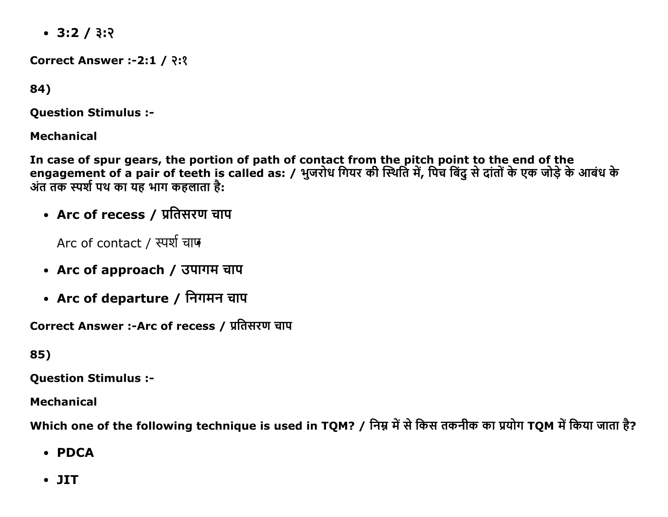$\cdot$  3:2 / 3:2

**Correct Answer :-2:1 / २:१** 

84)

**Question Stimulus :-**

**Mechanical** 

In case of spur gears, the portion of path of contact from the pitch point to the end of the engagement of a pair of teeth is called as: / भुजरोध गियर की स्थिति में, पिच बिंदु से दांतों के एक जोड़े के आबंध के अंत तक स्पर्श पथ का यह भाग कहलाता है:

• Arc of recess / प्रतिसरण चाप

Arc of contact / स्पर्श चाफ

- Arc of approach / उपागम चाप
- Arc of departure / निगमन चाप

Correct Answer :-Arc of recess / प्रतिसरण चाप

85)

**Ouestion Stimulus :-**

**Mechanical** 

Which one of the following technique is used in TQM? / निम्न में से किस तकनीक का प्रयोग TQM में किया जाता है?

- $\cdot$  PDCA
- $\bullet$  JIT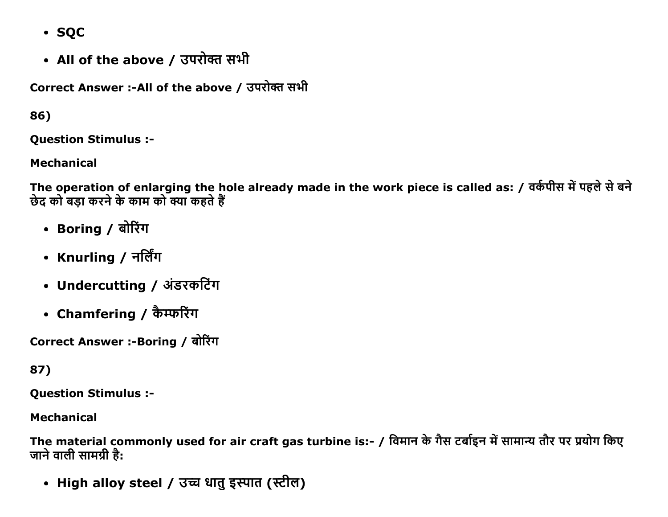- · SOC
- All of the above / उपरोक्त सभी

Correct Answer :-All of the above / उपरोक्त सभी

86)

**Question Stimulus :-**

**Mechanical** 

The operation of enlarging the hole already made in the work piece is called as: / वर्कपीस में पहले से बने छेद को बड़ा करने के काम को क्या कहते हैं

- Boring / बोरिंग
- Knurling / नर्लिंग
- Undercutting / अंडरकटिंग
- Chamfering / कैम्फरिंग

Correct Answer :-Boring / बोरिंग

87)

**Question Stimulus :-**

**Mechanical** 

The material commonly used for air craft gas turbine is:- / विमान के गैस टर्बाइन में सामान्य तौर पर प्रयोग किए जाने वाली सामग्री है:

• High alloy steel / उच्च धातु इस्पात (स्टील)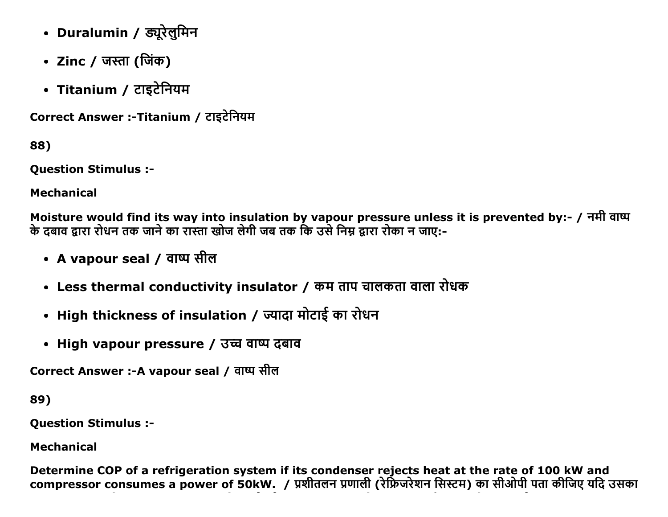- Duralumin / ड्यूरेलुमिन
- Zinc / जस्ता (जिंक)
- Titanium / टाइटेनियम

Correct Answer :-Titanium / टाइटेनियम

88)

**Ouestion Stimulus :-**

**Mechanical** 

Moisture would find its way into insulation by vapour pressure unless it is prevented by:- / नमी वाष्प के दबाव द्वारा रोधन तक जाने का रास्ता खोज लेगी जब तक कि उसे निम्न द्वारा रोका न जाए:-

- A vapour seal / वाष्प सील
- Less thermal conductivity insulator / कम ताप चालकता वाला रोधक
- High thickness of insulation / ज्यादा मोटाई का रोधन
- High vapour pressure / उच्च वाष्प दबाव

Correct Answer :-A vapour seal / वाष्प सील

89)

**Question Stimulus :-**

**Mechanical** 

Determine COP of a refrigeration system if its condenser rejects heat at the rate of 100 kW and compressor consumes a power of 50kW. / प्रशीतलन प्रणाली (रेफ़्रिजरेशन सिस्टम) का सीओपी पता कीजिए यदि उसका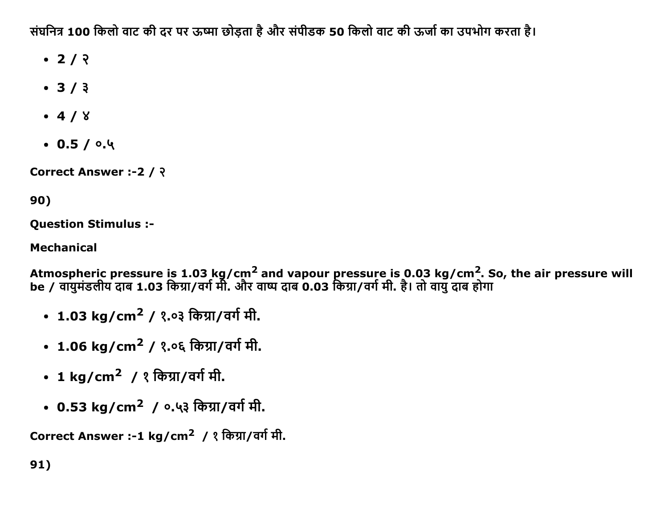संघनित्र 100 किलो वाट की दर पर ऊष्मा छोड़ता है और संपीडक 50 किलो वाट की ऊर्जा का उपभोग करता है।

- $\cdot$  2/  $\sqrt{2}$
- $-3/3$
- $-4/8$
- $0.5/0.4$

Correct Answer :-2 / ?

# 90)

**Question Stimulus :-**

**Mechanical** 

Atmospheric pressure is 1.03 kg/cm<sup>2</sup> and vapour pressure is 0.03 kg/cm<sup>2</sup>. So, the air pressure will<br>be / वायुमंडलीय दाब 1.03 किग्रा/वर्ग मी. और वाष्प दाब 0.03 किग्रा/वर्ग मी. है। तो वायु दाब होगा

- 1.03 kg/cm<sup>2</sup> / १.०३ किग्रा/वर्ग मी.
- 1.06 kg/cm<sup>2</sup> / १.०६ किग्रा/वर्ग मी.
- 1 kg/cm<sup>2</sup> / १ किग्रा/वर्ग मी.
- 0.53 kg/cm<sup>2</sup> / ०.५३ किग्रा/वर्ग मी.

Correct Answer :-1 kg/cm<sup>2</sup> / १ किग्रा/वर्ग मी.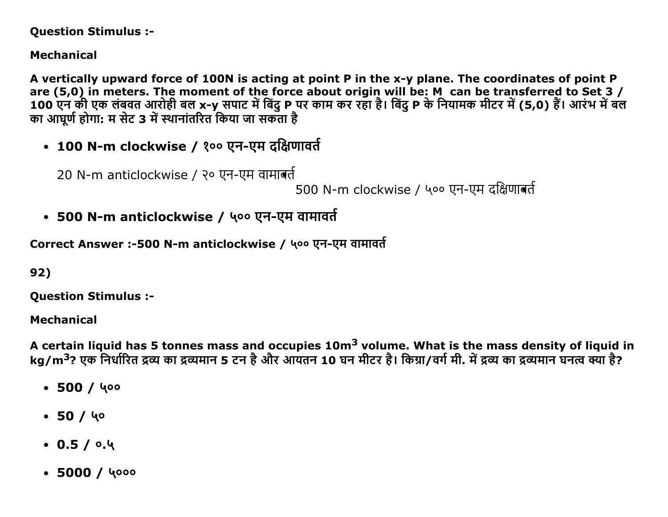### **Question Stimulus :-**

# **Mechanical**

A vertically upward force of 100N is acting at point P in the x-y plane. The coordinates of point P are (5,0) in meters. The moment of the force about origin will be: M can be transferred to Set 3 /<br>100 एन की एक लंबवत आरोही बल x-y सपाट में बिंदु P पर काम कर रहा है। बिंदु P के नियामक मीटर में (5,0) हैं। आरंभ में बल का आघूर्ण होगा: म सेट 3 में स्थानांतरित किया जा सकता है

• 100 N-m clockwise / १०० एन-एम दक्षिणावर्त

20 N-m anticlockwise / २० एन-एम वामाबर्त

500 N-m clockwise / ५०० एन-एम दक्षिणाबर्त

• 500 N-m anticlockwise / ५०० एन-एम वामावर्त

Correct Answer :-500 N-m anticlockwise / ५०० एन-एम वामावर्त

92)

**Question Stimulus :-**

**Mechanical** 

A certain liquid has 5 tonnes mass and occupies 10m<sup>3</sup> volume. What is the mass density of liquid in kg/m<sup>3</sup>? एक निर्धारित द्रव्य का द्रव्यमान 5 टन है और आयतन 10 घन मीटर है। किग्रा/वर्ग मी. में द्रव्य का द्रव्यमान घनत्व क्या है?

- $-500/400$
- $-50/40$
- $0.5/0.4$
- $\cdot$  5000 / 4000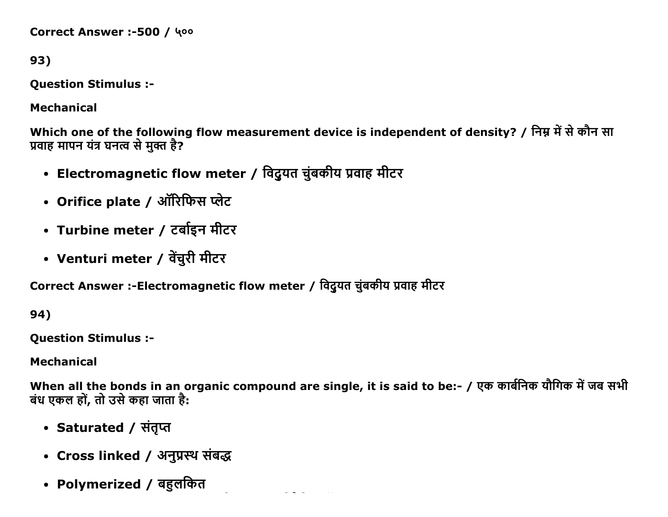Correct Answer :-500 / 400

93)

**Question Stimulus :-**

**Mechanical** 

Which one of the following flow measurement device is independent of density? / निम्न में से कौन सा प्रवाह मापन यंत्र घनत्व से मुक्त है?

- Electromagnetic flow meter / विदुयत चुंबकीय प्रवाह मीटर
- Orifice plate / ऑरिफिस प्लेट
- Turbine meter / टर्बाइन मीटर
- Venturi meter / वेंचुरी मीटर

Correct Answer :-Electromagnetic flow meter / विदुयत चुंबकीय प्रवाह मीटर

94)

**Ouestion Stimulus :-**

**Mechanical** 

When all the bonds in an organic compound are single, it is said to be:- / एक कार्बनिक यौगिक में जब सभी बंध एकल हों, तो उसे कहा जाता है:

- Saturated / संतुप्त
- Cross linked / अनुप्रस्थ संबद्ध
- Polymerized / बहुलकित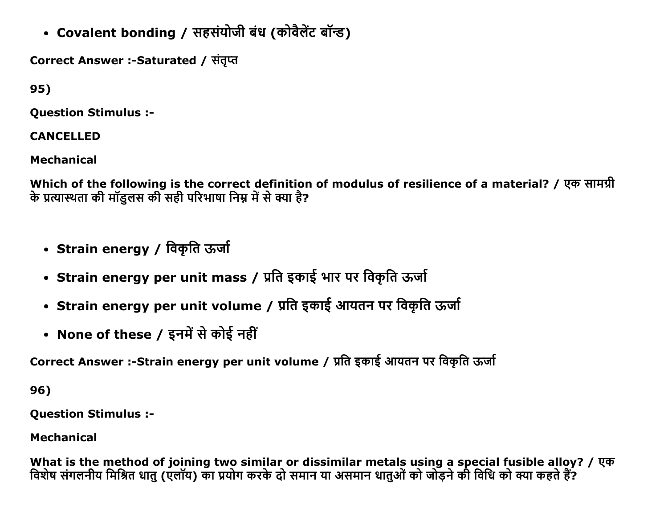• Covalent bonding / सहसंयोजी बंध (कोवैलेंट बॉन्ड)

Correct Answer :-Saturated / संतृप्त

95)

Question Stimulus :

CANCELLED

Mechanical

Which of the following is the correct definition of modulus of resilience of a material? / एक सामग्री के प्रत्यास्थता की मॉडलस की सही परिभाषा निम्न में से क्या है?

- Strain energy / विकृति ऊर्जा
- Strain energy per unit mass / प्रति इकाई भार पर विकृति ऊर्जा
- Strain energy per unit volume / प्रति इकाई आयतन पर विकृति ऊर्जा
- None of these / इनमें से कोई नहीं

Correct Answer :-Strain energy per unit volume / प्रति इकाई आयतन पर विकृति ऊर्जा

96)

Question Stimulus :

Mechanical

What is the method of joining two similar or dissimilar metals using a special fusible alloy? / एक विशेष संगलनीय मिश्रित धातु (एलॉय) का प्रयोग करके दो समान या असमान धातुओं को जोड़ने की विधि को क्या कहते हैं?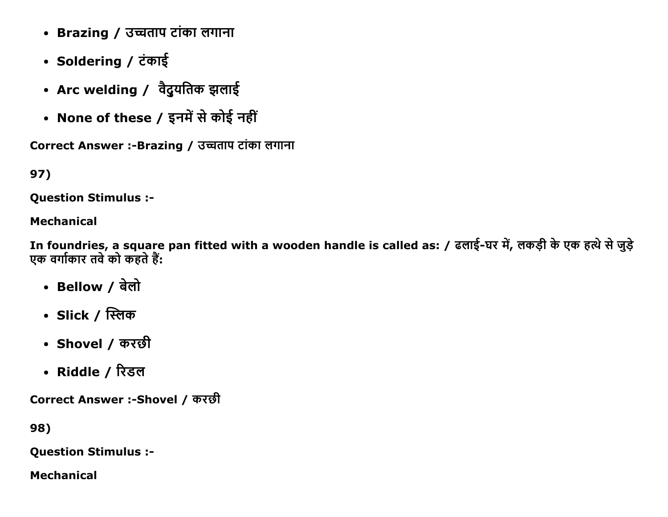- Brazing / उच्चताप टांका लगाना
- Soldering / टंकाई
- Arc welding / वैदुयतिक झलाई
- None of these / इनमें से कोई नहीं

Correct Answer :-Brazing / उच्चताप टांका लगाना

# 97)

Question Stimulus :

## Mechanical

In foundries, a square pan fitted with a wooden handle is called as: / ढलाई-घर में, लकड़ी के एक हत्थे से जुड़े एक वर्गाकार तवे को कहते हैं:

- Bellow / बेलो
- Slick / स्लिक
- Shovel / करछी
- Riddle / रिडल

Correct Answer :-Shovel / करछी

98)

Question Stimulus :

Mechanical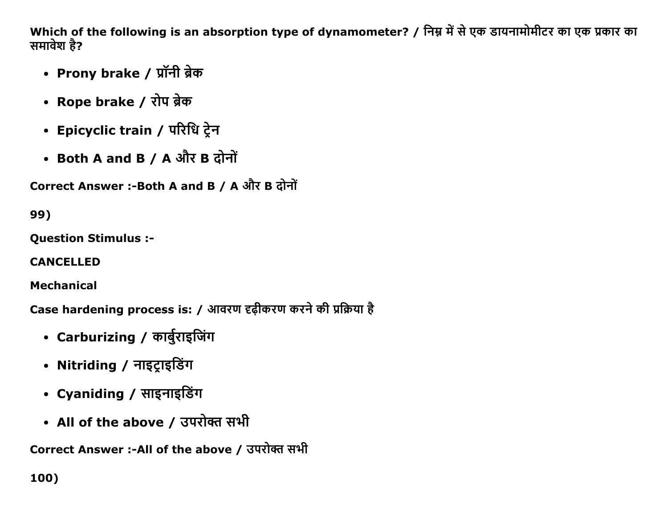Which of the following is an absorption type of dynamometer? / निम्न में से एक डायनामोमीटर का एक प्रकार का समावेश है?

- Prony brake / प्रॉनी ब्रेक
- Rope brake / रोप ब्रेक
- Epicyclic train / परिधि ट्रेन
- Both A and B / A और B दोनों

Correct Answer :- Both A and B / A और B दोनों

99)

**Ouestion Stimulus :-**

**CANCELLED** 

**Mechanical** 

Case hardening process is: / आवरण दृढ़ीकरण करने की प्रक्रिया है

- Carburizing / कार्बुराइजिंग
- Nitriding / नाइट्राइडिंग
- Cyaniding / साइनाइडिंग
- All of the above / उपरोक्त सभी

Correct Answer :-All of the above / उपरोक्त सभी